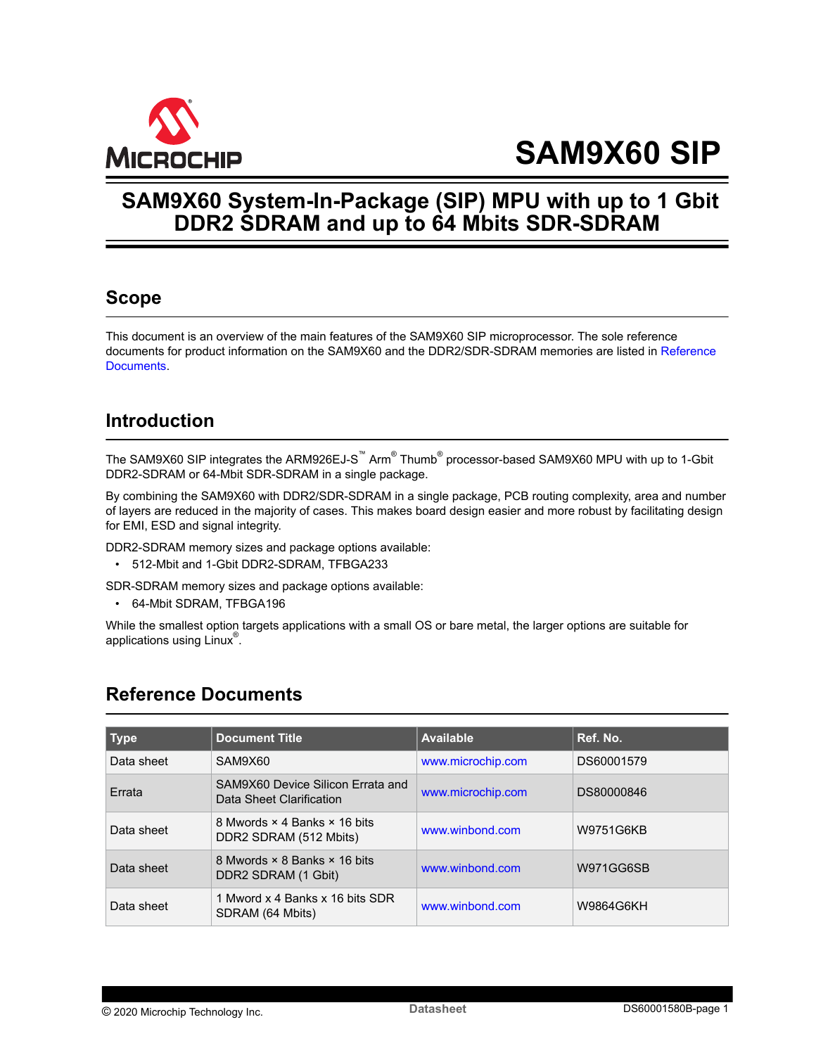<span id="page-0-0"></span>

# **SAM9X60 SIP**

## **SAM9X60 System-In-Package (SIP) MPU with up to 1 Gbit DDR2 SDRAM and up to 64 Mbits SDR-SDRAM**

### **Scope**

This document is an overview of the main features of the SAM9X60 SIP microprocessor. The sole reference documents for product information on the SAM9X60 and the DDR2/SDR-SDRAM memories are listed in Reference Documents.

## **Introduction**

The SAM9X60 SIP integrates the ARM926EJ-S™  $\mathsf{Arm}^\circ$  Thumb $^\circ$  processor-based SAM9X60 MPU with up to 1-Gbit DDR2-SDRAM or 64-Mbit SDR-SDRAM in a single package.

By combining the SAM9X60 with DDR2/SDR-SDRAM in a single package, PCB routing complexity, area and number of layers are reduced in the majority of cases. This makes board design easier and more robust by facilitating design for EMI, ESD and signal integrity.

DDR2-SDRAM memory sizes and package options available:

• 512-Mbit and 1-Gbit DDR2-SDRAM, TFBGA233

SDR-SDRAM memory sizes and package options available:

• 64-Mbit SDRAM, TFBGA196

While the smallest option targets applications with a small OS or bare metal, the larger options are suitable for applications using  $\sf Linux^{\circledast}.$ 

### **Reference Documents**

| $\sqrt{ }$ Type | <b>Document Title</b>                                         | <b>Available</b>  | Ref. No.   |
|-----------------|---------------------------------------------------------------|-------------------|------------|
| Data sheet      | SAM9X60                                                       | www.microchip.com | DS60001579 |
| Errata          | SAM9X60 Device Silicon Frrata and<br>Data Sheet Clarification | www.microchip.com | DS80000846 |
| Data sheet      | 8 Mwords × 4 Banks × 16 bits<br>DDR2 SDRAM (512 Mbits)        | www.winbond.com   | W9751G6KB  |
| Data sheet      | 8 Mwords × 8 Banks × 16 bits<br>DDR2 SDRAM (1 Gbit)           | www.winbond.com   | W971GG6SB  |
| Data sheet      | 1 Mword x 4 Banks x 16 bits SDR<br>SDRAM (64 Mbits)           | www.winbond.com   | W9864G6KH  |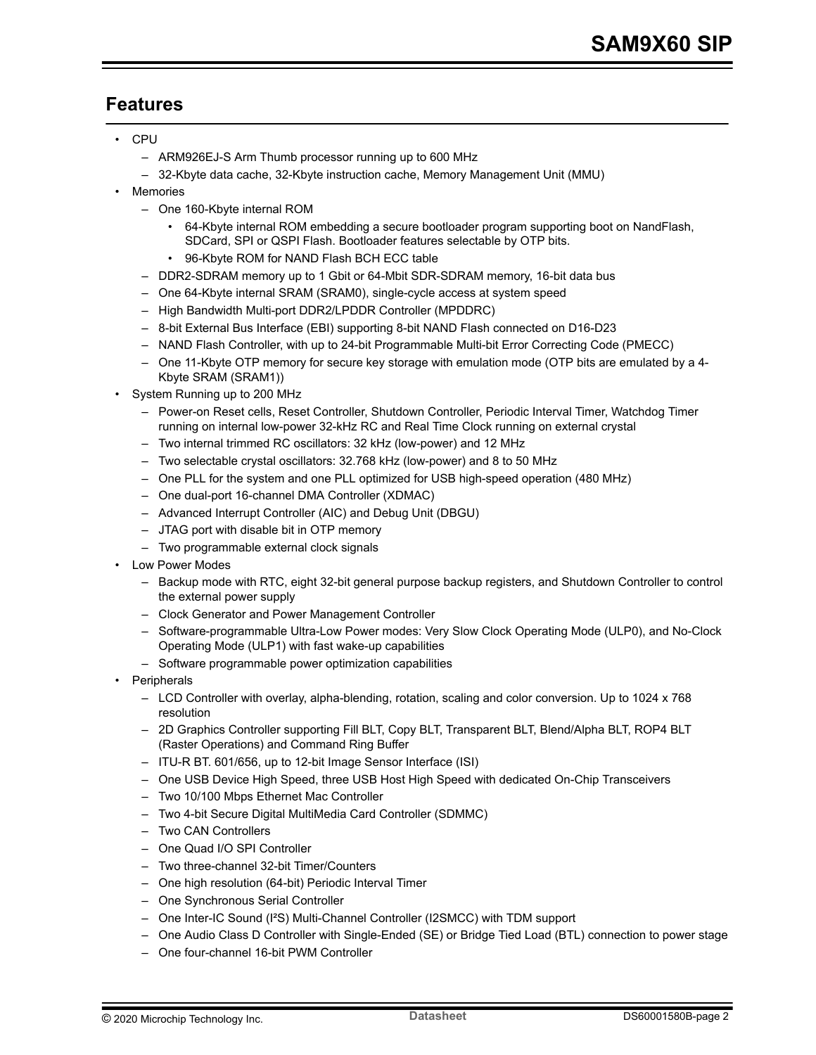## <span id="page-1-0"></span>**Features**

- CPU
	- ARM926EJ-S Arm Thumb processor running up to 600 MHz
	- 32-Kbyte data cache, 32-Kbyte instruction cache, Memory Management Unit (MMU)
- Memories
	- One 160-Kbyte internal ROM
		- 64-Kbyte internal ROM embedding a secure bootloader program supporting boot on NandFlash, SDCard, SPI or QSPI Flash. Bootloader features selectable by OTP bits.
		- 96-Kbyte ROM for NAND Flash BCH ECC table
	- DDR2-SDRAM memory up to 1 Gbit or 64-Mbit SDR-SDRAM memory, 16-bit data bus
	- One 64-Kbyte internal SRAM (SRAM0), single-cycle access at system speed
	- High Bandwidth Multi-port DDR2/LPDDR Controller (MPDDRC)
	- 8-bit External Bus Interface (EBI) supporting 8-bit NAND Flash connected on D16-D23
	- NAND Flash Controller, with up to 24-bit Programmable Multi-bit Error Correcting Code (PMECC)
	- One 11-Kbyte OTP memory for secure key storage with emulation mode (OTP bits are emulated by a 4- Kbyte SRAM (SRAM1))
- System Running up to 200 MHz
	- Power-on Reset cells, Reset Controller, Shutdown Controller, Periodic Interval Timer, Watchdog Timer running on internal low-power 32-kHz RC and Real Time Clock running on external crystal
	- Two internal trimmed RC oscillators: 32 kHz (low-power) and 12 MHz
	- Two selectable crystal oscillators: 32.768 kHz (low-power) and 8 to 50 MHz
	- One PLL for the system and one PLL optimized for USB high-speed operation (480 MHz)
	- One dual-port 16-channel DMA Controller (XDMAC)
	- Advanced Interrupt Controller (AIC) and Debug Unit (DBGU)
	- JTAG port with disable bit in OTP memory
	- Two programmable external clock signals
- Low Power Modes
	- Backup mode with RTC, eight 32-bit general purpose backup registers, and Shutdown Controller to control the external power supply
	- Clock Generator and Power Management Controller
	- Software-programmable Ultra-Low Power modes: Very Slow Clock Operating Mode (ULP0), and No-Clock Operating Mode (ULP1) with fast wake-up capabilities
	- Software programmable power optimization capabilities
- Peripherals
	- LCD Controller with overlay, alpha-blending, rotation, scaling and color conversion. Up to 1024 x 768 resolution
	- 2D Graphics Controller supporting Fill BLT, Copy BLT, Transparent BLT, Blend/Alpha BLT, ROP4 BLT (Raster Operations) and Command Ring Buffer
	- ITU-R BT. 601/656, up to 12-bit Image Sensor Interface (ISI)
	- One USB Device High Speed, three USB Host High Speed with dedicated On-Chip Transceivers
	- Two 10/100 Mbps Ethernet Mac Controller
	- Two 4-bit Secure Digital MultiMedia Card Controller (SDMMC)
	- Two CAN Controllers
	- One Quad I/O SPI Controller
	- Two three-channel 32-bit Timer/Counters
	- One high resolution (64-bit) Periodic Interval Timer
	- One Synchronous Serial Controller
	- One Inter-IC Sound (I²S) Multi-Channel Controller (I2SMCC) with TDM support
	- One Audio Class D Controller with Single-Ended (SE) or Bridge Tied Load (BTL) connection to power stage
	- One four-channel 16-bit PWM Controller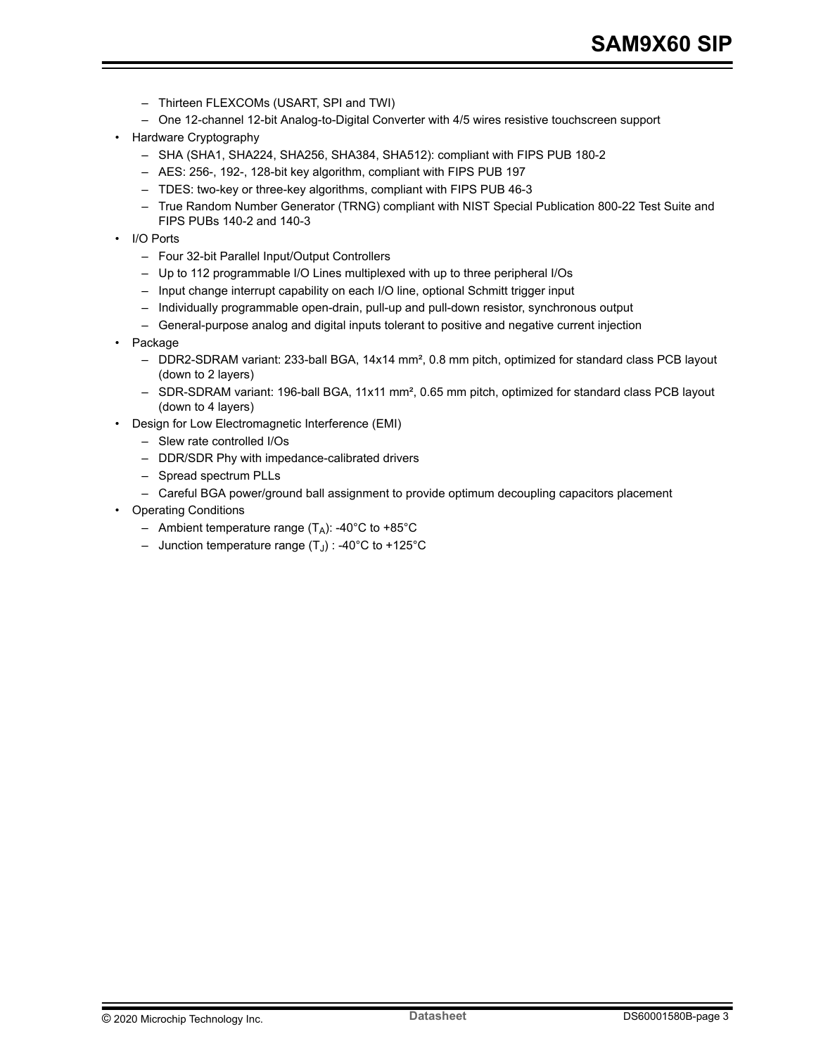- Thirteen FLEXCOMs (USART, SPI and TWI)
- One 12-channel 12-bit Analog-to-Digital Converter with 4/5 wires resistive touchscreen support
- Hardware Cryptography
	- SHA (SHA1, SHA224, SHA256, SHA384, SHA512): compliant with FIPS PUB 180-2
	- AES: 256-, 192-, 128-bit key algorithm, compliant with FIPS PUB 197
	- TDES: two-key or three-key algorithms, compliant with FIPS PUB 46-3
	- True Random Number Generator (TRNG) compliant with NIST Special Publication 800-22 Test Suite and FIPS PUBs 140-2 and 140-3
- I/O Ports
	- Four 32-bit Parallel Input/Output Controllers
	- Up to 112 programmable I/O Lines multiplexed with up to three peripheral I/Os
	- Input change interrupt capability on each I/O line, optional Schmitt trigger input
	- Individually programmable open-drain, pull-up and pull-down resistor, synchronous output
	- General-purpose analog and digital inputs tolerant to positive and negative current injection
- Package
	- DDR2-SDRAM variant: 233-ball BGA, 14x14 mm², 0.8 mm pitch, optimized for standard class PCB layout (down to 2 layers)
	- SDR-SDRAM variant: 196-ball BGA, 11x11 mm<sup>2</sup>, 0.65 mm pitch, optimized for standard class PCB layout (down to 4 layers)
- Design for Low Electromagnetic Interference (EMI)
	- Slew rate controlled I/Os
	- DDR/SDR Phy with impedance-calibrated drivers
	- Spread spectrum PLLs
	- Careful BGA power/ground ball assignment to provide optimum decoupling capacitors placement
- Operating Conditions
	- Ambient temperature range  $(T_A)$ : -40°C to +85°C
	- $\,$  Junction temperature range (T $_{\textrm{\scriptsize{J}}})$  : -40°C to +125°C  $\,$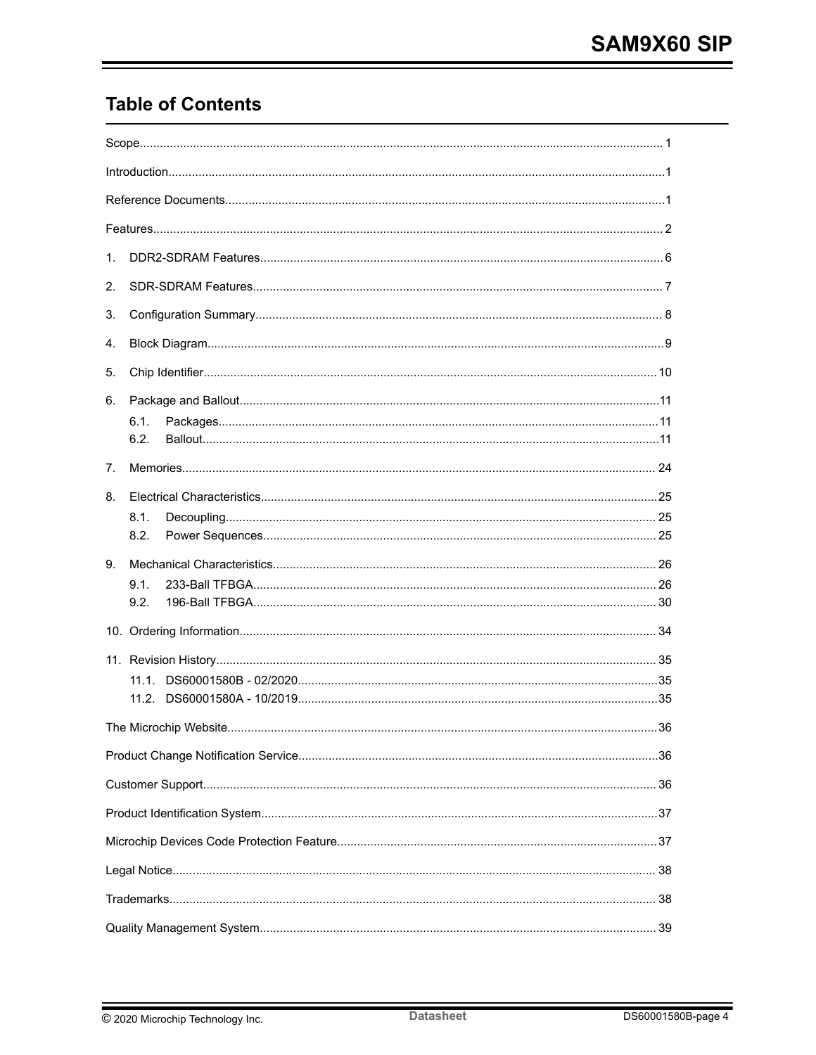## **Table of Contents**

| $1_{\cdot}$ |              |     |
|-------------|--------------|-----|
| 2.          |              |     |
| 3.          |              |     |
| 4.          |              |     |
| 5.          |              |     |
| 6.          | 6.1.<br>6.2. |     |
| 7.          |              |     |
| 8.          | 8.1.<br>8.2. |     |
| 9.          |              |     |
|             | 9.1.<br>9.2. |     |
|             |              |     |
|             |              |     |
|             |              |     |
|             |              |     |
|             |              | .36 |
|             |              |     |
|             |              |     |
|             |              |     |
|             |              |     |
|             |              |     |
|             |              |     |
|             |              |     |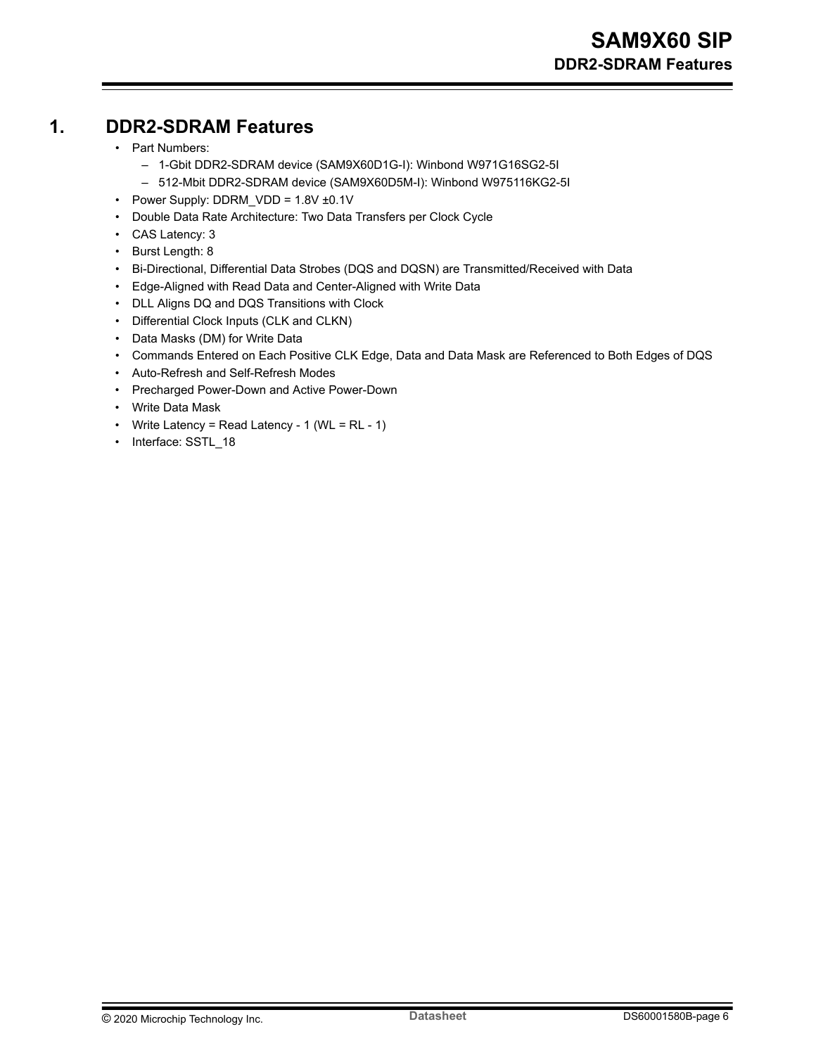## <span id="page-5-0"></span>**1. DDR2-SDRAM Features**

- Part Numbers:
	- 1-Gbit DDR2-SDRAM device (SAM9X60D1G-I): Winbond W971G16SG2-5I
	- 512-Mbit DDR2-SDRAM device (SAM9X60D5M-I): Winbond W975116KG2-5I
- Power Supply: DDRM  $VDD = 1.8V \pm 0.1V$
- Double Data Rate Architecture: Two Data Transfers per Clock Cycle
- CAS Latency: 3
- Burst Length: 8
- Bi-Directional, Differential Data Strobes (DQS and DQSN) are Transmitted/Received with Data
- Edge-Aligned with Read Data and Center-Aligned with Write Data
- DLL Aligns DQ and DQS Transitions with Clock
- Differential Clock Inputs (CLK and CLKN)
- Data Masks (DM) for Write Data
- Commands Entered on Each Positive CLK Edge, Data and Data Mask are Referenced to Both Edges of DQS
- Auto-Refresh and Self-Refresh Modes
- Precharged Power-Down and Active Power-Down
- Write Data Mask
- Write Latency = Read Latency 1 (WL = RL 1)
- Interface: SSTL\_18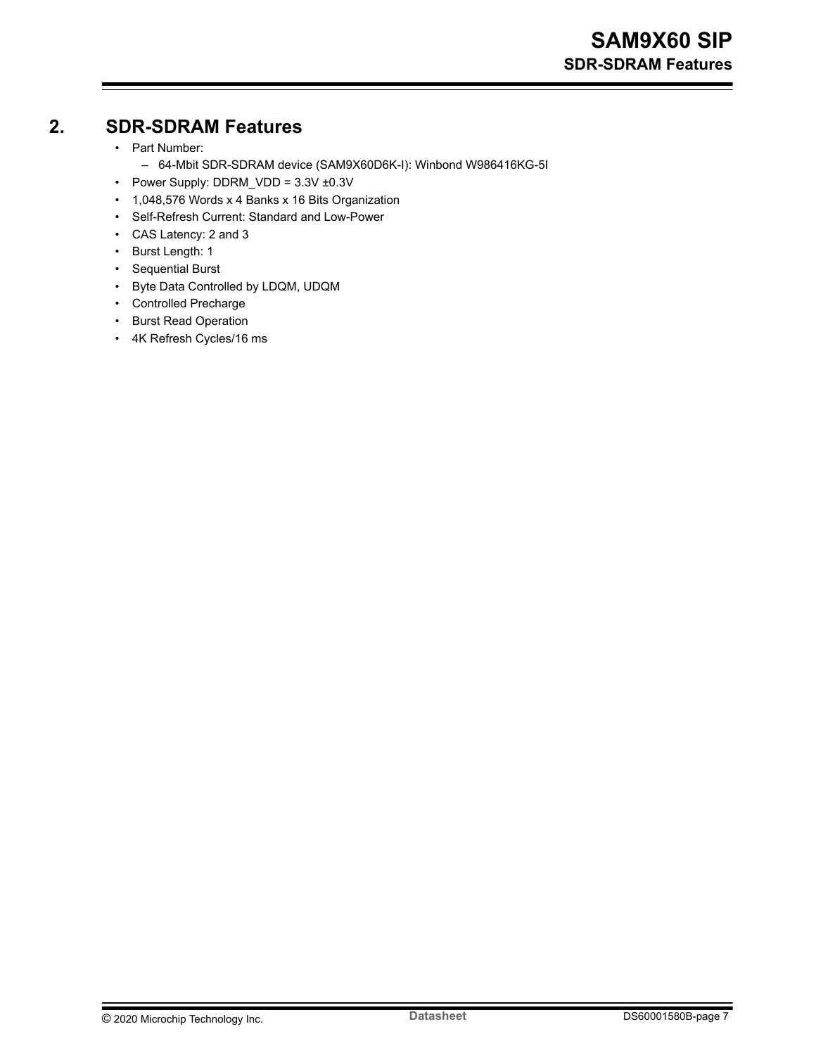### <span id="page-6-0"></span>**2. SDR-SDRAM Features**

- Part Number:
	- 64-Mbit SDR-SDRAM device (SAM9X60D6K-I): Winbond W986416KG-5I
- Power Supply: DDRM\_VDD = 3.3V ±0.3V
- 1,048,576 Words x 4 Banks x 16 Bits Organization
- Self-Refresh Current: Standard and Low-Power
- CAS Latency: 2 and 3
- Burst Length: 1
- Sequential Burst
- Byte Data Controlled by LDQM, UDQM
- Controlled Precharge
- Burst Read Operation
- 4K Refresh Cycles/16 ms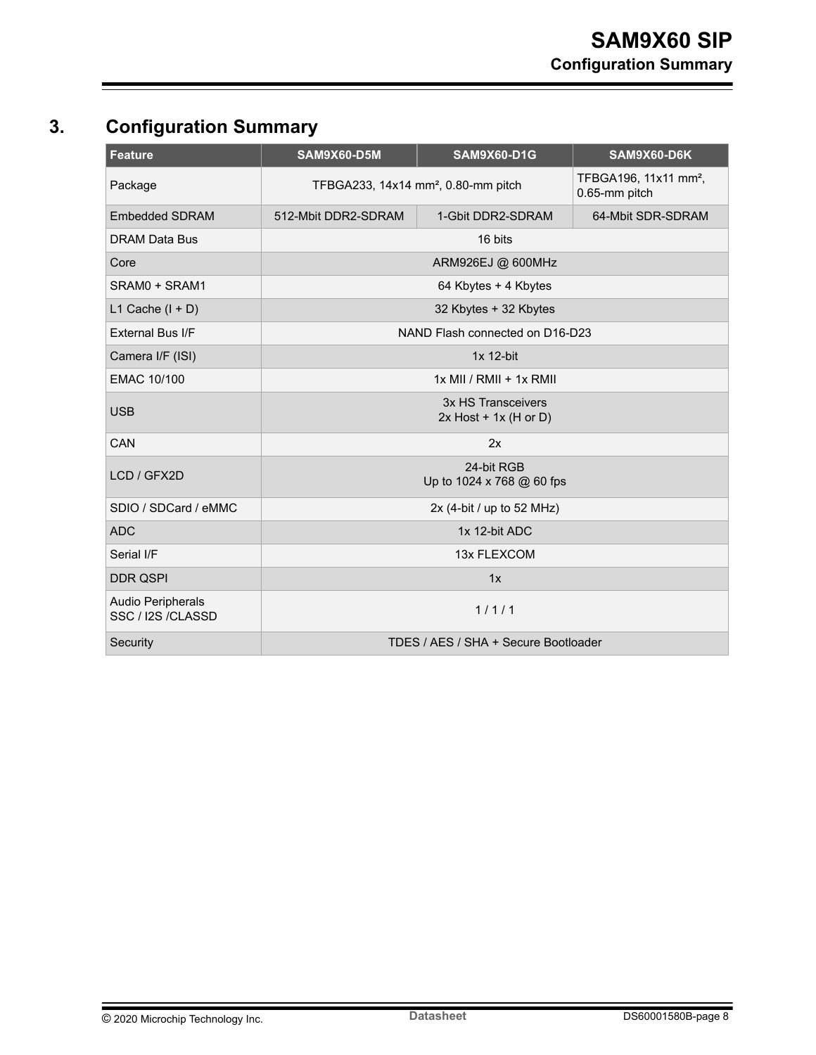## <span id="page-7-0"></span>**3. Configuration Summary**

| <b>Feature</b>                                 | SAM9X60-D5M                                     | <b>SAM9X60-D1G</b>                            | SAM9X60-D6K                                        |
|------------------------------------------------|-------------------------------------------------|-----------------------------------------------|----------------------------------------------------|
| Package                                        | TFBGA233, 14x14 mm <sup>2</sup> , 0.80-mm pitch |                                               | TFBGA196, 11x11 mm <sup>2</sup> ,<br>0.65-mm pitch |
| <b>Embedded SDRAM</b>                          | 512-Mbit DDR2-SDRAM                             | 1-Gbit DDR2-SDRAM                             | 64-Mbit SDR-SDRAM                                  |
| <b>DRAM Data Bus</b>                           |                                                 | 16 bits                                       |                                                    |
| Core                                           |                                                 | ARM926EJ @ 600MHz                             |                                                    |
| SRAM0 + SRAM1                                  |                                                 | 64 Kbytes + 4 Kbytes                          |                                                    |
| L1 Cache $(I + D)$                             |                                                 | 32 Kbytes + 32 Kbytes                         |                                                    |
| External Bus I/F                               |                                                 | NAND Flash connected on D16-D23               |                                                    |
| Camera I/F (ISI)                               |                                                 | $1x$ 12-bit                                   |                                                    |
| <b>EMAC 10/100</b>                             |                                                 | $1x$ MII / RMII + $1x$ RMII                   |                                                    |
| <b>USB</b>                                     |                                                 | 3x HS Transceivers<br>$2x$ Host + 1x (H or D) |                                                    |
| CAN                                            |                                                 | 2x                                            |                                                    |
| LCD / GFX2D                                    |                                                 | 24-bit RGB<br>Up to 1024 x 768 @ 60 fps       |                                                    |
| SDIO / SDCard / eMMC                           |                                                 | 2x (4-bit / up to 52 MHz)                     |                                                    |
| <b>ADC</b>                                     |                                                 | 1x 12-bit ADC                                 |                                                    |
| Serial I/F                                     |                                                 | 13x FLEXCOM                                   |                                                    |
| <b>DDR QSPI</b>                                |                                                 | 1x                                            |                                                    |
| <b>Audio Peripherals</b><br>SSC / I2S / CLASSD |                                                 | 1/1/1                                         |                                                    |
| Security                                       |                                                 | TDES / AES / SHA + Secure Bootloader          |                                                    |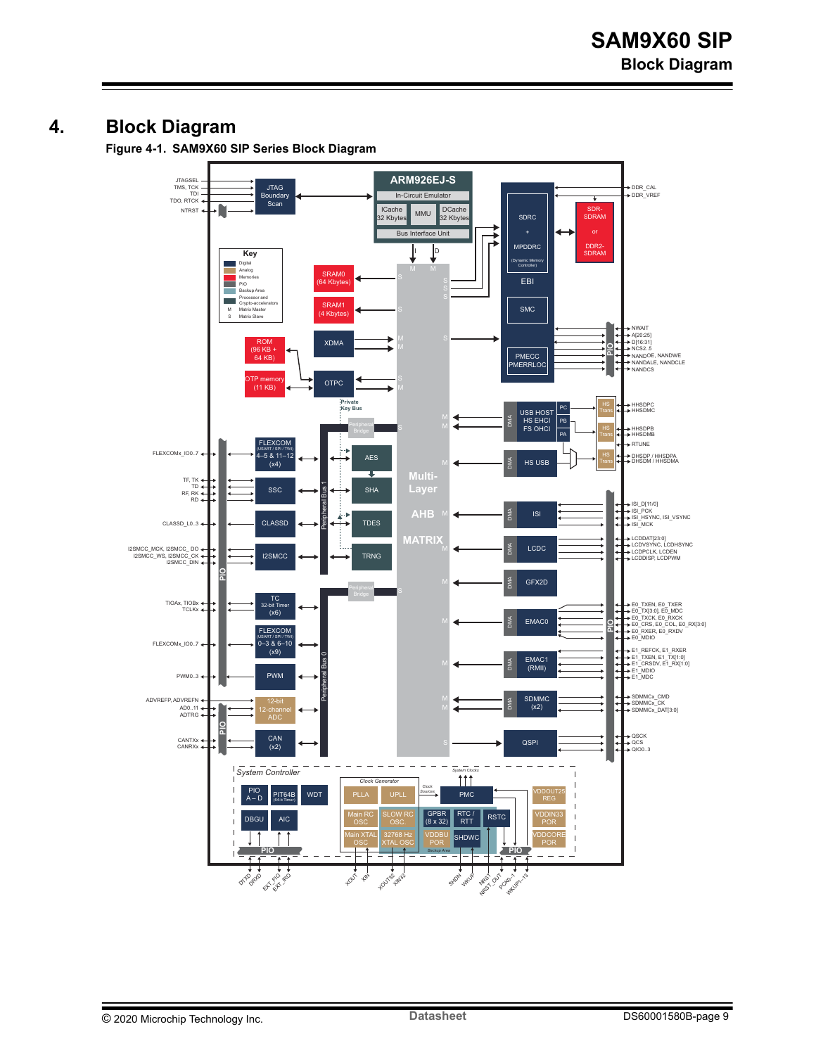### <span id="page-8-0"></span>**4. Block Diagram**

**Figure 4-1. SAM9X60 SIP Series Block Diagram**

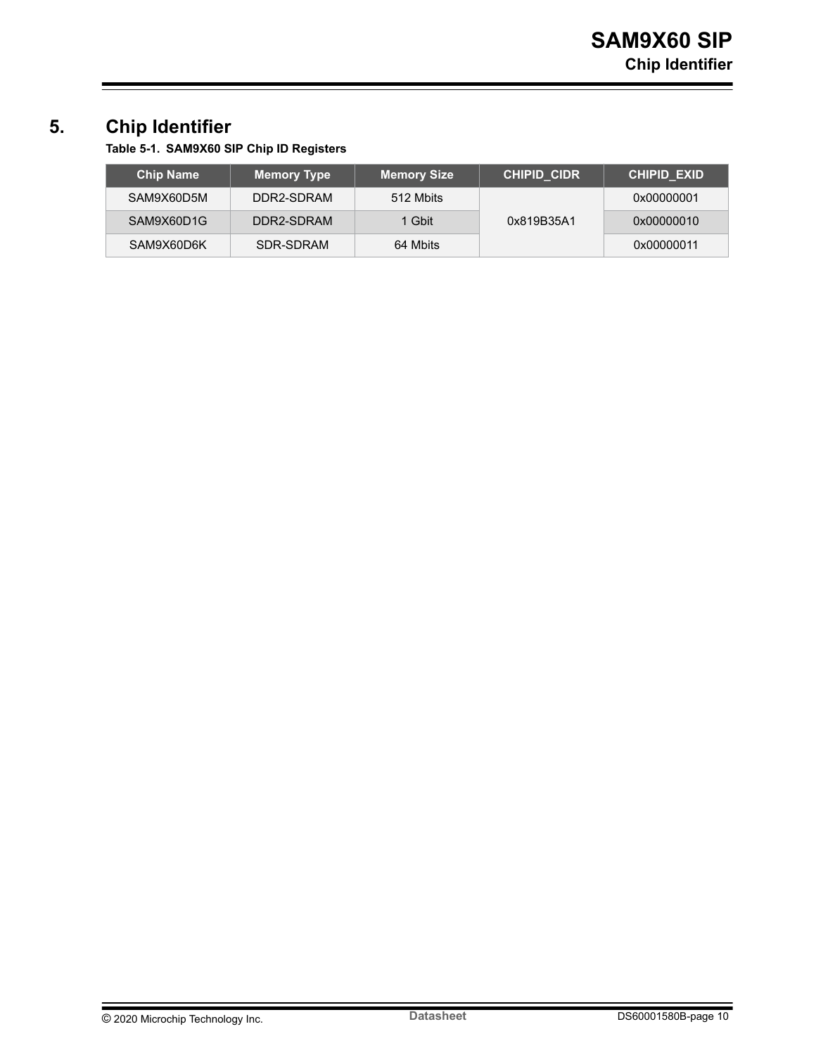## <span id="page-9-0"></span>**5. Chip Identifier**

**Table 5-1. SAM9X60 SIP Chip ID Registers**

| <b>Chip Name</b> | <b>Memory Type</b> | <b>Memory Size</b> | CHIPID CIDR | <b>CHIPID EXID</b> |
|------------------|--------------------|--------------------|-------------|--------------------|
| SAM9X60D5M       | DDR2-SDRAM         | 512 Mbits          |             | 0x00000001         |
| SAM9X60D1G       | DDR2-SDRAM         | 1 Gbit             | 0x819B35A1  | 0x00000010         |
| SAM9X60D6K       | SDR-SDRAM          | 64 Mbits           |             | 0x00000011         |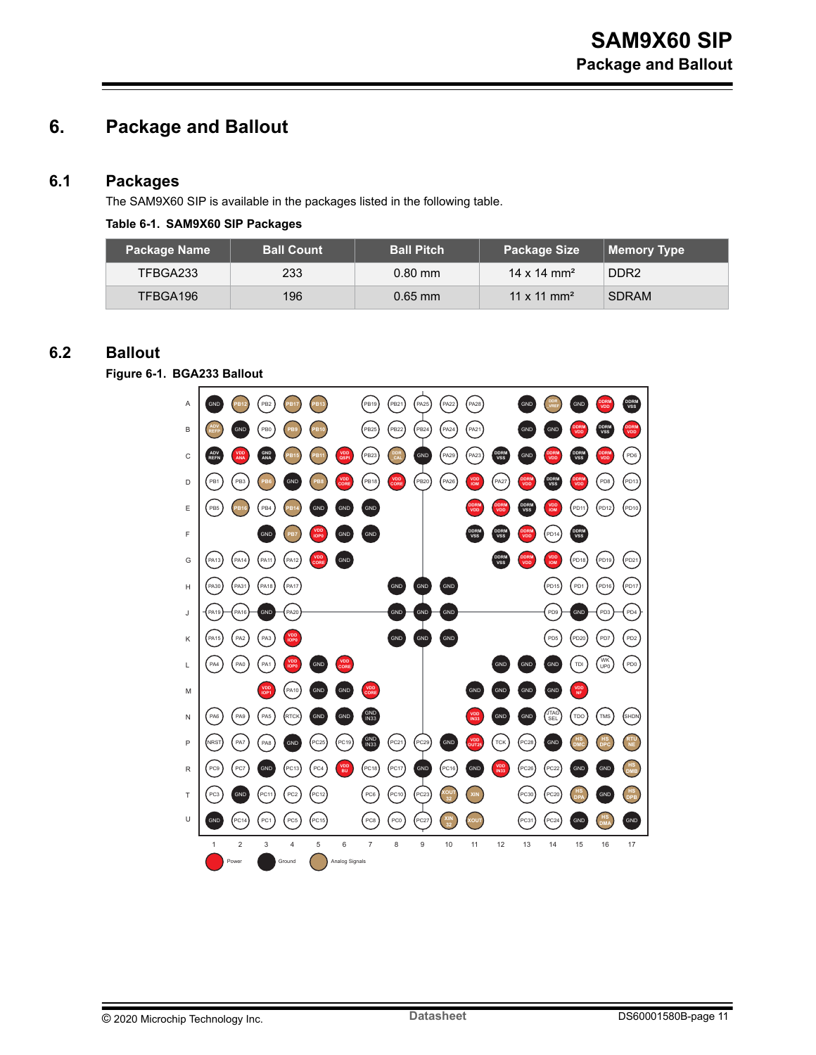## <span id="page-10-0"></span>**6. Package and Ballout**

#### **6.1 Packages**

The SAM9X60 SIP is available in the packages listed in the following table.

#### **Table 6-1. SAM9X60 SIP Packages**

| Package Name | <b>Ball Count</b> | <b>Ball Pitch</b> | <b>Package Size</b>     | Memory Type      |
|--------------|-------------------|-------------------|-------------------------|------------------|
| TFBGA233     | 233               | $0.80$ mm         | 14 x 14 mm <sup>2</sup> | DDR <sub>2</sub> |
| TFBGA196     | 196               | $0.65$ mm         | 11 x 11 mm <sup>2</sup> | <b>SDRAM</b>     |

### **6.2 Ballout**

**Figure 6-1. BGA233 Ballout**

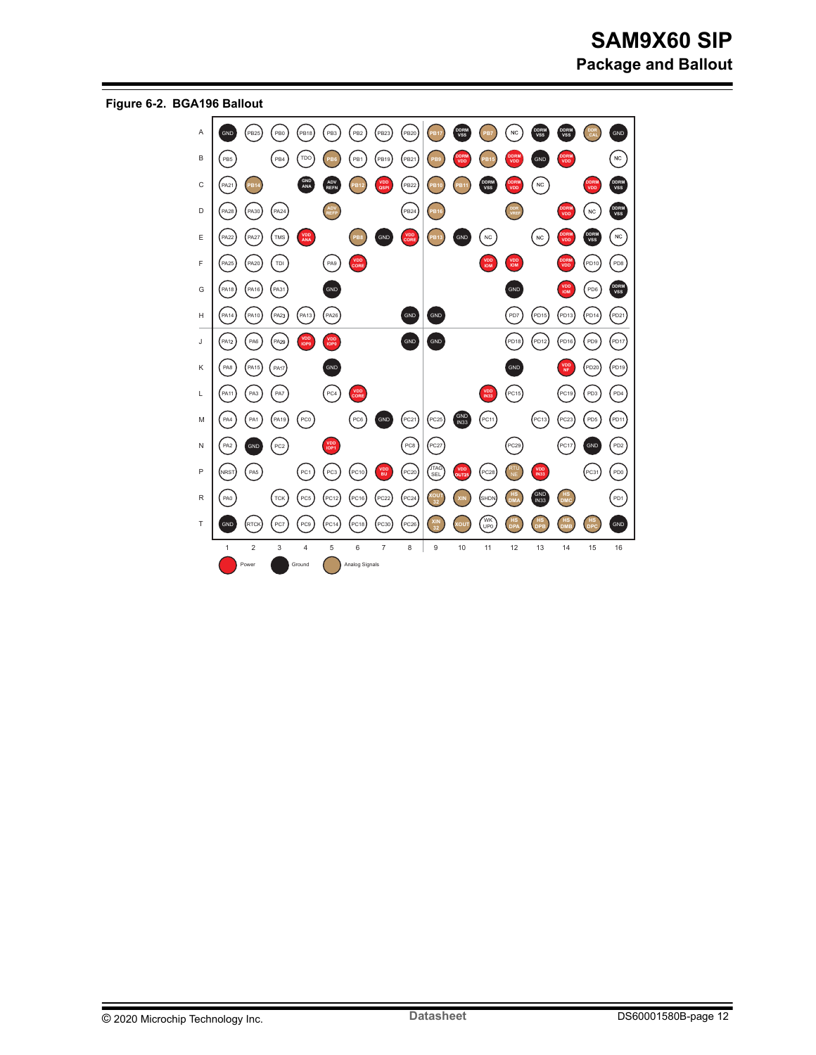

**Figure 6-2. BGA196 Ballout**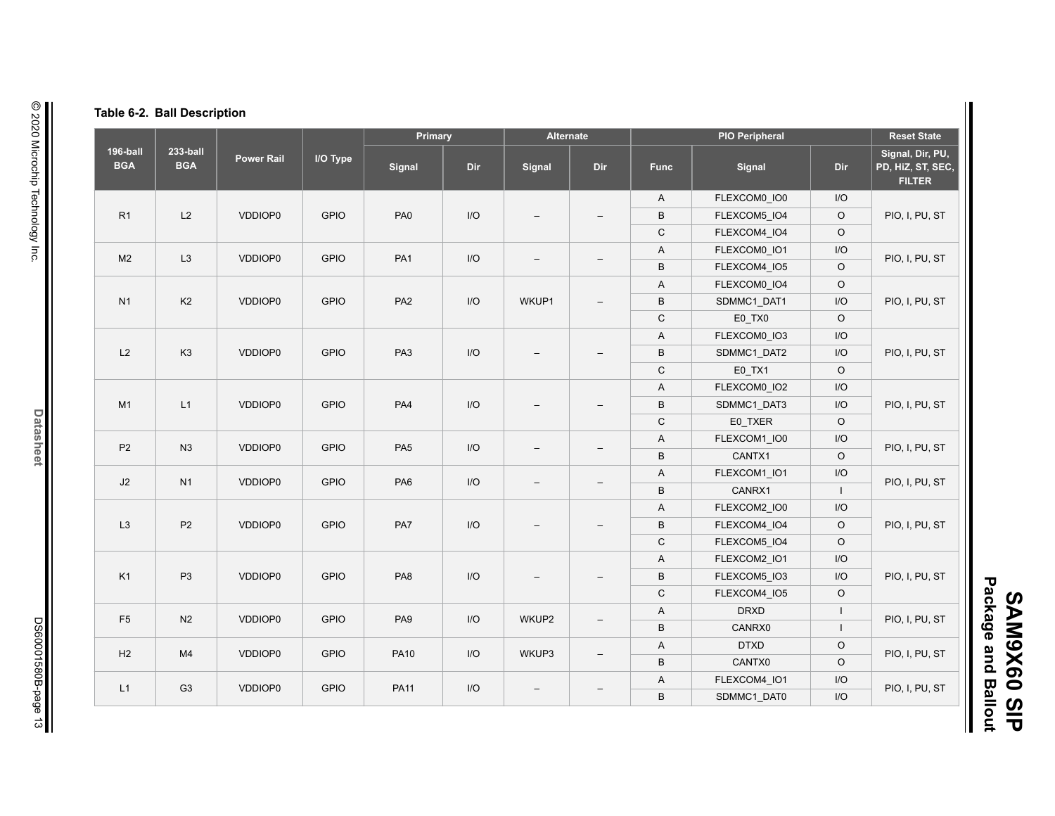|  |  |  | Table 6-2. Ball Description |
|--|--|--|-----------------------------|
|--|--|--|-----------------------------|

|                        |                        |                   |             | Primary         |     |                          | Alternate                |             | <b>PIO Peripheral</b>    |                         |                                                        |         |                |     |                |
|------------------------|------------------------|-------------------|-------------|-----------------|-----|--------------------------|--------------------------|-------------|--------------------------|-------------------------|--------------------------------------------------------|---------|----------------|-----|----------------|
| 196-ball<br><b>BGA</b> | 233-ball<br><b>BGA</b> | <b>Power Rail</b> | I/O Type    | Signal          | Dir | Signal                   | Dir                      | <b>Func</b> | Signal                   | Dir                     | Signal, Dir, PU,<br>PD, HiZ, ST, SEC,<br><b>FILTER</b> |         |                |     |                |
|                        |                        |                   |             |                 |     |                          |                          | A           | FLEXCOM0 IO0             | I/O                     |                                                        |         |                |     |                |
| R1                     | L2                     | VDDIOP0           | <b>GPIO</b> | PA <sub>0</sub> | I/O |                          | $\overline{\phantom{0}}$ | $\sf B$     | FLEXCOM5 IO4             | $\circ$                 | PIO, I, PU, ST                                         |         |                |     |                |
|                        |                        |                   |             |                 |     |                          |                          | $\mathsf C$ | FLEXCOM4 IO4             | $\circ$                 |                                                        |         |                |     |                |
| M <sub>2</sub>         | L <sub>3</sub>         | VDDIOP0           | <b>GPIO</b> | PA <sub>1</sub> | I/O | $\qquad \qquad -$        |                          | A           | FLEXCOM0_IO1             | I/O                     | PIO, I, PU, ST                                         |         |                |     |                |
|                        |                        |                   |             |                 |     |                          |                          | $\sf B$     | FLEXCOM4_IO5             | $\circ$                 |                                                        |         |                |     |                |
|                        |                        |                   |             |                 |     |                          |                          | A           | FLEXCOM0_IO4             | $\circ$                 |                                                        |         |                |     |                |
| N <sub>1</sub>         | K <sub>2</sub>         | VDDIOP0           | <b>GPIO</b> | PA <sub>2</sub> | I/O | WKUP1                    |                          | $\sf B$     | SDMMC1 DAT1              | I/O                     | PIO, I, PU, ST                                         |         |                |     |                |
|                        |                        |                   |             |                 |     |                          |                          | $\mathsf C$ | E0_TX0                   | $\circ$                 |                                                        |         |                |     |                |
|                        |                        |                   |             |                 |     |                          |                          | A           | FLEXCOM0_IO3             | I/O                     |                                                        |         |                |     |                |
| L2                     | K <sub>3</sub>         | VDDIOP0           | <b>GPIO</b> | PA <sub>3</sub> | I/O |                          |                          | $\sf B$     | SDMMC1_DAT2              | I/O                     | PIO, I, PU, ST                                         |         |                |     |                |
|                        |                        |                   |             |                 |     |                          |                          | $\mathsf C$ | $E0_TXX1$                | $\circ$                 |                                                        |         |                |     |                |
|                        |                        |                   |             |                 |     |                          |                          | A           | FLEXCOM0_IO2             | I/O                     |                                                        |         |                |     |                |
| M1                     | L1                     | VDDIOP0           | <b>GPIO</b> | PA4             | I/O |                          |                          |             |                          |                         |                                                        | B       | SDMMC1 DAT3    | I/O | PIO, I, PU, ST |
|                        |                        |                   |             |                 |     |                          |                          | ${\bf C}$   | E0_TXER                  | $\circ$                 |                                                        |         |                |     |                |
|                        |                        |                   |             |                 |     |                          |                          | A           | FLEXCOM1_IO0             | I/O                     |                                                        |         |                |     |                |
| P <sub>2</sub>         | N <sub>3</sub>         | VDDIOP0           | <b>GPIO</b> | PA <sub>5</sub> | I/O | $\overline{\phantom{0}}$ |                          | $\sf B$     | CANTX1                   | $\circ$                 | PIO, I, PU, ST                                         |         |                |     |                |
|                        |                        |                   |             |                 |     |                          |                          | A           | FLEXCOM1 IO1             | I/O                     |                                                        |         |                |     |                |
| J2                     | N1                     | VDDIOP0           | <b>GPIO</b> | PA <sub>6</sub> | I/O | $\overline{\phantom{0}}$ |                          | $\sf B$     | CANRX1                   | $\perp$                 | PIO, I, PU, ST                                         |         |                |     |                |
|                        |                        |                   |             |                 |     |                          |                          | A           | FLEXCOM2_IO0             | I/O                     |                                                        |         |                |     |                |
| L3                     | P2                     | VDDIOP0           | <b>GPIO</b> | PA7             |     | I/O                      |                          |             | $\overline{\phantom{0}}$ | $\sf B$                 | FLEXCOM4_IO4                                           | $\circ$ | PIO, I, PU, ST |     |                |
|                        |                        |                   |             |                 |     |                          |                          | $\mathsf C$ | FLEXCOM5_IO4             | $\mathsf O$             |                                                        |         |                |     |                |
|                        |                        |                   |             |                 |     |                          |                          | A           | FLEXCOM2_IO1             | I/O                     |                                                        |         |                |     |                |
| K <sub>1</sub>         | P <sub>3</sub>         | VDDIOP0           | <b>GPIO</b> | PA <sub>8</sub> | I/O |                          | $\equiv$                 | B           | FLEXCOM5 IO3             | I/O                     | PIO, I, PU, ST                                         |         |                |     |                |
|                        |                        |                   |             |                 |     |                          |                          | $\mathsf C$ | FLEXCOM4_IO5             | $\circ$                 |                                                        |         |                |     |                |
|                        |                        |                   |             |                 |     |                          |                          | A           | <b>DRXD</b>              | $\mathsf I$             |                                                        |         |                |     |                |
| F <sub>5</sub>         | N <sub>2</sub>         | VDDIOP0           | <b>GPIO</b> | PA <sub>9</sub> | I/O | WKUP2                    | $-$                      | $\sf B$     | CANRX0                   | $\mathbf{I}$            | PIO, I, PU, ST                                         |         |                |     |                |
|                        |                        |                   |             |                 |     |                          |                          | A           | <b>DTXD</b>              | $\circ$                 |                                                        |         |                |     |                |
| H2                     | M4                     | VDDIOP0           | <b>GPIO</b> | <b>PA10</b>     | I/O | WKUP3                    | $\overline{\phantom{0}}$ | $\sf B$     | CANTX0                   | $\circ$                 | PIO, I, PU, ST                                         |         |                |     |                |
|                        |                        |                   |             |                 |     |                          |                          | A           | FLEXCOM4_IO1             | I/O                     |                                                        |         |                |     |                |
| L1                     | G <sub>3</sub>         | VDDIOP0           | <b>GPIO</b> | <b>PA11</b>     | I/O | $\qquad \qquad -$        |                          | $\sf B$     | SDMMC1 DAT0              | $\mathsf{I}/\mathsf{O}$ | PIO, I, PU, ST                                         |         |                |     |                |
|                        |                        |                   |             |                 |     |                          |                          |             |                          |                         |                                                        |         |                |     |                |

 $\overline{\mathbf{I}}$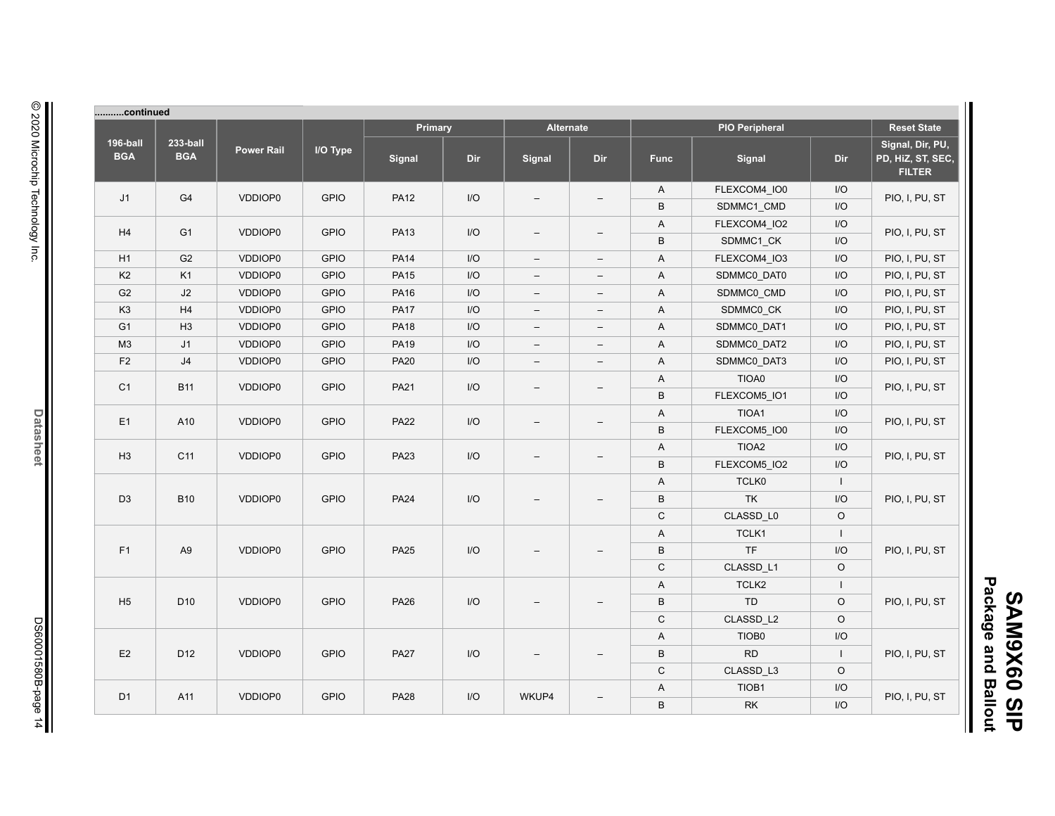| continued              |                        |                   |             |             |     |                          |                          |              |                       |                         |                                                        |
|------------------------|------------------------|-------------------|-------------|-------------|-----|--------------------------|--------------------------|--------------|-----------------------|-------------------------|--------------------------------------------------------|
|                        |                        |                   |             | Primary     |     | <b>Alternate</b>         |                          |              | <b>PIO Peripheral</b> |                         | <b>Reset State</b>                                     |
| 196-ball<br><b>BGA</b> | 233-ball<br><b>BGA</b> | <b>Power Rail</b> | I/O Type    | Signal      | Dir | Signal                   | Dir                      | <b>Func</b>  | Signal                | Dir                     | Signal, Dir, PU,<br>PD, HiZ, ST, SEC,<br><b>FILTER</b> |
|                        |                        |                   |             |             |     |                          |                          | A            | FLEXCOM4_IO0          | I/O                     |                                                        |
| J1                     | G4                     | VDDIOP0           | <b>GPIO</b> | <b>PA12</b> | I/O |                          | $\overline{\phantom{0}}$ | B            | SDMMC1 CMD            | I/O                     | PIO, I, PU, ST                                         |
|                        |                        |                   |             |             |     |                          |                          | A            | FLEXCOM4 IO2          | I/O                     |                                                        |
| H4                     | G <sub>1</sub>         | VDDIOP0           | <b>GPIO</b> | <b>PA13</b> | I/O | $\overline{\phantom{m}}$ | $\overline{\phantom{0}}$ | $\sf B$      | SDMMC1_CK             | I/O                     | PIO, I, PU, ST                                         |
| H1                     | G <sub>2</sub>         | VDDIOP0           | <b>GPIO</b> | <b>PA14</b> | I/O | $\overline{\phantom{m}}$ | $\overline{\phantom{0}}$ | A            | FLEXCOM4_IO3          | I/O                     | PIO, I, PU, ST                                         |
| K <sub>2</sub>         | K <sub>1</sub>         | VDDIOP0           | <b>GPIO</b> | <b>PA15</b> | I/O | $\overline{\phantom{a}}$ | $-$                      | A            | SDMMC0_DAT0           | I/O                     | PIO, I, PU, ST                                         |
| G <sub>2</sub>         | J2                     | VDDIOP0           | <b>GPIO</b> | <b>PA16</b> | I/O | $\overline{\phantom{m}}$ | $\qquad \qquad -$        | A            | SDMMC0 CMD            | I/O                     | PIO, I, PU, ST                                         |
| K <sub>3</sub>         | H <sub>4</sub>         | VDDIOP0           | <b>GPIO</b> | <b>PA17</b> | I/O | $\overline{\phantom{m}}$ | $\qquad \qquad -$        | A            | SDMMC0_CK             | I/O                     | PIO, I, PU, ST                                         |
| G <sub>1</sub>         | H <sub>3</sub>         | VDDIOP0           | <b>GPIO</b> | <b>PA18</b> | I/O | $\overline{\phantom{m}}$ | $\overline{\phantom{0}}$ | A            | SDMMC0_DAT1           | I/O                     | PIO, I, PU, ST                                         |
| M3                     | J <sub>1</sub>         | VDDIOP0           | <b>GPIO</b> | <b>PA19</b> | I/O | $\overline{\phantom{m}}$ | $-$                      | A            | SDMMC0 DAT2           | I/O                     | PIO, I, PU, ST                                         |
| F <sub>2</sub>         | J4                     | VDDIOP0           | <b>GPIO</b> | <b>PA20</b> | I/O | $\overline{\phantom{m}}$ | $\qquad \qquad -$        | A            | SDMMC0_DAT3           | I/O                     | PIO, I, PU, ST                                         |
|                        |                        |                   |             |             |     |                          |                          | A            | TIOA0                 | I/O                     |                                                        |
| C <sub>1</sub>         | <b>B11</b>             | VDDIOP0           | <b>GPIO</b> | <b>PA21</b> | I/O | $\overline{\phantom{m}}$ | $\overline{\phantom{0}}$ | $\sf B$      | FLEXCOM5_IO1          | I/O                     | PIO, I, PU, ST                                         |
|                        |                        |                   |             |             |     |                          |                          | Α            | TIOA1                 | I/O                     |                                                        |
| E1                     | A10                    | VDDIOP0           | <b>GPIO</b> | <b>PA22</b> | I/O | $\equiv$                 | $\overline{\phantom{0}}$ | $\sf B$      | FLEXCOM5_IO0          | I/O                     | PIO, I, PU, ST                                         |
|                        |                        |                   |             |             |     |                          |                          | Α            | TIOA <sub>2</sub>     | I/O                     |                                                        |
| H <sub>3</sub>         | C <sub>11</sub>        | VDDIOP0           | <b>GPIO</b> | <b>PA23</b> | I/O | $\overline{\phantom{a}}$ |                          | $\sf B$      | FLEXCOM5_IO2          | I/O                     | PIO, I, PU, ST                                         |
|                        |                        |                   |             |             |     |                          |                          | A            | TCLK0                 | $\mathbf{L}$            |                                                        |
| D <sub>3</sub>         | <b>B10</b>             | <b>VDDIOP0</b>    | <b>GPIO</b> | <b>PA24</b> | I/O |                          |                          | $\sf B$      | <b>TK</b>             | I/O                     | PIO, I, PU, ST                                         |
|                        |                        |                   |             |             |     |                          |                          | $\mathbf C$  | CLASSD_L0             | $\circ$                 |                                                        |
|                        |                        |                   |             |             |     |                          |                          | A            | TCLK1                 | $\mathbf{I}$            |                                                        |
| F1                     | A <sub>9</sub>         | VDDIOP0           | <b>GPIO</b> | <b>PA25</b> | I/O |                          |                          | $\, {\bf B}$ | TF                    | I/O                     | PIO, I, PU, ST                                         |
|                        |                        |                   |             |             |     |                          |                          | $\mathsf C$  | CLASSD_L1             | $\circ$                 |                                                        |
|                        |                        |                   |             |             |     |                          |                          | A            | TCLK2                 | $\mathbf{I}$            |                                                        |
| H <sub>5</sub>         | D <sub>10</sub>        | VDDIOP0           | <b>GPIO</b> | <b>PA26</b> | I/O |                          | $\overline{\phantom{0}}$ | $\sf B$      | TD                    | $\circ$                 | PIO, I, PU, ST                                         |
|                        |                        |                   |             |             |     |                          |                          | $\mathsf C$  | CLASSD_L2             | $\circ$                 |                                                        |
|                        |                        |                   |             |             |     |                          |                          | A            | TIOB0                 | I/O                     |                                                        |
| E2                     | D <sub>12</sub>        | VDDIOP0           | <b>GPIO</b> | <b>PA27</b> | I/O |                          |                          | $\sf B$      | <b>RD</b>             | $\mathbf{L}$            | PIO, I, PU, ST                                         |
|                        |                        |                   |             |             |     |                          |                          | $\mathsf C$  | CLASSD_L3             | $\circ$                 |                                                        |
|                        |                        |                   |             |             |     |                          |                          | A            | TIOB1                 | $\mathsf{I}/\mathsf{O}$ |                                                        |
| D <sub>1</sub>         | A11                    | VDDIOP0           | <b>GPIO</b> | <b>PA28</b> | I/O | WKUP4                    |                          | $\sf B$      | <b>RK</b>             | I/O                     | PIO, I, PU, ST                                         |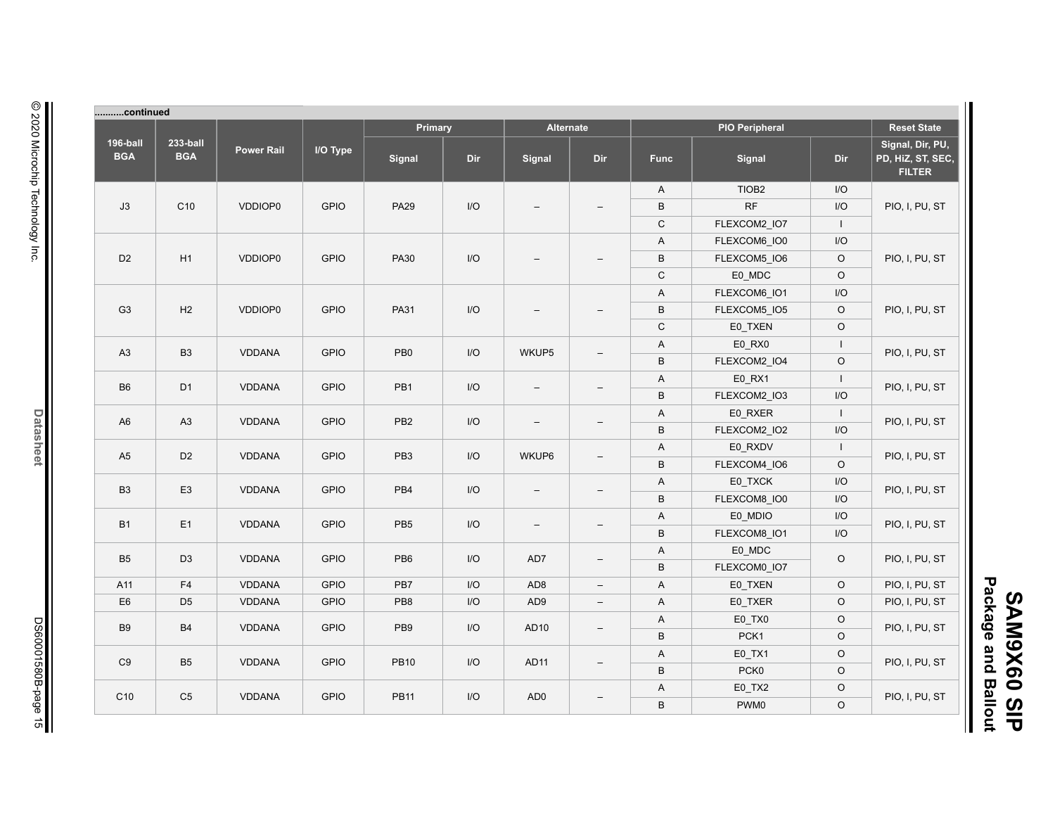| continued              |                        |                   |             |                 |                         |                          |                          |                           |                       |                          |                                                        |
|------------------------|------------------------|-------------------|-------------|-----------------|-------------------------|--------------------------|--------------------------|---------------------------|-----------------------|--------------------------|--------------------------------------------------------|
|                        |                        |                   |             | Primary         |                         |                          | <b>Alternate</b>         |                           | <b>PIO Peripheral</b> |                          | <b>Reset State</b>                                     |
| 196-ball<br><b>BGA</b> | 233-ball<br><b>BGA</b> | <b>Power Rail</b> | I/O Type    | Signal          | Dir                     | Signal                   | Dir                      | <b>Func</b>               | Signal                | Dir                      | Signal, Dir, PU,<br>PD, HiZ, ST, SEC,<br><b>FILTER</b> |
|                        |                        |                   |             |                 |                         |                          |                          | A                         | TIOB <sub>2</sub>     | I/O                      |                                                        |
| J3                     | C <sub>10</sub>        | VDDIOP0           | <b>GPIO</b> | <b>PA29</b>     | I/O                     |                          | $\overline{\phantom{0}}$ | $\,$ B                    | RF                    | I/O                      | PIO, I, PU, ST                                         |
|                        |                        |                   |             |                 |                         |                          |                          | $\mathsf C$               | FLEXCOM2_IO7          | $\overline{\phantom{a}}$ |                                                        |
|                        |                        |                   |             |                 |                         |                          |                          | A                         | FLEXCOM6_IO0          | $\mathsf{I}/\mathsf{O}$  |                                                        |
| D <sub>2</sub>         | H1                     | VDDIOP0           | <b>GPIO</b> | <b>PA30</b>     | I/O                     |                          |                          | $\, {\sf B}$              | FLEXCOM5_IO6          | $\circ$                  | PIO, I, PU, ST                                         |
|                        |                        |                   |             |                 |                         |                          |                          | $\mathsf C$               | E0_MDC                | $\mathsf O$              |                                                        |
|                        |                        |                   |             |                 |                         |                          |                          | A                         | FLEXCOM6_IO1          | $\mathsf{I}/\mathsf{O}$  |                                                        |
| G <sub>3</sub>         | H2                     | VDDIOP0           | <b>GPIO</b> | <b>PA31</b>     | $\overline{U}$          |                          |                          | $\, {\sf B}$              | FLEXCOM5_IO5          | $\circ$                  | PIO, I, PU, ST                                         |
|                        |                        |                   |             |                 |                         |                          |                          | $\mathsf C$               | E0_TXEN               | $\circ$                  |                                                        |
|                        |                        |                   |             |                 |                         |                          |                          | A                         | E0_RX0                | $\mathbf{I}$             |                                                        |
| A <sub>3</sub>         | B <sub>3</sub>         | <b>VDDANA</b>     | <b>GPIO</b> | PB <sub>0</sub> | I/O                     | WKUP5                    | $\overline{\phantom{a}}$ | B                         | FLEXCOM2_IO4          | $\circ$                  | PIO, I, PU, ST                                         |
|                        |                        |                   |             |                 |                         |                          |                          | A                         | E0 RX1                | $\mathbf{I}$             |                                                        |
| B <sub>6</sub>         | D <sub>1</sub>         | <b>VDDANA</b>     | <b>GPIO</b> | PB <sub>1</sub> | I/O                     | $\overline{\phantom{0}}$ | $\qquad \qquad -$        | $\,$ B                    | FLEXCOM2 IO3          | I/O                      | PIO, I, PU, ST                                         |
|                        |                        |                   |             |                 |                         |                          |                          | A                         | E0_RXER               | $\overline{\phantom{a}}$ |                                                        |
| A <sub>6</sub>         | A3                     | <b>VDDANA</b>     | <b>GPIO</b> | PB <sub>2</sub> | $\mathsf{I}/\mathsf{O}$ | $-$                      | $\overline{\phantom{a}}$ | B                         | FLEXCOM2_IO2          | I/O                      | PIO, I, PU, ST                                         |
|                        | D <sub>2</sub>         |                   |             |                 |                         |                          |                          | A                         | E0_RXDV               | $\mathbf{I}$             |                                                        |
| A <sub>5</sub>         |                        | <b>VDDANA</b>     | <b>GPIO</b> | PB <sub>3</sub> | I/O                     | WKUP6                    | $\overline{\phantom{a}}$ | B                         | FLEXCOM4 IO6          | $\circ$                  | PIO, I, PU, ST                                         |
| <b>B3</b>              | E <sub>3</sub>         |                   | <b>GPIO</b> | PB4             | I/O                     |                          |                          | A                         | E0 TXCK               | I/O                      | PIO, I, PU, ST                                         |
|                        |                        | <b>VDDANA</b>     |             |                 |                         | $\overline{\phantom{m}}$ | $\overline{\phantom{a}}$ | $\,$ B                    | FLEXCOM8_IO0          | I/O                      |                                                        |
|                        |                        |                   |             |                 |                         |                          |                          | A                         | E0_MDIO               | I/O                      |                                                        |
| <b>B1</b>              | E1                     | <b>VDDANA</b>     | <b>GPIO</b> | PB <sub>5</sub> | $\mathsf{I}/\mathsf{O}$ | $\overline{\phantom{a}}$ | $\qquad \qquad -$        | B                         | FLEXCOM8_IO1          | I/O                      | PIO, I, PU, ST                                         |
|                        |                        |                   |             |                 |                         |                          |                          | A                         | E0_MDC                |                          |                                                        |
| <b>B5</b>              | D <sub>3</sub>         | VDDANA            | <b>GPIO</b> | PB <sub>6</sub> | $\mathsf{I}/\mathsf{O}$ | AD7                      | $\overline{\phantom{a}}$ | $\,$ B                    | FLEXCOM0_IO7          | $\circ$                  | PIO, I, PU, ST                                         |
| A11                    | F <sub>4</sub>         | VDDANA            | <b>GPIO</b> | PB7             | I/O                     | AD <sub>8</sub>          | $\overline{\phantom{0}}$ | A                         | E0 TXEN               | $\circ$                  | PIO, I, PU, ST                                         |
| E <sub>6</sub>         | D <sub>5</sub>         | <b>VDDANA</b>     | <b>GPIO</b> | PB <sub>8</sub> | I/O                     | AD <sub>9</sub>          | $\overline{\phantom{a}}$ | A                         | E0_TXER               | $\circ$                  | PIO, I, PU, ST                                         |
|                        |                        |                   |             |                 |                         |                          |                          | A                         | E0_TX0                | $\circ$                  |                                                        |
| <b>B9</b>              | <b>B4</b>              | <b>VDDANA</b>     | <b>GPIO</b> | PB <sub>9</sub> | I/O                     | AD10                     | $\qquad \qquad -$        | B                         | PCK1                  | $\circ$                  | PIO, I, PU, ST                                         |
| C <sub>9</sub>         |                        |                   | <b>GPIO</b> | <b>PB10</b>     |                         |                          |                          | A                         | E0_TX1                | $\circ$                  |                                                        |
|                        | B <sub>5</sub>         | <b>VDDANA</b>     |             |                 | I/O                     | AD11                     | $\overline{\phantom{0}}$ | $\,$ B                    | PCK0                  | $\mathsf O$              | PIO, I, PU, ST                                         |
| C <sub>10</sub>        |                        |                   | <b>GPIO</b> |                 |                         |                          |                          | $\boldsymbol{\mathsf{A}}$ | $E0_TXX2$             | $\circ$                  |                                                        |
|                        | C <sub>5</sub>         | <b>VDDANA</b>     |             | <b>PB11</b>     | $UO$                    | AD <sub>0</sub>          |                          | $\sf B$                   | PWM0                  | $\circ$                  | PIO, I, PU, ST                                         |

**SAM9X60 SIP<br>Package and Ballout Package and Ballout SAM9X60 SIP**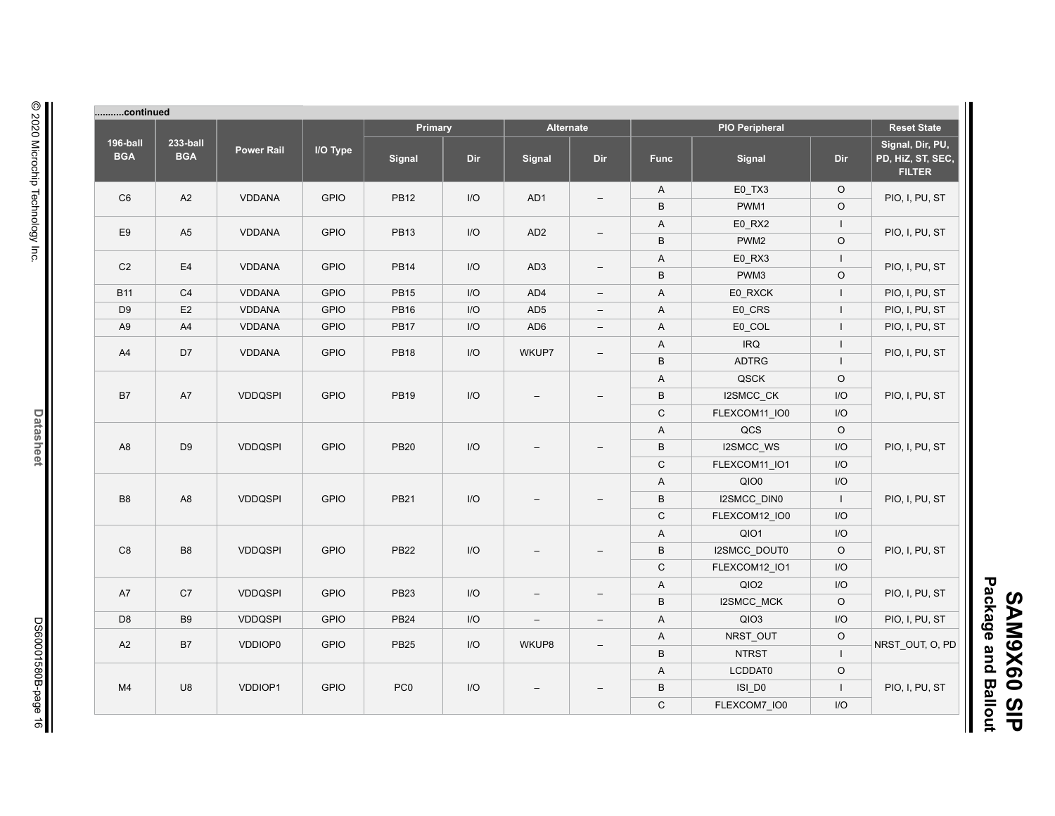| Package        |                |
|----------------|----------------|
|                | <b>SAM9X60</b> |
| and            |                |
| <b>Ballout</b> | $\frac{6}{5}$  |

П

| continued              |                        |                   |             |                 |                |                          |                          |              |                       |                    |                                                        |
|------------------------|------------------------|-------------------|-------------|-----------------|----------------|--------------------------|--------------------------|--------------|-----------------------|--------------------|--------------------------------------------------------|
|                        |                        |                   |             | Primary         |                |                          | <b>Alternate</b>         |              | <b>PIO Peripheral</b> | <b>Reset State</b> |                                                        |
| 196-ball<br><b>BGA</b> | 233-ball<br><b>BGA</b> | <b>Power Rail</b> | I/O Type    | <b>Signal</b>   | Dir            | Signal                   | Dir                      | <b>Func</b>  | Signal                | <b>Dir</b>         | Signal, Dir, PU,<br>PD, HiZ, ST, SEC,<br><b>FILTER</b> |
|                        |                        |                   |             |                 |                |                          |                          | $\mathsf{A}$ | E0_TX3                | $\circ$            |                                                        |
| C <sub>6</sub>         | A2                     | <b>VDDANA</b>     | <b>GPIO</b> | <b>PB12</b>     | I/O            | AD1                      | $\overline{\phantom{m}}$ | B            | PWM1                  | $\circ$            | PIO, I, PU, ST                                         |
| E <sub>9</sub>         | A <sub>5</sub>         |                   | <b>GPIO</b> | <b>PB13</b>     | I/O            | AD <sub>2</sub>          | $\equiv$                 | A            | E0_RX2                | $\mathbf{I}$       |                                                        |
|                        |                        | <b>VDDANA</b>     |             |                 |                |                          |                          | B            | PWM <sub>2</sub>      | $\circ$            | PIO, I, PU, ST                                         |
| C <sub>2</sub>         | E4                     | <b>VDDANA</b>     | <b>GPIO</b> | <b>PB14</b>     | I/O            | AD <sub>3</sub>          |                          | A            | E0_RX3                | $\mathbf{I}$       | PIO, I, PU, ST                                         |
|                        |                        |                   |             |                 |                |                          | $\overline{\phantom{m}}$ | $\sf B$      | PWM3                  | $\circ$            |                                                        |
| <b>B11</b>             | C <sub>4</sub>         | <b>VDDANA</b>     | <b>GPIO</b> | <b>PB15</b>     | I/O            | AD4                      | $\overline{\phantom{a}}$ | A            | E0_RXCK               | $\mathbf{I}$       | PIO, I, PU, ST                                         |
| D <sub>9</sub>         | E2                     | VDDANA            | <b>GPIO</b> | <b>PB16</b>     | I/O            | AD <sub>5</sub>          | $\overline{\phantom{a}}$ | A            | E0_CRS                | $\mathbf{I}$       | PIO, I, PU, ST                                         |
| A <sub>9</sub>         | A4                     | VDDANA            | <b>GPIO</b> | <b>PB17</b>     | I/O            | AD <sub>6</sub>          | $\overline{\phantom{a}}$ | A            | E0_COL                | $\mathbf{I}$       | PIO, I, PU, ST                                         |
|                        |                        |                   |             |                 |                |                          |                          | A            | <b>IRQ</b>            | $\mathbf{I}$       |                                                        |
| A4                     | D7                     | <b>VDDANA</b>     | <b>GPIO</b> | <b>PB18</b>     | I/O            | WKUP7                    | $\overline{\phantom{m}}$ | B            | <b>ADTRG</b>          | $\mathbf{I}$       | PIO, I, PU, ST                                         |
|                        |                        |                   |             |                 |                |                          |                          | A            | QSCK                  | $\circ$            |                                                        |
| B7                     | A7                     | <b>VDDQSPI</b>    | <b>GPIO</b> | <b>PB19</b>     | I/O            | $\overline{\phantom{0}}$ | $\equiv$                 | $\sf B$      | I2SMCC_CK             | I/O                | PIO, I, PU, ST                                         |
|                        |                        |                   |             |                 |                |                          |                          | $\mathsf C$  | FLEXCOM11 IO0         | I/O                |                                                        |
|                        | D <sub>9</sub>         | <b>VDDQSPI</b>    |             |                 |                |                          |                          | A            | QCS                   | $\circ$            |                                                        |
| A <sub>8</sub>         |                        |                   | <b>GPIO</b> | <b>PB20</b>     | I/O            | $\overline{\phantom{0}}$ |                          | $\sf B$      | I2SMCC_WS             | I/O                | PIO, I, PU, ST                                         |
|                        |                        |                   |             |                 |                |                          |                          | $\mathsf C$  | FLEXCOM11_IO1         | I/O                |                                                        |
|                        |                        |                   |             |                 |                |                          |                          | A            | QIO0                  | I/O                |                                                        |
| B <sub>8</sub>         | A <sub>8</sub>         | <b>VDDQSPI</b>    | <b>GPIO</b> | <b>PB21</b>     | I/O            |                          |                          | $\sf B$      | I2SMCC_DIN0           | $\mathbf{I}$       | PIO, I, PU, ST                                         |
|                        |                        |                   |             |                 |                |                          |                          | $\mathsf C$  | FLEXCOM12 IO0         | I/O                |                                                        |
|                        |                        |                   |             |                 |                |                          |                          | A            | QIO1                  | I/O                |                                                        |
| C <sub>8</sub>         | B <sub>8</sub>         | <b>VDDQSPI</b>    | <b>GPIO</b> | <b>PB22</b>     | 1/O            | $\qquad \qquad -$        |                          | $\sf B$      | I2SMCC_DOUT0          | $\circ$            | PIO, I, PU, ST                                         |
|                        |                        |                   |             |                 |                |                          |                          | $\mathsf C$  | FLEXCOM12_IO1         | I/O                |                                                        |
|                        |                        |                   |             |                 |                |                          |                          | A            | QIO2                  | I/O                |                                                        |
| A7                     | C7                     | <b>VDDQSPI</b>    | <b>GPIO</b> | <b>PB23</b>     | 1/O            | $\overline{\phantom{0}}$ | $\overline{\phantom{0}}$ | B            | I2SMCC_MCK            | $\circ$            | PIO, I, PU, ST                                         |
| D <sub>8</sub>         | B <sub>9</sub>         | <b>VDDQSPI</b>    | <b>GPIO</b> | <b>PB24</b>     | I/O            | $\qquad \qquad -$        | $\equiv$                 | A            | QIO3                  | I/O                | PIO, I, PU, ST                                         |
|                        |                        |                   |             |                 |                |                          |                          | A            | NRST_OUT              | $\circ$            |                                                        |
| A2                     | B7                     | VDDIOP0           | <b>GPIO</b> | <b>PB25</b>     | I/O            | WKUP8                    | $\overline{\phantom{m}}$ | $\sf B$      | <b>NTRST</b>          | $\perp$            | NRST_OUT, O, PD                                        |
|                        |                        |                   |             |                 |                |                          |                          | A            | LCDDAT0               | $\circ$            |                                                        |
| M <sub>4</sub>         | U8                     | VDDIOP1           | <b>GPIO</b> | PC <sub>0</sub> | $\overline{U}$ | $\qquad \qquad -$        |                          | B            | ISI_D0                | $\perp$            | PIO, I, PU, ST                                         |
|                        |                        |                   |             |                 |                |                          | $\mathsf C$              | FLEXCOM7_IO0 | I/O                   |                    |                                                        |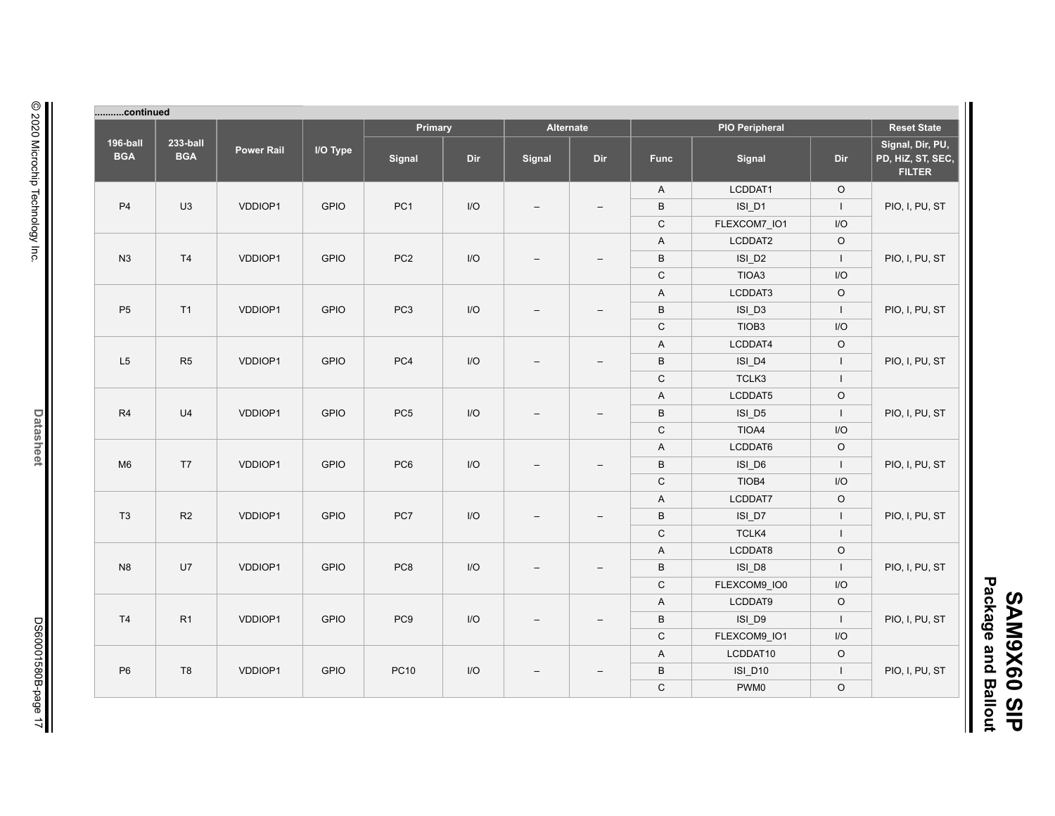| continued                                              |              |                       |                           |                          |                          |                         |                 |             |                         |                        |                        |         |    |             |             |         |                |
|--------------------------------------------------------|--------------|-----------------------|---------------------------|--------------------------|--------------------------|-------------------------|-----------------|-------------|-------------------------|------------------------|------------------------|---------|----|-------------|-------------|---------|----------------|
| <b>Reset State</b>                                     |              | <b>PIO Peripheral</b> |                           |                          | Alternate                |                         | Primary         |             |                         |                        |                        |         |    |             |             |         |                |
| Signal, Dir, PU,<br>PD, HiZ, ST, SEC,<br><b>FILTER</b> | Dir          | Signal                | <b>Func</b>               | Dir                      | Signal                   | Dir                     | Signal          | I/O Type    | <b>Power Rail</b>       | 233-ball<br><b>BGA</b> | 196-ball<br><b>BGA</b> |         |    |             |             |         |                |
|                                                        | $\circ$      | LCDDAT1               | $\mathsf A$               |                          |                          |                         |                 |             |                         |                        |                        |         |    |             |             |         |                |
| PIO, I, PU, ST                                         | $\mathbf{I}$ | ISI_D1                | $\sf B$                   | $\overline{\phantom{0}}$ | $\overline{\phantom{a}}$ | $\mathsf{I}/\mathsf{O}$ | PC <sub>1</sub> | <b>GPIO</b> | VDDIOP1                 | U3                     | P4                     |         |    |             |             |         |                |
|                                                        | I/O          | FLEXCOM7_IO1          | $\mathsf C$               |                          |                          |                         |                 |             |                         |                        |                        |         |    |             |             |         |                |
|                                                        | $\mathsf O$  | LCDDAT2               | $\mathsf A$               |                          |                          |                         |                 |             |                         |                        |                        |         |    |             |             |         |                |
| PIO, I, PU, ST                                         | $\mathbf{I}$ | ISI_D <sub>2</sub>    | $\, {\sf B}$              | ۳                        | $\overline{\phantom{a}}$ | $\mathsf{I}/\mathsf{O}$ | PC <sub>2</sub> | <b>GPIO</b> | VDDIOP1                 | T4                     | N3                     |         |    |             |             |         |                |
|                                                        | I/O          | TIOA3                 | $\mathsf C$               |                          |                          |                         |                 |             |                         |                        |                        |         |    |             |             |         |                |
|                                                        | $\circ$      | LCDDAT3               | A                         |                          |                          |                         |                 |             |                         |                        |                        |         |    |             |             |         |                |
| PIO, I, PU, ST                                         | $\mathbf{I}$ | ISI_D3                | $\, {\sf B}$              | $\overline{\phantom{0}}$ |                          | $\mathsf{I}/\mathsf{O}$ | PC <sub>3</sub> | <b>GPIO</b> | VDDIOP1                 | T1                     | P <sub>5</sub>         |         |    |             |             |         |                |
|                                                        | I/O          | TIOB <sub>3</sub>     | $\mathsf C$               |                          |                          |                         |                 |             |                         |                        |                        |         |    |             |             |         |                |
|                                                        | $\circ$      | LCDDAT4               | $\boldsymbol{\mathsf{A}}$ |                          |                          |                         |                 |             |                         |                        |                        |         |    |             |             |         |                |
| PIO, I, PU, ST                                         | $\mathbf{I}$ | $ISI_D4$              | $\, {\sf B}$              | $\overline{\phantom{0}}$ |                          | I/O                     | PC4             | <b>GPIO</b> | VDDIOP1                 | R5                     | L5                     |         |    |             |             |         |                |
|                                                        | $\mathbf{I}$ | TCLK3                 | ${\bf C}$                 |                          |                          |                         |                 |             |                         |                        |                        |         |    |             |             |         |                |
|                                                        | $\mathsf O$  | LCDDAT5               | A                         |                          |                          |                         |                 |             |                         |                        |                        |         |    |             |             |         |                |
| PIO, I, PU, ST                                         | $\mathbf{I}$ | ISI_D5                | $\, {\sf B}$              | $\equiv$                 |                          |                         |                 |             | $\mathsf{I}/\mathsf{O}$ | PC <sub>5</sub>        | <b>GPIO</b>            | VDDIOP1 | U4 | R4          |             |         |                |
|                                                        | I/O          | TIOA4                 | $\mathsf C$               |                          |                          |                         |                 |             |                         |                        |                        |         |    |             |             |         |                |
|                                                        | $\circ$      | LCDDAT6               | A                         |                          |                          |                         |                 |             |                         |                        |                        |         |    |             |             |         |                |
| PIO, I, PU, ST                                         | $\mathbf{I}$ | ISI_D6                | $\, {\sf B}$              | $\equiv$                 |                          | $\mathsf{I}/\mathsf{O}$ | PC <sub>6</sub> | <b>GPIO</b> | VDDIOP1                 | T7                     | M <sub>6</sub>         |         |    |             |             |         |                |
|                                                        | I/O          | TIOB4                 | ${\bf C}$                 |                          |                          |                         |                 |             |                         |                        |                        |         |    |             |             |         |                |
|                                                        | $\circ$      | LCDDAT7               | A                         |                          |                          |                         |                 |             |                         |                        |                        |         |    |             |             |         |                |
| PIO, I, PU, ST                                         | $\mathbf{I}$ | ISI_D7                | $\, {\sf B}$              |                          |                          | $\mathsf{I}/\mathsf{O}$ | PC7             | <b>GPIO</b> | VDDIOP1                 | R2                     | T <sub>3</sub>         |         |    |             |             |         |                |
|                                                        | $\mathbf{I}$ | TCLK4                 | ${\bf C}$                 |                          |                          |                         |                 |             |                         |                        |                        |         |    |             |             |         |                |
|                                                        | $\mathsf O$  | LCDDAT8               | $\boldsymbol{\mathsf{A}}$ |                          |                          |                         |                 |             |                         |                        |                        |         |    |             |             |         |                |
| PIO, I, PU, ST                                         | $\mathbf{I}$ | ISI_D8                | $\, {\sf B}$              | $\overline{\phantom{0}}$ |                          | $\mathsf{I}/\mathsf{O}$ | PC8             | <b>GPIO</b> | VDDIOP1                 | U7                     | N <sub>8</sub>         |         |    |             |             |         |                |
|                                                        | I/O          | FLEXCOM9_IO0          | $\mathsf C$               |                          |                          |                         |                 |             |                         |                        |                        |         |    |             |             |         |                |
|                                                        | $\circ$      | LCDDAT9               | $\boldsymbol{\mathsf{A}}$ |                          |                          |                         |                 |             |                         |                        |                        |         |    |             |             |         |                |
| PIO, I, PU, ST                                         | $\mathbf{I}$ | ISI_D9                | $\, {\sf B}$              | $\overline{\phantom{0}}$ | $\overline{\phantom{a}}$ | I/O                     | PC <sub>9</sub> | <b>GPIO</b> | VDDIOP1                 | R1                     | T <sub>4</sub>         |         |    |             |             |         |                |
|                                                        | I/O          | FLEXCOM9_IO1          | $\mathsf C$               |                          |                          |                         |                 |             |                         |                        |                        |         |    |             |             |         |                |
|                                                        | $\mathsf O$  | LCDDAT10              | $\boldsymbol{\mathsf{A}}$ |                          | $\overline{\phantom{m}}$ |                         |                 |             |                         |                        |                        |         |    |             |             |         |                |
| PIO, I, PU, ST                                         | $\mathbf{I}$ | <b>ISI_D10</b>        | $\, {\sf B}$              | $\overline{\phantom{0}}$ |                          | $\mathsf{I}/\mathsf{O}$ |                 |             |                         |                        |                        |         |    | <b>PC10</b> | <b>GPIO</b> | VDDIOP1 | T <sub>8</sub> |
|                                                        | $\mathsf O$  | PWM0                  | ${\bf C}$                 |                          |                          |                         |                 |             |                         |                        |                        |         |    |             |             |         |                |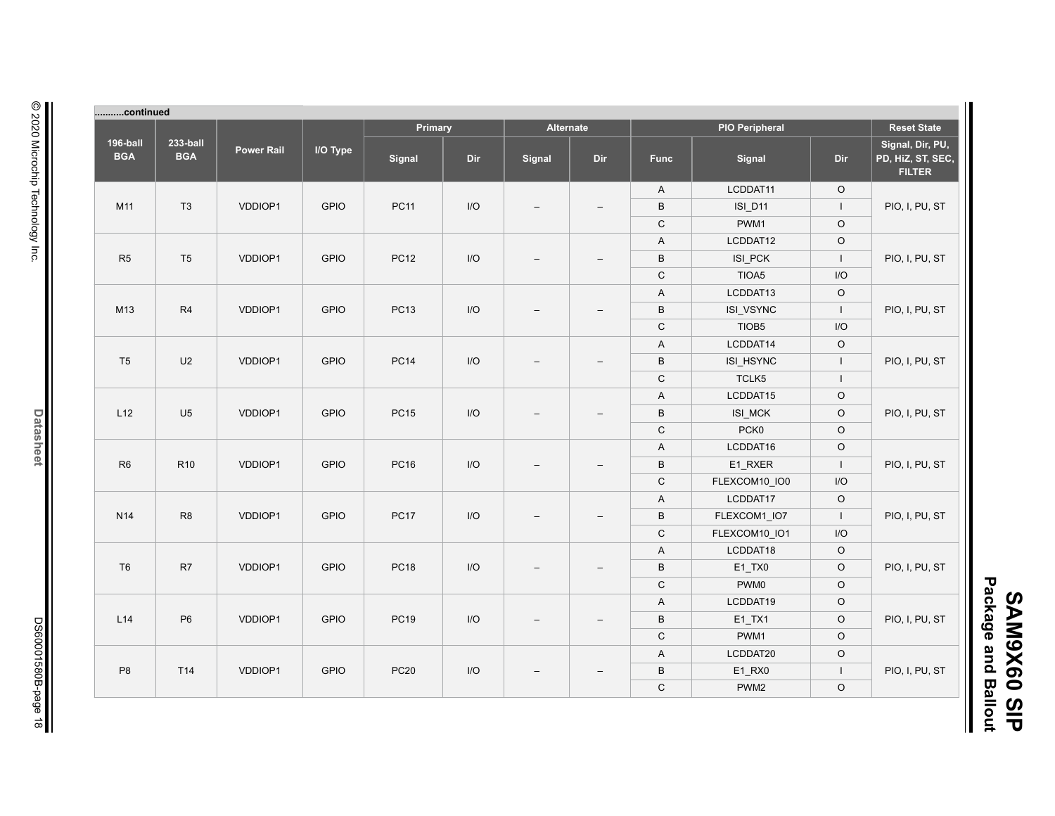| Primary<br>Alternate<br><b>PIO Peripheral</b><br><b>Reset State</b><br>Signal, Dir, PU,<br>I/O Type<br><b>Power Rail</b><br>PD, HiZ, ST, SEC,<br>Dir<br>Signal<br>Dir<br>Signal<br>Signal<br>Dir<br><b>Func</b><br><b>FILTER</b><br>LCDDAT11<br>$\circ$<br>A<br>VDDIOP1<br><b>GPIO</b><br><b>PC11</b><br>$\mathsf{I}/\mathsf{O}$<br>$\,$ B<br>$\mathbf{I}$<br>PIO, I, PU, ST<br><b>ISI_D11</b><br>$\overline{\phantom{0}}$<br>$\overline{\phantom{0}}$<br>$\mathsf C$<br>$\circ$<br>PWM1<br>$\circ$<br>$\boldsymbol{\mathsf{A}}$<br>LCDDAT12<br>VDDIOP1<br><b>GPIO</b><br><b>PC12</b><br>$\mathsf{I}/\mathsf{O}$<br>$\,$ B<br>ISI_PCK<br>$\mathbf{I}$<br>PIO, I, PU, ST<br>$\overline{\phantom{0}}$<br>$\mathsf C$<br>TIOA5<br>I/O<br>LCDDAT13<br>$\circ$<br>A<br>VDDIOP1<br><b>GPIO</b><br><b>PC13</b><br>I/O<br>$\,$ B<br>ISI_VSYNC<br>$\perp$<br>PIO, I, PU, ST<br>$\mathsf C$<br>TIOB5<br>I/O<br>LCDDAT14<br>$\circ$<br>$\boldsymbol{\mathsf{A}}$<br><b>GPIO</b><br><b>PC14</b><br>$\mathsf{I}/\mathsf{O}$<br>$\,$ B<br>PIO, I, PU, ST<br>VDDIOP1<br>ISI_HSYNC<br>$\mathbf{I}$<br>$\overline{\phantom{0}}$<br>$\mathsf C$<br>TCLK5<br>$\mathbf{I}$<br>LCDDAT15<br>$\mathsf O$<br>A<br><b>GPIO</b><br>$\mathsf{I}/\mathsf{O}$<br>$\sf B$<br>$\mathsf O$<br>PIO, I, PU, ST<br>VDDIOP1<br><b>PC15</b><br>ISI_MCK<br>$\mathsf C$<br>PCK0<br>$\circ$<br>$\hbox{O}$<br>A<br>LCDDAT16<br><b>GPIO</b><br>PC16<br>$\mathsf{I}/\mathsf{O}$<br>$\, {\sf B}$<br>E1_RXER<br>PIO, I, PU, ST<br>VDDIOP1<br>$\perp$<br>$\overline{\phantom{0}}$<br>$\mathsf C$<br>I/O<br>FLEXCOM10_IO0<br>A<br>LCDDAT17<br>$\circ$<br>VDDIOP1<br><b>GPIO</b><br><b>PC17</b><br>I/O<br>$\, {\sf B}$<br>FLEXCOM1_IO7<br>$\perp$<br>PIO, I, PU, ST<br>$\mathsf C$<br>FLEXCOM10_IO1<br>I/O<br>$\boldsymbol{\mathsf{A}}$<br>LCDDAT18<br>$\circ$<br>$\circ$<br>VDDIOP1<br><b>GPIO</b><br><b>PC18</b><br>$\mathsf{I}/\mathsf{O}$<br>$\, {\sf B}$<br>$E1_TX0$<br>PIO, I, PU, ST<br>$\overline{\phantom{0}}$<br>$\mathsf C$<br>$\circ$<br>PWM0<br>$\circ$<br>$\boldsymbol{\mathsf{A}}$<br>LCDDAT19 | continued              |                        |         |             |             |                         |                          |                          |              |           |         |                |  |  |
|---------------------------------------------------------------------------------------------------------------------------------------------------------------------------------------------------------------------------------------------------------------------------------------------------------------------------------------------------------------------------------------------------------------------------------------------------------------------------------------------------------------------------------------------------------------------------------------------------------------------------------------------------------------------------------------------------------------------------------------------------------------------------------------------------------------------------------------------------------------------------------------------------------------------------------------------------------------------------------------------------------------------------------------------------------------------------------------------------------------------------------------------------------------------------------------------------------------------------------------------------------------------------------------------------------------------------------------------------------------------------------------------------------------------------------------------------------------------------------------------------------------------------------------------------------------------------------------------------------------------------------------------------------------------------------------------------------------------------------------------------------------------------------------------------------------------------------------------------------------------------------------------------------------------------------------------------------------------------------------------------------------------------------------------------------------|------------------------|------------------------|---------|-------------|-------------|-------------------------|--------------------------|--------------------------|--------------|-----------|---------|----------------|--|--|
|                                                                                                                                                                                                                                                                                                                                                                                                                                                                                                                                                                                                                                                                                                                                                                                                                                                                                                                                                                                                                                                                                                                                                                                                                                                                                                                                                                                                                                                                                                                                                                                                                                                                                                                                                                                                                                                                                                                                                                                                                                                               |                        |                        |         |             |             |                         |                          |                          |              |           |         |                |  |  |
|                                                                                                                                                                                                                                                                                                                                                                                                                                                                                                                                                                                                                                                                                                                                                                                                                                                                                                                                                                                                                                                                                                                                                                                                                                                                                                                                                                                                                                                                                                                                                                                                                                                                                                                                                                                                                                                                                                                                                                                                                                                               | 196-ball<br><b>BGA</b> | 233-ball<br><b>BGA</b> |         |             |             |                         |                          |                          |              |           |         |                |  |  |
|                                                                                                                                                                                                                                                                                                                                                                                                                                                                                                                                                                                                                                                                                                                                                                                                                                                                                                                                                                                                                                                                                                                                                                                                                                                                                                                                                                                                                                                                                                                                                                                                                                                                                                                                                                                                                                                                                                                                                                                                                                                               |                        |                        |         |             |             |                         |                          |                          |              |           |         |                |  |  |
|                                                                                                                                                                                                                                                                                                                                                                                                                                                                                                                                                                                                                                                                                                                                                                                                                                                                                                                                                                                                                                                                                                                                                                                                                                                                                                                                                                                                                                                                                                                                                                                                                                                                                                                                                                                                                                                                                                                                                                                                                                                               | M11                    | T <sub>3</sub>         |         |             |             |                         |                          |                          |              |           |         |                |  |  |
|                                                                                                                                                                                                                                                                                                                                                                                                                                                                                                                                                                                                                                                                                                                                                                                                                                                                                                                                                                                                                                                                                                                                                                                                                                                                                                                                                                                                                                                                                                                                                                                                                                                                                                                                                                                                                                                                                                                                                                                                                                                               |                        |                        |         |             |             |                         |                          |                          |              |           |         |                |  |  |
|                                                                                                                                                                                                                                                                                                                                                                                                                                                                                                                                                                                                                                                                                                                                                                                                                                                                                                                                                                                                                                                                                                                                                                                                                                                                                                                                                                                                                                                                                                                                                                                                                                                                                                                                                                                                                                                                                                                                                                                                                                                               |                        |                        |         |             |             |                         |                          |                          |              |           |         |                |  |  |
|                                                                                                                                                                                                                                                                                                                                                                                                                                                                                                                                                                                                                                                                                                                                                                                                                                                                                                                                                                                                                                                                                                                                                                                                                                                                                                                                                                                                                                                                                                                                                                                                                                                                                                                                                                                                                                                                                                                                                                                                                                                               | R <sub>5</sub>         | T <sub>5</sub>         |         |             |             |                         |                          |                          |              |           |         |                |  |  |
|                                                                                                                                                                                                                                                                                                                                                                                                                                                                                                                                                                                                                                                                                                                                                                                                                                                                                                                                                                                                                                                                                                                                                                                                                                                                                                                                                                                                                                                                                                                                                                                                                                                                                                                                                                                                                                                                                                                                                                                                                                                               |                        |                        |         |             |             |                         |                          |                          |              |           |         |                |  |  |
|                                                                                                                                                                                                                                                                                                                                                                                                                                                                                                                                                                                                                                                                                                                                                                                                                                                                                                                                                                                                                                                                                                                                                                                                                                                                                                                                                                                                                                                                                                                                                                                                                                                                                                                                                                                                                                                                                                                                                                                                                                                               |                        |                        |         |             |             |                         |                          |                          |              |           |         |                |  |  |
|                                                                                                                                                                                                                                                                                                                                                                                                                                                                                                                                                                                                                                                                                                                                                                                                                                                                                                                                                                                                                                                                                                                                                                                                                                                                                                                                                                                                                                                                                                                                                                                                                                                                                                                                                                                                                                                                                                                                                                                                                                                               | M13                    | R <sub>4</sub>         |         |             |             |                         |                          |                          |              |           |         |                |  |  |
|                                                                                                                                                                                                                                                                                                                                                                                                                                                                                                                                                                                                                                                                                                                                                                                                                                                                                                                                                                                                                                                                                                                                                                                                                                                                                                                                                                                                                                                                                                                                                                                                                                                                                                                                                                                                                                                                                                                                                                                                                                                               |                        |                        |         |             |             |                         |                          |                          |              |           |         |                |  |  |
|                                                                                                                                                                                                                                                                                                                                                                                                                                                                                                                                                                                                                                                                                                                                                                                                                                                                                                                                                                                                                                                                                                                                                                                                                                                                                                                                                                                                                                                                                                                                                                                                                                                                                                                                                                                                                                                                                                                                                                                                                                                               |                        |                        |         |             |             |                         |                          |                          |              |           |         |                |  |  |
|                                                                                                                                                                                                                                                                                                                                                                                                                                                                                                                                                                                                                                                                                                                                                                                                                                                                                                                                                                                                                                                                                                                                                                                                                                                                                                                                                                                                                                                                                                                                                                                                                                                                                                                                                                                                                                                                                                                                                                                                                                                               | T <sub>5</sub>         | U <sub>2</sub>         |         |             |             |                         |                          |                          |              |           |         |                |  |  |
|                                                                                                                                                                                                                                                                                                                                                                                                                                                                                                                                                                                                                                                                                                                                                                                                                                                                                                                                                                                                                                                                                                                                                                                                                                                                                                                                                                                                                                                                                                                                                                                                                                                                                                                                                                                                                                                                                                                                                                                                                                                               |                        |                        |         |             |             |                         |                          |                          |              |           |         |                |  |  |
|                                                                                                                                                                                                                                                                                                                                                                                                                                                                                                                                                                                                                                                                                                                                                                                                                                                                                                                                                                                                                                                                                                                                                                                                                                                                                                                                                                                                                                                                                                                                                                                                                                                                                                                                                                                                                                                                                                                                                                                                                                                               |                        |                        |         |             |             |                         |                          |                          |              |           |         |                |  |  |
|                                                                                                                                                                                                                                                                                                                                                                                                                                                                                                                                                                                                                                                                                                                                                                                                                                                                                                                                                                                                                                                                                                                                                                                                                                                                                                                                                                                                                                                                                                                                                                                                                                                                                                                                                                                                                                                                                                                                                                                                                                                               | L12                    | U <sub>5</sub>         |         |             |             |                         |                          |                          |              |           |         |                |  |  |
|                                                                                                                                                                                                                                                                                                                                                                                                                                                                                                                                                                                                                                                                                                                                                                                                                                                                                                                                                                                                                                                                                                                                                                                                                                                                                                                                                                                                                                                                                                                                                                                                                                                                                                                                                                                                                                                                                                                                                                                                                                                               |                        |                        |         |             |             |                         |                          |                          |              |           |         |                |  |  |
|                                                                                                                                                                                                                                                                                                                                                                                                                                                                                                                                                                                                                                                                                                                                                                                                                                                                                                                                                                                                                                                                                                                                                                                                                                                                                                                                                                                                                                                                                                                                                                                                                                                                                                                                                                                                                                                                                                                                                                                                                                                               |                        |                        |         |             |             |                         |                          |                          |              |           |         |                |  |  |
|                                                                                                                                                                                                                                                                                                                                                                                                                                                                                                                                                                                                                                                                                                                                                                                                                                                                                                                                                                                                                                                                                                                                                                                                                                                                                                                                                                                                                                                                                                                                                                                                                                                                                                                                                                                                                                                                                                                                                                                                                                                               | R <sub>6</sub>         | R <sub>10</sub>        |         |             |             |                         |                          |                          |              |           |         |                |  |  |
|                                                                                                                                                                                                                                                                                                                                                                                                                                                                                                                                                                                                                                                                                                                                                                                                                                                                                                                                                                                                                                                                                                                                                                                                                                                                                                                                                                                                                                                                                                                                                                                                                                                                                                                                                                                                                                                                                                                                                                                                                                                               |                        |                        |         |             |             |                         |                          |                          |              |           |         |                |  |  |
|                                                                                                                                                                                                                                                                                                                                                                                                                                                                                                                                                                                                                                                                                                                                                                                                                                                                                                                                                                                                                                                                                                                                                                                                                                                                                                                                                                                                                                                                                                                                                                                                                                                                                                                                                                                                                                                                                                                                                                                                                                                               |                        |                        |         |             |             |                         |                          |                          |              |           |         |                |  |  |
|                                                                                                                                                                                                                                                                                                                                                                                                                                                                                                                                                                                                                                                                                                                                                                                                                                                                                                                                                                                                                                                                                                                                                                                                                                                                                                                                                                                                                                                                                                                                                                                                                                                                                                                                                                                                                                                                                                                                                                                                                                                               | N <sub>14</sub>        | R <sub>8</sub>         |         |             |             |                         |                          |                          |              |           |         |                |  |  |
|                                                                                                                                                                                                                                                                                                                                                                                                                                                                                                                                                                                                                                                                                                                                                                                                                                                                                                                                                                                                                                                                                                                                                                                                                                                                                                                                                                                                                                                                                                                                                                                                                                                                                                                                                                                                                                                                                                                                                                                                                                                               |                        |                        |         |             |             |                         |                          |                          |              |           |         |                |  |  |
|                                                                                                                                                                                                                                                                                                                                                                                                                                                                                                                                                                                                                                                                                                                                                                                                                                                                                                                                                                                                                                                                                                                                                                                                                                                                                                                                                                                                                                                                                                                                                                                                                                                                                                                                                                                                                                                                                                                                                                                                                                                               |                        |                        |         |             |             |                         |                          |                          |              |           |         |                |  |  |
|                                                                                                                                                                                                                                                                                                                                                                                                                                                                                                                                                                                                                                                                                                                                                                                                                                                                                                                                                                                                                                                                                                                                                                                                                                                                                                                                                                                                                                                                                                                                                                                                                                                                                                                                                                                                                                                                                                                                                                                                                                                               | T <sub>6</sub>         | R7                     |         |             |             |                         |                          |                          |              |           |         |                |  |  |
|                                                                                                                                                                                                                                                                                                                                                                                                                                                                                                                                                                                                                                                                                                                                                                                                                                                                                                                                                                                                                                                                                                                                                                                                                                                                                                                                                                                                                                                                                                                                                                                                                                                                                                                                                                                                                                                                                                                                                                                                                                                               |                        |                        |         |             |             |                         |                          |                          |              |           |         |                |  |  |
|                                                                                                                                                                                                                                                                                                                                                                                                                                                                                                                                                                                                                                                                                                                                                                                                                                                                                                                                                                                                                                                                                                                                                                                                                                                                                                                                                                                                                                                                                                                                                                                                                                                                                                                                                                                                                                                                                                                                                                                                                                                               |                        |                        |         |             |             |                         |                          |                          |              |           |         |                |  |  |
|                                                                                                                                                                                                                                                                                                                                                                                                                                                                                                                                                                                                                                                                                                                                                                                                                                                                                                                                                                                                                                                                                                                                                                                                                                                                                                                                                                                                                                                                                                                                                                                                                                                                                                                                                                                                                                                                                                                                                                                                                                                               | L14                    | P <sub>6</sub>         | VDDIOP1 | <b>GPIO</b> | <b>PC19</b> | $\mathsf{I}/\mathsf{O}$ |                          | $\overline{\phantom{0}}$ | $\, {\sf B}$ | $E1_TXX1$ | $\circ$ | PIO, I, PU, ST |  |  |
| $\mathsf C$<br>$\mathsf O$<br>PWM1                                                                                                                                                                                                                                                                                                                                                                                                                                                                                                                                                                                                                                                                                                                                                                                                                                                                                                                                                                                                                                                                                                                                                                                                                                                                                                                                                                                                                                                                                                                                                                                                                                                                                                                                                                                                                                                                                                                                                                                                                            |                        |                        |         |             |             |                         |                          |                          |              |           |         |                |  |  |
| $\circ$<br>$\boldsymbol{\mathsf{A}}$<br>LCDDAT20                                                                                                                                                                                                                                                                                                                                                                                                                                                                                                                                                                                                                                                                                                                                                                                                                                                                                                                                                                                                                                                                                                                                                                                                                                                                                                                                                                                                                                                                                                                                                                                                                                                                                                                                                                                                                                                                                                                                                                                                              |                        |                        |         |             |             |                         | $\overline{\phantom{0}}$ |                          |              |           |         |                |  |  |
| VDDIOP1<br><b>GPIO</b><br><b>PC20</b><br>$\mathsf{I}/\mathsf{O}$<br>$\, {\sf B}$<br>E1_RX0<br>PIO, I, PU, ST<br>$\perp$                                                                                                                                                                                                                                                                                                                                                                                                                                                                                                                                                                                                                                                                                                                                                                                                                                                                                                                                                                                                                                                                                                                                                                                                                                                                                                                                                                                                                                                                                                                                                                                                                                                                                                                                                                                                                                                                                                                                       | P <sub>8</sub>         | T14                    |         |             |             |                         |                          |                          |              |           |         |                |  |  |
| $\mathsf C$<br>$\mathsf O$<br>PWM <sub>2</sub>                                                                                                                                                                                                                                                                                                                                                                                                                                                                                                                                                                                                                                                                                                                                                                                                                                                                                                                                                                                                                                                                                                                                                                                                                                                                                                                                                                                                                                                                                                                                                                                                                                                                                                                                                                                                                                                                                                                                                                                                                |                        |                        |         |             |             |                         |                          |                          |              |           |         |                |  |  |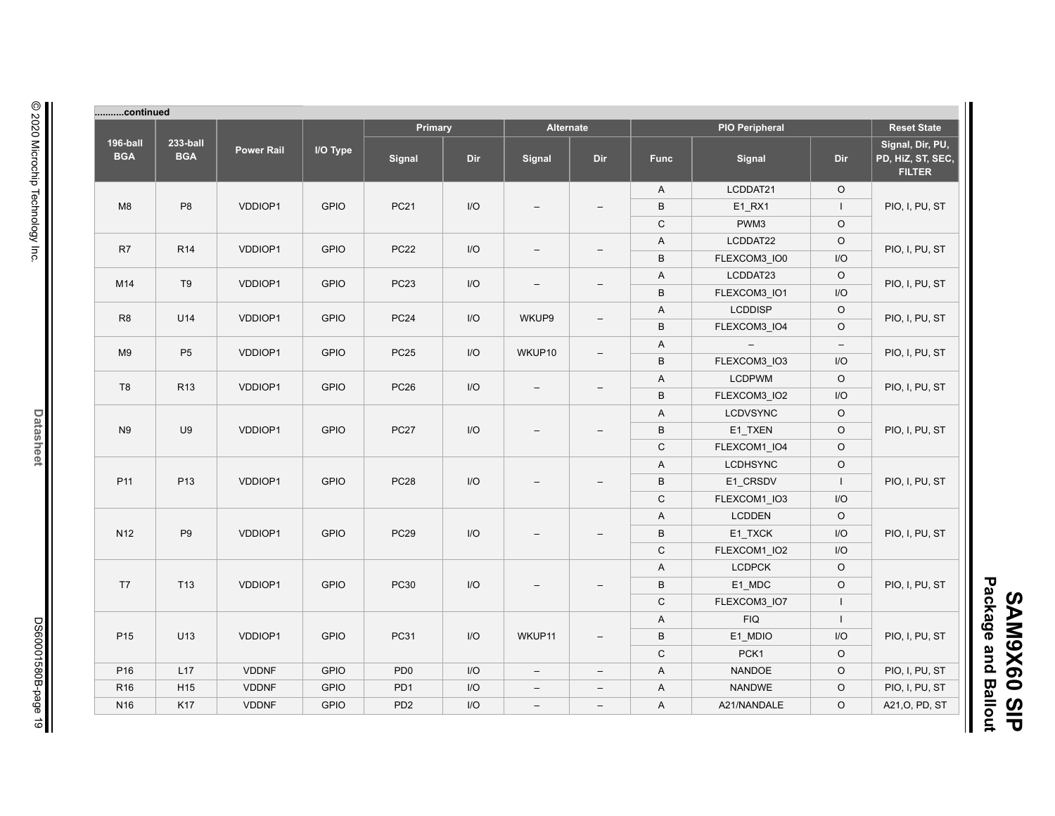| Primary<br><b>Alternate</b><br><b>PIO Peripheral</b><br><b>Reset State</b><br>196-ball<br>233-ball<br><b>Power Rail</b><br>I/O Type<br><b>BGA</b><br><b>BGA</b><br>Dir<br>Signal<br>Dir<br>Signal<br>Dir<br><b>Func</b><br>Signal<br><b>FILTER</b><br>LCDDAT21<br>$\circ$<br>$\mathsf{A}$<br>$\mathsf{I}/\mathsf{O}$<br>$\sf B$<br>M8<br>P <sub>8</sub><br>VDDIOP1<br><b>GPIO</b><br><b>PC21</b><br>E1_RX1<br>$\mathbf{I}$<br>PIO, I, PU, ST<br>$\equiv$<br>$\overline{\phantom{a}}$<br>$\circ$<br>$\mathsf C$<br>PWM3<br>LCDDAT22<br>$\circ$<br>$\mathsf{A}$<br>R7<br>R <sub>14</sub><br>VDDIOP1<br><b>GPIO</b><br><b>PC22</b><br>I/O<br>PIO, I, PU, ST<br>$\overline{\phantom{m}}$<br>I/O<br>B<br>FLEXCOM3_IO0<br>$\circ$<br>$\mathsf{A}$<br>LCDDAT23<br><b>PC23</b><br>M14<br>T <sub>9</sub><br>VDDIOP1<br><b>GPIO</b><br>I/O<br>PIO, I, PU, ST<br>$\overline{\phantom{a}}$<br>$\overline{\phantom{0}}$<br>$\sf B$<br>I/O<br>FLEXCOM3_IO1<br><b>LCDDISP</b><br>$\circ$<br>$\mathsf{A}$<br><b>PC24</b><br>R <sub>8</sub><br>U14<br>VDDIOP1<br><b>GPIO</b><br>I/O<br>WKUP9<br>PIO, I, PU, ST<br>$\overline{\phantom{0}}$<br>$\sf B$<br>$\circ$<br>FLEXCOM3_IO4<br>$\mathsf{A}$<br>$\equiv$<br>$\overline{\phantom{a}}$<br><b>PC25</b><br>M <sub>9</sub><br>P <sub>5</sub><br>VDDIOP1<br><b>GPIO</b><br>I/O<br>WKUP10<br>PIO, I, PU, ST<br>$\overline{\phantom{0}}$<br>$\sf B$<br>I/O<br>FLEXCOM3_IO3<br>$\circ$<br>$\mathsf{A}$<br><b>LCDPWM</b><br>T <sub>8</sub><br>R <sub>13</sub><br>VDDIOP1<br><b>GPIO</b><br><b>PC26</b><br>I/O<br>PIO, I, PU, ST<br>$\sf B$<br>I/O<br>FLEXCOM3_IO2<br>$\circ$<br>$\mathsf{A}$<br><b>LCDVSYNC</b><br>U9<br><b>GPIO</b><br><b>PC27</b><br>$\mathsf{I}/\mathsf{O}$<br>$\sf B$<br>$\circ$<br>N <sub>9</sub><br>VDDIOP1<br>E1_TXEN<br>PIO, I, PU, ST<br>$\mathsf C$<br>$\circ$<br>FLEXCOM1_IO4<br>$\circ$<br>$\mathsf{A}$<br><b>LCDHSYNC</b><br>P <sub>11</sub><br>P <sub>13</sub><br><b>GPIO</b><br><b>PC28</b><br>$\mathsf{I}/\mathsf{O}$<br>$\, {\sf B}$<br>E1_CRSDV<br>PIO, I, PU, ST<br>VDDIOP1<br>$\perp$<br>$\mathsf C$<br>I/O<br>FLEXCOM1_IO3<br>$\circ$<br>$\mathsf{A}$<br><b>LCDDEN</b><br><b>GPIO</b><br><b>PC29</b><br>$\mathsf{I}/\mathsf{O}$<br>E1_TXCK<br>I/O<br>N <sub>12</sub><br>P <sub>9</sub><br>VDDIOP1<br>B<br>PIO, I, PU, ST<br>$\mathsf C$<br>FLEXCOM1_IO2<br>I/O<br>$\circ$<br><b>LCDPCK</b><br>A<br>E1_MDC<br>$\circ$<br>T7<br>T <sub>13</sub><br>VDDIOP1<br><b>GPIO</b><br><b>PC30</b><br>I/O<br>B<br>PIO, I, PU, ST<br>$\overline{\phantom{0}}$<br>C<br>FLEXCOM3 IO7<br>$\mathbf{I}$<br><b>FIQ</b><br>$\mathbf{I}$<br>$\mathsf{A}$<br>P <sub>15</sub><br><b>GPIO</b><br><b>PC31</b><br>WKUP11<br>E1_MDIO<br>PIO, I, PU, ST<br>U13<br>VDDIOP1<br>I/O<br>B<br>I/O<br>$\overline{\phantom{a}}$<br>$\mathsf C$<br>PCK1<br>$\circ$<br>VDDNF<br><b>GPIO</b><br>NANDOE<br>$\circ$<br>P <sub>16</sub><br>L17<br>PD <sub>0</sub><br>I/O<br>$\mathsf{A}$<br>PIO, I, PU, ST<br>$\overline{\phantom{m}}$<br>$\overline{\phantom{a}}$<br>VDDNF<br><b>GPIO</b><br>NANDWE<br>R <sub>16</sub><br>H <sub>15</sub><br>PD <sub>1</sub><br>I/O<br>$\circ$<br>PIO, I, PU, ST<br>$\mathsf{A}$<br>$\overline{\phantom{a}}$<br>$\overline{\phantom{a}}$ |                 | continued |       |             |                 |     |                          |                   |              |             |         |                                       |
|------------------------------------------------------------------------------------------------------------------------------------------------------------------------------------------------------------------------------------------------------------------------------------------------------------------------------------------------------------------------------------------------------------------------------------------------------------------------------------------------------------------------------------------------------------------------------------------------------------------------------------------------------------------------------------------------------------------------------------------------------------------------------------------------------------------------------------------------------------------------------------------------------------------------------------------------------------------------------------------------------------------------------------------------------------------------------------------------------------------------------------------------------------------------------------------------------------------------------------------------------------------------------------------------------------------------------------------------------------------------------------------------------------------------------------------------------------------------------------------------------------------------------------------------------------------------------------------------------------------------------------------------------------------------------------------------------------------------------------------------------------------------------------------------------------------------------------------------------------------------------------------------------------------------------------------------------------------------------------------------------------------------------------------------------------------------------------------------------------------------------------------------------------------------------------------------------------------------------------------------------------------------------------------------------------------------------------------------------------------------------------------------------------------------------------------------------------------------------------------------------------------------------------------------------------------------------------------------------------------------------------------------------------------------------------------------------------------------------------------------------------------------------------------------------------------------------------------------------------------------------------------------------------------------------------------------------------------------------------------------------------------------------------------------------------------------------------------------------------------------------------------------------------------------------------------------|-----------------|-----------|-------|-------------|-----------------|-----|--------------------------|-------------------|--------------|-------------|---------|---------------------------------------|
|                                                                                                                                                                                                                                                                                                                                                                                                                                                                                                                                                                                                                                                                                                                                                                                                                                                                                                                                                                                                                                                                                                                                                                                                                                                                                                                                                                                                                                                                                                                                                                                                                                                                                                                                                                                                                                                                                                                                                                                                                                                                                                                                                                                                                                                                                                                                                                                                                                                                                                                                                                                                                                                                                                                                                                                                                                                                                                                                                                                                                                                                                                                                                                                                |                 |           |       |             |                 |     |                          |                   |              |             |         |                                       |
|                                                                                                                                                                                                                                                                                                                                                                                                                                                                                                                                                                                                                                                                                                                                                                                                                                                                                                                                                                                                                                                                                                                                                                                                                                                                                                                                                                                                                                                                                                                                                                                                                                                                                                                                                                                                                                                                                                                                                                                                                                                                                                                                                                                                                                                                                                                                                                                                                                                                                                                                                                                                                                                                                                                                                                                                                                                                                                                                                                                                                                                                                                                                                                                                |                 |           |       |             |                 |     |                          |                   |              |             |         | Signal, Dir, PU,<br>PD, HiZ, ST, SEC, |
|                                                                                                                                                                                                                                                                                                                                                                                                                                                                                                                                                                                                                                                                                                                                                                                                                                                                                                                                                                                                                                                                                                                                                                                                                                                                                                                                                                                                                                                                                                                                                                                                                                                                                                                                                                                                                                                                                                                                                                                                                                                                                                                                                                                                                                                                                                                                                                                                                                                                                                                                                                                                                                                                                                                                                                                                                                                                                                                                                                                                                                                                                                                                                                                                |                 |           |       |             |                 |     |                          |                   |              |             |         |                                       |
|                                                                                                                                                                                                                                                                                                                                                                                                                                                                                                                                                                                                                                                                                                                                                                                                                                                                                                                                                                                                                                                                                                                                                                                                                                                                                                                                                                                                                                                                                                                                                                                                                                                                                                                                                                                                                                                                                                                                                                                                                                                                                                                                                                                                                                                                                                                                                                                                                                                                                                                                                                                                                                                                                                                                                                                                                                                                                                                                                                                                                                                                                                                                                                                                |                 |           |       |             |                 |     |                          |                   |              |             |         |                                       |
|                                                                                                                                                                                                                                                                                                                                                                                                                                                                                                                                                                                                                                                                                                                                                                                                                                                                                                                                                                                                                                                                                                                                                                                                                                                                                                                                                                                                                                                                                                                                                                                                                                                                                                                                                                                                                                                                                                                                                                                                                                                                                                                                                                                                                                                                                                                                                                                                                                                                                                                                                                                                                                                                                                                                                                                                                                                                                                                                                                                                                                                                                                                                                                                                |                 |           |       |             |                 |     |                          |                   |              |             |         |                                       |
|                                                                                                                                                                                                                                                                                                                                                                                                                                                                                                                                                                                                                                                                                                                                                                                                                                                                                                                                                                                                                                                                                                                                                                                                                                                                                                                                                                                                                                                                                                                                                                                                                                                                                                                                                                                                                                                                                                                                                                                                                                                                                                                                                                                                                                                                                                                                                                                                                                                                                                                                                                                                                                                                                                                                                                                                                                                                                                                                                                                                                                                                                                                                                                                                |                 |           |       |             |                 |     |                          |                   |              |             |         |                                       |
|                                                                                                                                                                                                                                                                                                                                                                                                                                                                                                                                                                                                                                                                                                                                                                                                                                                                                                                                                                                                                                                                                                                                                                                                                                                                                                                                                                                                                                                                                                                                                                                                                                                                                                                                                                                                                                                                                                                                                                                                                                                                                                                                                                                                                                                                                                                                                                                                                                                                                                                                                                                                                                                                                                                                                                                                                                                                                                                                                                                                                                                                                                                                                                                                |                 |           |       |             |                 |     |                          |                   |              |             |         |                                       |
|                                                                                                                                                                                                                                                                                                                                                                                                                                                                                                                                                                                                                                                                                                                                                                                                                                                                                                                                                                                                                                                                                                                                                                                                                                                                                                                                                                                                                                                                                                                                                                                                                                                                                                                                                                                                                                                                                                                                                                                                                                                                                                                                                                                                                                                                                                                                                                                                                                                                                                                                                                                                                                                                                                                                                                                                                                                                                                                                                                                                                                                                                                                                                                                                |                 |           |       |             |                 |     |                          |                   |              |             |         |                                       |
|                                                                                                                                                                                                                                                                                                                                                                                                                                                                                                                                                                                                                                                                                                                                                                                                                                                                                                                                                                                                                                                                                                                                                                                                                                                                                                                                                                                                                                                                                                                                                                                                                                                                                                                                                                                                                                                                                                                                                                                                                                                                                                                                                                                                                                                                                                                                                                                                                                                                                                                                                                                                                                                                                                                                                                                                                                                                                                                                                                                                                                                                                                                                                                                                |                 |           |       |             |                 |     |                          |                   |              |             |         |                                       |
|                                                                                                                                                                                                                                                                                                                                                                                                                                                                                                                                                                                                                                                                                                                                                                                                                                                                                                                                                                                                                                                                                                                                                                                                                                                                                                                                                                                                                                                                                                                                                                                                                                                                                                                                                                                                                                                                                                                                                                                                                                                                                                                                                                                                                                                                                                                                                                                                                                                                                                                                                                                                                                                                                                                                                                                                                                                                                                                                                                                                                                                                                                                                                                                                |                 |           |       |             |                 |     |                          |                   |              |             |         |                                       |
|                                                                                                                                                                                                                                                                                                                                                                                                                                                                                                                                                                                                                                                                                                                                                                                                                                                                                                                                                                                                                                                                                                                                                                                                                                                                                                                                                                                                                                                                                                                                                                                                                                                                                                                                                                                                                                                                                                                                                                                                                                                                                                                                                                                                                                                                                                                                                                                                                                                                                                                                                                                                                                                                                                                                                                                                                                                                                                                                                                                                                                                                                                                                                                                                |                 |           |       |             |                 |     |                          |                   |              |             |         |                                       |
|                                                                                                                                                                                                                                                                                                                                                                                                                                                                                                                                                                                                                                                                                                                                                                                                                                                                                                                                                                                                                                                                                                                                                                                                                                                                                                                                                                                                                                                                                                                                                                                                                                                                                                                                                                                                                                                                                                                                                                                                                                                                                                                                                                                                                                                                                                                                                                                                                                                                                                                                                                                                                                                                                                                                                                                                                                                                                                                                                                                                                                                                                                                                                                                                |                 |           |       |             |                 |     |                          |                   |              |             |         |                                       |
|                                                                                                                                                                                                                                                                                                                                                                                                                                                                                                                                                                                                                                                                                                                                                                                                                                                                                                                                                                                                                                                                                                                                                                                                                                                                                                                                                                                                                                                                                                                                                                                                                                                                                                                                                                                                                                                                                                                                                                                                                                                                                                                                                                                                                                                                                                                                                                                                                                                                                                                                                                                                                                                                                                                                                                                                                                                                                                                                                                                                                                                                                                                                                                                                |                 |           |       |             |                 |     |                          |                   |              |             |         |                                       |
|                                                                                                                                                                                                                                                                                                                                                                                                                                                                                                                                                                                                                                                                                                                                                                                                                                                                                                                                                                                                                                                                                                                                                                                                                                                                                                                                                                                                                                                                                                                                                                                                                                                                                                                                                                                                                                                                                                                                                                                                                                                                                                                                                                                                                                                                                                                                                                                                                                                                                                                                                                                                                                                                                                                                                                                                                                                                                                                                                                                                                                                                                                                                                                                                |                 |           |       |             |                 |     |                          |                   |              |             |         |                                       |
|                                                                                                                                                                                                                                                                                                                                                                                                                                                                                                                                                                                                                                                                                                                                                                                                                                                                                                                                                                                                                                                                                                                                                                                                                                                                                                                                                                                                                                                                                                                                                                                                                                                                                                                                                                                                                                                                                                                                                                                                                                                                                                                                                                                                                                                                                                                                                                                                                                                                                                                                                                                                                                                                                                                                                                                                                                                                                                                                                                                                                                                                                                                                                                                                |                 |           |       |             |                 |     |                          |                   |              |             |         |                                       |
|                                                                                                                                                                                                                                                                                                                                                                                                                                                                                                                                                                                                                                                                                                                                                                                                                                                                                                                                                                                                                                                                                                                                                                                                                                                                                                                                                                                                                                                                                                                                                                                                                                                                                                                                                                                                                                                                                                                                                                                                                                                                                                                                                                                                                                                                                                                                                                                                                                                                                                                                                                                                                                                                                                                                                                                                                                                                                                                                                                                                                                                                                                                                                                                                |                 |           |       |             |                 |     |                          |                   |              |             |         |                                       |
|                                                                                                                                                                                                                                                                                                                                                                                                                                                                                                                                                                                                                                                                                                                                                                                                                                                                                                                                                                                                                                                                                                                                                                                                                                                                                                                                                                                                                                                                                                                                                                                                                                                                                                                                                                                                                                                                                                                                                                                                                                                                                                                                                                                                                                                                                                                                                                                                                                                                                                                                                                                                                                                                                                                                                                                                                                                                                                                                                                                                                                                                                                                                                                                                |                 |           |       |             |                 |     |                          |                   |              |             |         |                                       |
|                                                                                                                                                                                                                                                                                                                                                                                                                                                                                                                                                                                                                                                                                                                                                                                                                                                                                                                                                                                                                                                                                                                                                                                                                                                                                                                                                                                                                                                                                                                                                                                                                                                                                                                                                                                                                                                                                                                                                                                                                                                                                                                                                                                                                                                                                                                                                                                                                                                                                                                                                                                                                                                                                                                                                                                                                                                                                                                                                                                                                                                                                                                                                                                                |                 |           |       |             |                 |     |                          |                   |              |             |         |                                       |
|                                                                                                                                                                                                                                                                                                                                                                                                                                                                                                                                                                                                                                                                                                                                                                                                                                                                                                                                                                                                                                                                                                                                                                                                                                                                                                                                                                                                                                                                                                                                                                                                                                                                                                                                                                                                                                                                                                                                                                                                                                                                                                                                                                                                                                                                                                                                                                                                                                                                                                                                                                                                                                                                                                                                                                                                                                                                                                                                                                                                                                                                                                                                                                                                |                 |           |       |             |                 |     |                          |                   |              |             |         |                                       |
|                                                                                                                                                                                                                                                                                                                                                                                                                                                                                                                                                                                                                                                                                                                                                                                                                                                                                                                                                                                                                                                                                                                                                                                                                                                                                                                                                                                                                                                                                                                                                                                                                                                                                                                                                                                                                                                                                                                                                                                                                                                                                                                                                                                                                                                                                                                                                                                                                                                                                                                                                                                                                                                                                                                                                                                                                                                                                                                                                                                                                                                                                                                                                                                                |                 |           |       |             |                 |     |                          |                   |              |             |         |                                       |
|                                                                                                                                                                                                                                                                                                                                                                                                                                                                                                                                                                                                                                                                                                                                                                                                                                                                                                                                                                                                                                                                                                                                                                                                                                                                                                                                                                                                                                                                                                                                                                                                                                                                                                                                                                                                                                                                                                                                                                                                                                                                                                                                                                                                                                                                                                                                                                                                                                                                                                                                                                                                                                                                                                                                                                                                                                                                                                                                                                                                                                                                                                                                                                                                |                 |           |       |             |                 |     |                          |                   |              |             |         |                                       |
|                                                                                                                                                                                                                                                                                                                                                                                                                                                                                                                                                                                                                                                                                                                                                                                                                                                                                                                                                                                                                                                                                                                                                                                                                                                                                                                                                                                                                                                                                                                                                                                                                                                                                                                                                                                                                                                                                                                                                                                                                                                                                                                                                                                                                                                                                                                                                                                                                                                                                                                                                                                                                                                                                                                                                                                                                                                                                                                                                                                                                                                                                                                                                                                                |                 |           |       |             |                 |     |                          |                   |              |             |         |                                       |
|                                                                                                                                                                                                                                                                                                                                                                                                                                                                                                                                                                                                                                                                                                                                                                                                                                                                                                                                                                                                                                                                                                                                                                                                                                                                                                                                                                                                                                                                                                                                                                                                                                                                                                                                                                                                                                                                                                                                                                                                                                                                                                                                                                                                                                                                                                                                                                                                                                                                                                                                                                                                                                                                                                                                                                                                                                                                                                                                                                                                                                                                                                                                                                                                |                 |           |       |             |                 |     |                          |                   |              |             |         |                                       |
|                                                                                                                                                                                                                                                                                                                                                                                                                                                                                                                                                                                                                                                                                                                                                                                                                                                                                                                                                                                                                                                                                                                                                                                                                                                                                                                                                                                                                                                                                                                                                                                                                                                                                                                                                                                                                                                                                                                                                                                                                                                                                                                                                                                                                                                                                                                                                                                                                                                                                                                                                                                                                                                                                                                                                                                                                                                                                                                                                                                                                                                                                                                                                                                                |                 |           |       |             |                 |     |                          |                   |              |             |         |                                       |
|                                                                                                                                                                                                                                                                                                                                                                                                                                                                                                                                                                                                                                                                                                                                                                                                                                                                                                                                                                                                                                                                                                                                                                                                                                                                                                                                                                                                                                                                                                                                                                                                                                                                                                                                                                                                                                                                                                                                                                                                                                                                                                                                                                                                                                                                                                                                                                                                                                                                                                                                                                                                                                                                                                                                                                                                                                                                                                                                                                                                                                                                                                                                                                                                |                 |           |       |             |                 |     |                          |                   |              |             |         |                                       |
|                                                                                                                                                                                                                                                                                                                                                                                                                                                                                                                                                                                                                                                                                                                                                                                                                                                                                                                                                                                                                                                                                                                                                                                                                                                                                                                                                                                                                                                                                                                                                                                                                                                                                                                                                                                                                                                                                                                                                                                                                                                                                                                                                                                                                                                                                                                                                                                                                                                                                                                                                                                                                                                                                                                                                                                                                                                                                                                                                                                                                                                                                                                                                                                                |                 |           |       |             |                 |     |                          |                   |              |             |         |                                       |
|                                                                                                                                                                                                                                                                                                                                                                                                                                                                                                                                                                                                                                                                                                                                                                                                                                                                                                                                                                                                                                                                                                                                                                                                                                                                                                                                                                                                                                                                                                                                                                                                                                                                                                                                                                                                                                                                                                                                                                                                                                                                                                                                                                                                                                                                                                                                                                                                                                                                                                                                                                                                                                                                                                                                                                                                                                                                                                                                                                                                                                                                                                                                                                                                |                 |           |       |             |                 |     |                          |                   |              |             |         |                                       |
|                                                                                                                                                                                                                                                                                                                                                                                                                                                                                                                                                                                                                                                                                                                                                                                                                                                                                                                                                                                                                                                                                                                                                                                                                                                                                                                                                                                                                                                                                                                                                                                                                                                                                                                                                                                                                                                                                                                                                                                                                                                                                                                                                                                                                                                                                                                                                                                                                                                                                                                                                                                                                                                                                                                                                                                                                                                                                                                                                                                                                                                                                                                                                                                                |                 |           |       |             |                 |     |                          |                   |              |             |         |                                       |
|                                                                                                                                                                                                                                                                                                                                                                                                                                                                                                                                                                                                                                                                                                                                                                                                                                                                                                                                                                                                                                                                                                                                                                                                                                                                                                                                                                                                                                                                                                                                                                                                                                                                                                                                                                                                                                                                                                                                                                                                                                                                                                                                                                                                                                                                                                                                                                                                                                                                                                                                                                                                                                                                                                                                                                                                                                                                                                                                                                                                                                                                                                                                                                                                |                 |           |       |             |                 |     |                          |                   |              |             |         |                                       |
|                                                                                                                                                                                                                                                                                                                                                                                                                                                                                                                                                                                                                                                                                                                                                                                                                                                                                                                                                                                                                                                                                                                                                                                                                                                                                                                                                                                                                                                                                                                                                                                                                                                                                                                                                                                                                                                                                                                                                                                                                                                                                                                                                                                                                                                                                                                                                                                                                                                                                                                                                                                                                                                                                                                                                                                                                                                                                                                                                                                                                                                                                                                                                                                                |                 |           |       |             |                 |     |                          |                   |              |             |         |                                       |
|                                                                                                                                                                                                                                                                                                                                                                                                                                                                                                                                                                                                                                                                                                                                                                                                                                                                                                                                                                                                                                                                                                                                                                                                                                                                                                                                                                                                                                                                                                                                                                                                                                                                                                                                                                                                                                                                                                                                                                                                                                                                                                                                                                                                                                                                                                                                                                                                                                                                                                                                                                                                                                                                                                                                                                                                                                                                                                                                                                                                                                                                                                                                                                                                |                 |           |       |             |                 |     |                          |                   |              |             |         |                                       |
|                                                                                                                                                                                                                                                                                                                                                                                                                                                                                                                                                                                                                                                                                                                                                                                                                                                                                                                                                                                                                                                                                                                                                                                                                                                                                                                                                                                                                                                                                                                                                                                                                                                                                                                                                                                                                                                                                                                                                                                                                                                                                                                                                                                                                                                                                                                                                                                                                                                                                                                                                                                                                                                                                                                                                                                                                                                                                                                                                                                                                                                                                                                                                                                                |                 |           |       |             |                 |     |                          |                   |              |             |         |                                       |
|                                                                                                                                                                                                                                                                                                                                                                                                                                                                                                                                                                                                                                                                                                                                                                                                                                                                                                                                                                                                                                                                                                                                                                                                                                                                                                                                                                                                                                                                                                                                                                                                                                                                                                                                                                                                                                                                                                                                                                                                                                                                                                                                                                                                                                                                                                                                                                                                                                                                                                                                                                                                                                                                                                                                                                                                                                                                                                                                                                                                                                                                                                                                                                                                | N <sub>16</sub> | K17       | VDDNF | <b>GPIO</b> | PD <sub>2</sub> | I/O | $\overline{\phantom{a}}$ | $\qquad \qquad -$ | $\mathsf{A}$ | A21/NANDALE | $\circ$ | A21, O, PD, ST                        |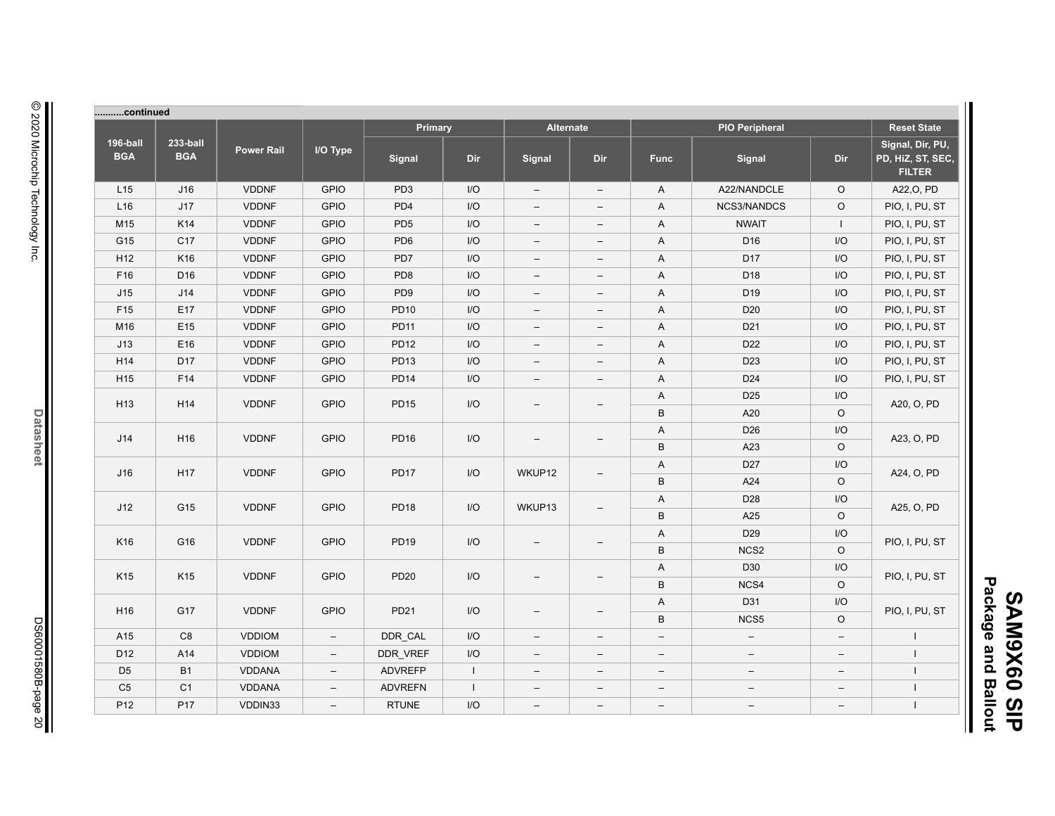|                        | continued              |                   |                          |                 |              |                          |                          |                          |                          |                          |                                                        |
|------------------------|------------------------|-------------------|--------------------------|-----------------|--------------|--------------------------|--------------------------|--------------------------|--------------------------|--------------------------|--------------------------------------------------------|
|                        |                        |                   |                          | Primary         |              | <b>Alternate</b>         |                          |                          | <b>PIO Peripheral</b>    |                          | <b>Reset State</b>                                     |
| 196-ball<br><b>BGA</b> | 233-ball<br><b>BGA</b> | <b>Power Rail</b> | I/O Type                 | <b>Signal</b>   | <b>Dir</b>   | Signal                   | Dir                      | <b>Func</b>              | <b>Signal</b>            | Dir                      | Signal, Dir, PU,<br>PD, HiZ, ST, SEC,<br><b>FILTER</b> |
| L15                    | J16                    | <b>VDDNF</b>      | <b>GPIO</b>              | PD <sub>3</sub> | I/O          | $\overline{\phantom{a}}$ | $\overline{\phantom{m}}$ | A                        | A22/NANDCLE              | $\circ$                  | A22, O, PD                                             |
| L16                    | J17                    | <b>VDDNF</b>      | <b>GPIO</b>              | PD4             | I/O          | $\overline{\phantom{0}}$ | $\overline{\phantom{a}}$ | A                        | NCS3/NANDCS              | $\circ$                  | PIO, I, PU, ST                                         |
| M15                    | K14                    | <b>VDDNF</b>      | <b>GPIO</b>              | PD <sub>5</sub> | I/O          | $\overline{\phantom{a}}$ | $\overline{\phantom{m}}$ | A                        | <b>NWAIT</b>             | $\mathbf{I}$             | PIO, I, PU, ST                                         |
| G15                    | C17                    | <b>VDDNF</b>      | <b>GPIO</b>              | PD <sub>6</sub> | I/O          | $\qquad \qquad -$        | $\overline{\phantom{m}}$ | Α                        | D <sub>16</sub>          | I/O                      | PIO, I, PU, ST                                         |
| H <sub>12</sub>        | K16                    | <b>VDDNF</b>      | <b>GPIO</b>              | PD7             | I/O          | $\qquad \qquad -$        | $\overline{\phantom{m}}$ | A                        | D <sub>17</sub>          | I/O                      | PIO, I, PU, ST                                         |
| F16                    | D <sub>16</sub>        | <b>VDDNF</b>      | <b>GPIO</b>              | PD <sub>8</sub> | I/O          | $\qquad \qquad -$        | $\overline{\phantom{m}}$ | A                        | D <sub>18</sub>          | I/O                      | PIO, I, PU, ST                                         |
| J15                    | J14                    | <b>VDDNF</b>      | <b>GPIO</b>              | PD <sub>9</sub> | I/O          | $\qquad \qquad -$        | $\overline{\phantom{m}}$ | A                        | D <sub>19</sub>          | I/O                      | PIO, I, PU, ST                                         |
| F <sub>15</sub>        | E17                    | <b>VDDNF</b>      | <b>GPIO</b>              | <b>PD10</b>     | I/O          | $\overline{\phantom{a}}$ | $\overline{\phantom{m}}$ | A                        | D <sub>20</sub>          | I/O                      | PIO, I, PU, ST                                         |
| M16                    | E <sub>15</sub>        | <b>VDDNF</b>      | <b>GPIO</b>              | <b>PD11</b>     | I/O          | $\overline{\phantom{a}}$ | $\overline{\phantom{m}}$ | A                        | D <sub>21</sub>          | I/O                      | PIO, I, PU, ST                                         |
| J13                    | E16                    | <b>VDDNF</b>      | <b>GPIO</b>              | <b>PD12</b>     | I/O          | $\overline{\phantom{a}}$ | $\overline{\phantom{m}}$ | A                        | D <sub>22</sub>          | I/O                      | PIO, I, PU, ST                                         |
| H14                    | D17                    | <b>VDDNF</b>      | <b>GPIO</b>              | <b>PD13</b>     | I/O          | $\overline{\phantom{a}}$ | $\overline{\phantom{m}}$ | A                        | D <sub>23</sub>          | I/O                      | PIO, I, PU, ST                                         |
| H <sub>15</sub>        | F <sub>14</sub>        | <b>VDDNF</b>      | <b>GPIO</b>              | <b>PD14</b>     | I/O          | $\overline{\phantom{a}}$ | $\overline{\phantom{m}}$ | A                        | D <sub>24</sub>          | I/O                      | PIO, I, PU, ST                                         |
| H <sub>13</sub>        | H <sub>14</sub>        | <b>VDDNF</b>      | <b>GPIO</b>              | <b>PD15</b>     | I/O          |                          | A                        | D <sub>25</sub>          | I/O                      |                          |                                                        |
|                        |                        |                   |                          |                 |              | $\qquad \qquad -$        | $\qquad \qquad -$        | B                        | A20                      | $\circ$                  | A20, O, PD                                             |
|                        | H <sub>16</sub>        |                   |                          |                 |              |                          |                          | Α                        | D <sub>26</sub>          | I/O                      |                                                        |
| J14                    |                        | <b>VDDNF</b>      | <b>GPIO</b>              | <b>PD16</b>     | I/O          | $\overline{\phantom{a}}$ | $\overline{\phantom{a}}$ | B                        | A23                      | $\circ$                  | A23, O, PD                                             |
| J16                    | H <sub>17</sub>        | <b>VDDNF</b>      | <b>GPIO</b>              | <b>PD17</b>     | I/O          | WKUP12                   | $\qquad \qquad -$        | A                        | D <sub>27</sub>          | I/O                      | A24, O, PD                                             |
|                        |                        |                   |                          |                 |              |                          |                          | B                        | A24                      | $\circ$                  |                                                        |
| J12                    | G15                    | <b>VDDNF</b>      | <b>GPIO</b>              | <b>PD18</b>     | I/O          | WKUP13                   | $\overline{\phantom{0}}$ | A                        | D28                      | I/O                      | A25, O, PD                                             |
|                        |                        |                   |                          |                 |              |                          |                          | B                        | A25                      | $\circ$                  |                                                        |
| K16                    | G16                    | <b>VDDNF</b>      | <b>GPIO</b>              | <b>PD19</b>     | I/O          |                          |                          | A                        | D <sub>29</sub>          | I/O                      |                                                        |
|                        |                        |                   |                          |                 |              | $\overline{\phantom{0}}$ |                          | B                        | NCS <sub>2</sub>         | $\circ$                  | PIO, I, PU, ST                                         |
| K15                    | K <sub>15</sub>        | <b>VDDNF</b>      | <b>GPIO</b>              | PD20            | I/O          |                          |                          | A                        | D30                      | I/O                      |                                                        |
|                        |                        |                   |                          |                 |              | $\overline{\phantom{0}}$ |                          | B                        | NCS4                     | $\circ$                  | PIO, I, PU, ST                                         |
| H <sub>16</sub>        | G17                    | <b>VDDNF</b>      | <b>GPIO</b>              | PD21            | I/O          |                          | $\overline{\phantom{0}}$ | A                        | D31                      | I/O                      |                                                        |
|                        |                        |                   |                          |                 |              | $\qquad \qquad -$        |                          | B                        | NCS5                     | O                        | PIO, I, PU, ST                                         |
| A15                    | C <sub>8</sub>         | <b>VDDIOM</b>     | $\qquad \qquad -$        | DDR CAL         | I/O          | $\overline{\phantom{a}}$ | $\overline{\phantom{m}}$ | $\qquad \qquad -$        | $\overline{\phantom{m}}$ | $\overline{\phantom{a}}$ |                                                        |
| D <sub>12</sub>        | A14                    | <b>VDDIOM</b>     | $\overline{\phantom{m}}$ | DDR VREF        | I/O          | $\overline{\phantom{a}}$ | $\overline{\phantom{m}}$ | $\overline{\phantom{0}}$ | $\overline{\phantom{m}}$ | $\overline{\phantom{a}}$ | $\overline{1}$                                         |
| D <sub>5</sub>         | <b>B1</b>              | <b>VDDANA</b>     | $\overline{\phantom{m}}$ | <b>ADVREFP</b>  | $\mathbf{I}$ | $\qquad \qquad -$        | $\overline{\phantom{m}}$ | $\overline{\phantom{m}}$ | $\overline{\phantom{a}}$ | $\overline{\phantom{a}}$ | $\mathbf{I}$                                           |
| C <sub>5</sub>         | C <sub>1</sub>         | <b>VDDANA</b>     | $\overline{\phantom{a}}$ | <b>ADVREFN</b>  | $\mathbf{I}$ | $\overline{\phantom{a}}$ | $\overline{\phantom{m}}$ | $\qquad \qquad -$        | $\overline{\phantom{a}}$ | $\overline{\phantom{m}}$ | $\mathbf{I}$                                           |
| P <sub>12</sub>        | P17                    | VDDIN33           | $\overline{\phantom{a}}$ | <b>RTUNE</b>    | I/O          | $\qquad \qquad -$        | $\overline{\phantom{m}}$ | $\qquad \qquad -$        | $\overline{\phantom{m}}$ | $\overline{\phantom{a}}$ | $\mathbf{I}$                                           |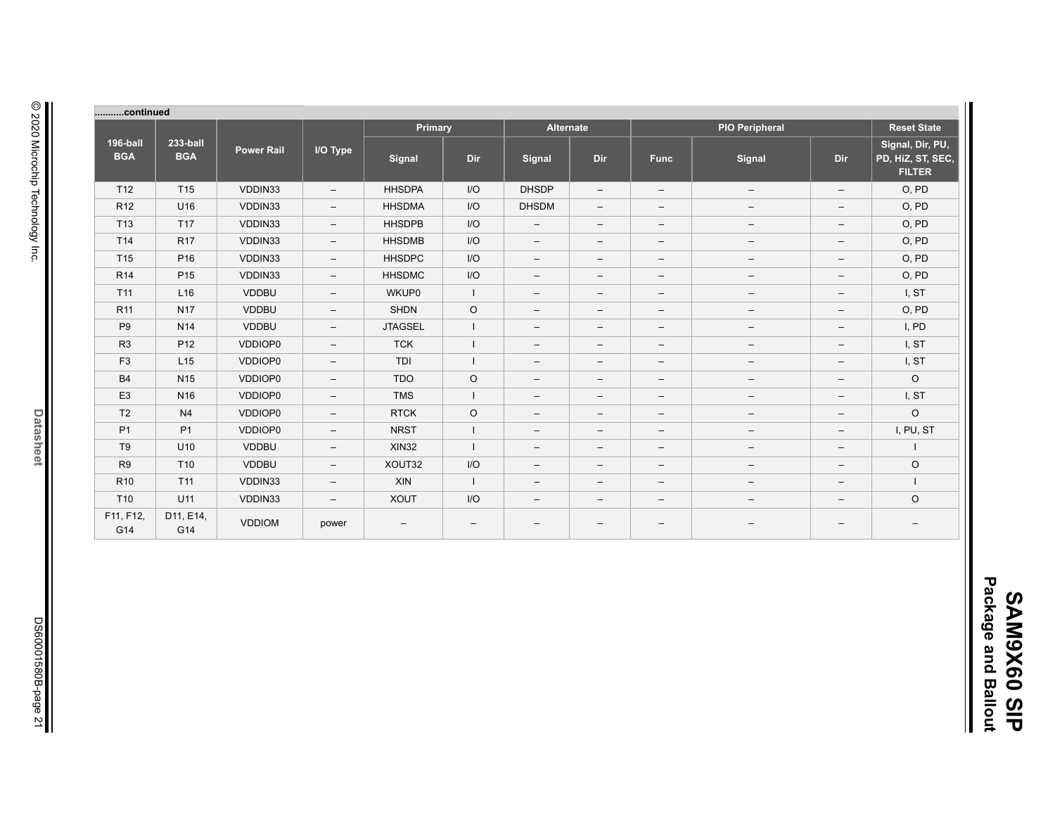| continued              |                        |                   |                          |                |              |                          |                          |                          |                          |                          |                                                        |
|------------------------|------------------------|-------------------|--------------------------|----------------|--------------|--------------------------|--------------------------|--------------------------|--------------------------|--------------------------|--------------------------------------------------------|
|                        |                        |                   |                          | Primary        |              | <b>Alternate</b>         |                          |                          | <b>PIO Peripheral</b>    |                          | <b>Reset State</b>                                     |
| 196-ball<br><b>BGA</b> | 233-ball<br><b>BGA</b> | <b>Power Rail</b> | I/O Type                 | Signal         | Dir          | Signal                   | Dir                      | <b>Func</b>              | Signal                   | <b>Dir</b>               | Signal, Dir, PU,<br>PD, HiZ, ST, SEC,<br><b>FILTER</b> |
| T12                    | T <sub>15</sub>        | VDDIN33           | $\overline{\phantom{0}}$ | <b>HHSDPA</b>  | I/O          | <b>DHSDP</b>             | $\overline{\phantom{m}}$ | $\overline{\phantom{a}}$ | $\overline{\phantom{a}}$ | $\qquad \qquad -$        | O, PD                                                  |
| R <sub>12</sub>        | U16                    | VDDIN33           | $-$                      | <b>HHSDMA</b>  | I/O          | <b>DHSDM</b>             | $\overline{\phantom{m}}$ | $\overline{\phantom{m}}$ | $\overline{\phantom{m}}$ | $\qquad \qquad -$        | O, PD                                                  |
| T <sub>13</sub>        | T <sub>17</sub>        | VDDIN33           | $-$                      | <b>HHSDPB</b>  | I/O          | $\qquad \qquad -$        | $\qquad \qquad -$        | $\qquad \qquad -$        | $\overline{\phantom{m}}$ | $\qquad \qquad -$        | O, PD                                                  |
| T14                    | <b>R17</b>             | VDDIN33           | $\qquad \qquad -$        | <b>HHSDMB</b>  | I/O          | $\qquad \qquad -$        | $\overline{\phantom{m}}$ | $\overline{\phantom{m}}$ | $\overline{\phantom{m}}$ | $\qquad \qquad -$        | O, PD                                                  |
| T <sub>15</sub>        | P <sub>16</sub>        | VDDIN33           | $\overline{\phantom{0}}$ | <b>HHSDPC</b>  | I/O          | $\qquad \qquad -$        | $\qquad \qquad -$        | $\qquad \qquad -$        | $\qquad \qquad -$        | $\qquad \qquad -$        | O, PD                                                  |
| R <sub>14</sub>        | P <sub>15</sub>        | VDDIN33           | $\qquad \qquad -$        | <b>HHSDMC</b>  | $1/O$        | $\overline{\phantom{0}}$ | $\overline{\phantom{m}}$ | $\overline{\phantom{m}}$ | $\overline{\phantom{m}}$ | -                        | O, PD                                                  |
| T <sub>11</sub>        | L16                    | <b>VDDBU</b>      | $\overline{\phantom{0}}$ | <b>WKUP0</b>   | $\mathbf{I}$ | $\qquad \qquad -$        | $\overline{\phantom{m}}$ | $\qquad \qquad -$        | $\overline{\phantom{a}}$ | $\qquad \qquad -$        | I, ST                                                  |
| R <sub>11</sub>        | <b>N17</b>             | <b>VDDBU</b>      | $-$                      | <b>SHDN</b>    | $\circ$      | $\qquad \qquad -$        | $\qquad \qquad -$        | $\qquad \qquad -$        | $-$                      | $\qquad \qquad -$        | O, PD                                                  |
| P <sub>9</sub>         | N <sub>14</sub>        | <b>VDDBU</b>      | $\qquad \qquad -$        | <b>JTAGSEL</b> |              | $\qquad \qquad -$        | $\overline{\phantom{m}}$ | $\qquad \qquad -$        | $\overline{\phantom{m}}$ | $\overline{\phantom{0}}$ | I, PD                                                  |
| R <sub>3</sub>         | P <sub>12</sub>        | VDDIOP0           | $\overline{\phantom{0}}$ | <b>TCK</b>     |              | $\qquad \qquad -$        | $\overline{\phantom{m}}$ | $\qquad \qquad -$        | $\overline{\phantom{m}}$ | $\overline{\phantom{0}}$ | I, ST                                                  |
| F <sub>3</sub>         | L15                    | VDDIOP0           | $\overline{\phantom{0}}$ | TDI            |              | $\qquad \qquad -$        | $\qquad \qquad -$        | $\qquad \qquad -$        | $\qquad \qquad -$        | $\qquad \qquad -$        | I, ST                                                  |
| <b>B4</b>              | N <sub>15</sub>        | VDDIOP0           | $\overline{\phantom{0}}$ | <b>TDO</b>     | $\circ$      | $\qquad \qquad -$        | $\overline{\phantom{m}}$ | $\qquad \qquad -$        | $\overline{\phantom{m}}$ | $\overline{\phantom{0}}$ | $\circ$                                                |
| E <sub>3</sub>         | N <sub>16</sub>        | VDDIOP0           | $\overline{\phantom{0}}$ | <b>TMS</b>     |              | $\qquad \qquad -$        | $\overline{\phantom{m}}$ | $\qquad \qquad -$        | $\overline{\phantom{m}}$ | $\qquad \qquad -$        | I, ST                                                  |
| T <sub>2</sub>         | N <sub>4</sub>         | VDDIOP0           | $\overline{\phantom{0}}$ | <b>RTCK</b>    | $\circ$      | $\qquad \qquad -$        | $\qquad \qquad -$        | $\qquad \qquad -$        | $\qquad \qquad -$        | $\qquad \qquad -$        | $\circ$                                                |
| <b>P1</b>              | P <sub>1</sub>         | VDDIOP0           | $-$                      | <b>NRST</b>    |              | $\qquad \qquad -$        | $\qquad \qquad -$        | $\qquad \qquad -$        | $\qquad \qquad -$        | $\qquad \qquad -$        | I, PU, ST                                              |
| T <sub>9</sub>         | U10                    | <b>VDDBU</b>      | $\qquad \qquad -$        | <b>XIN32</b>   |              | $\qquad \qquad -$        | $\qquad \qquad -$        | $\qquad \qquad -$        | $\overline{\phantom{m}}$ | $\qquad \qquad -$        |                                                        |
| R <sub>9</sub>         | T <sub>10</sub>        | <b>VDDBU</b>      | $\qquad \qquad -$        | XOUT32         | I/O          | $\qquad \qquad -$        | $\qquad \qquad -$        | $\overline{\phantom{m}}$ | $\qquad \qquad -$        | $\qquad \qquad -$        | $\circ$                                                |
| R <sub>10</sub>        | T11                    | VDDIN33           | $\qquad \qquad -$        | XIN            |              | $\qquad \qquad -$        | $\overline{\phantom{m}}$ | $\qquad \qquad -$        | $\qquad \qquad -$        | $\qquad \qquad -$        | $\mathbf{I}$                                           |
| T <sub>10</sub>        | U11                    | VDDIN33           | $\qquad \qquad -$        | <b>XOUT</b>    | $1/O$        | $\qquad \qquad -$        | $\qquad \qquad -$        | $\qquad \qquad -$        | $\qquad \qquad -$        | $\qquad \qquad -$        | $\circ$                                                |
| F11, F12,<br>G14       | D11, E14,<br>G14       | <b>VDDIOM</b>     | power                    | —              |              | $\overline{\phantom{0}}$ | $\qquad \qquad -$        |                          |                          | -                        |                                                        |

 $\parallel$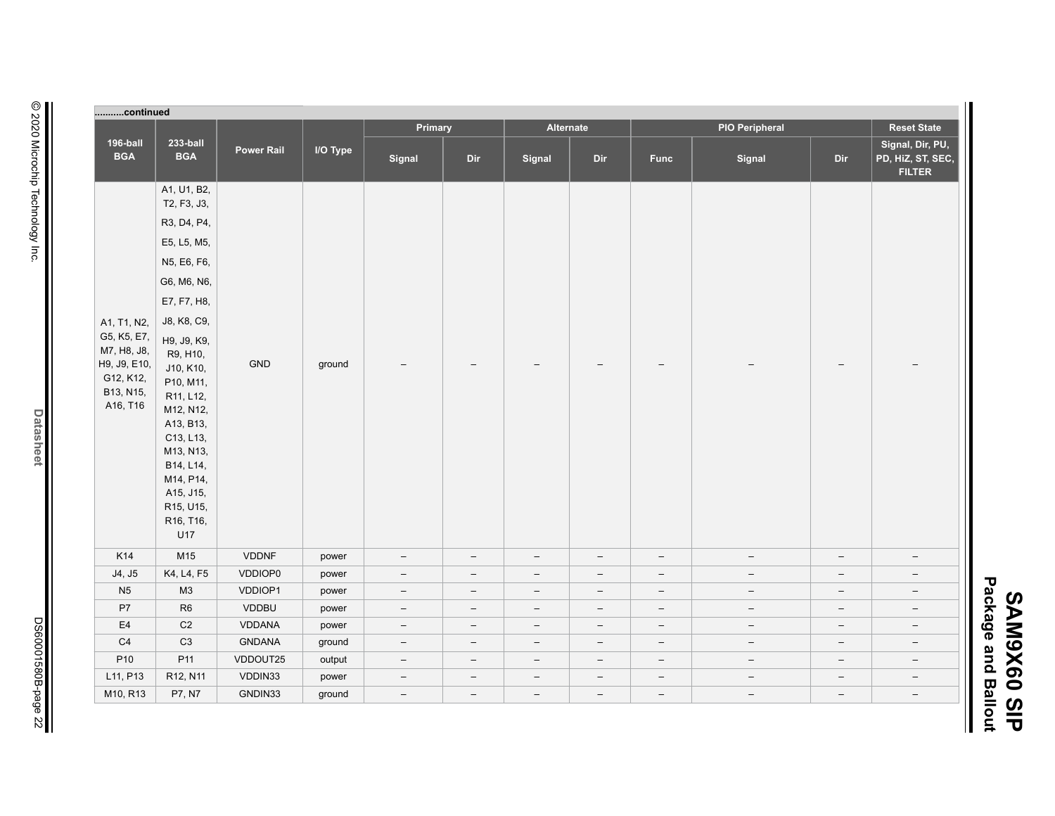| п<br>യ               |        |
|----------------------|--------|
|                      | ທ<br>চ |
| ckag                 |        |
| ወ                    | 3<br>ശ |
| <u>م</u><br><u>5</u> | X      |
|                      | თ<br>0 |
| ى<br>∾               |        |
|                      | ഗ      |
| -                    | п      |

Ш

| continued                                                                        |                                                                                                                                                                                            |                   |          |                          |                          |                          |                          |                          |                          |                          |                                                        |
|----------------------------------------------------------------------------------|--------------------------------------------------------------------------------------------------------------------------------------------------------------------------------------------|-------------------|----------|--------------------------|--------------------------|--------------------------|--------------------------|--------------------------|--------------------------|--------------------------|--------------------------------------------------------|
|                                                                                  |                                                                                                                                                                                            |                   |          | Primary                  |                          | Alternate                |                          |                          | <b>PIO Peripheral</b>    |                          | <b>Reset State</b>                                     |
| 196-ball<br><b>BGA</b>                                                           | 233-ball<br><b>BGA</b>                                                                                                                                                                     | <b>Power Rail</b> | I/O Type | Signal                   | Dir                      | Signal                   | Dir                      | <b>Func</b>              | Signal                   | Dir                      | Signal, Dir, PU,<br>PD, HiZ, ST, SEC,<br><b>FILTER</b> |
|                                                                                  | A1, U1, B2,<br>T2, F3, J3,                                                                                                                                                                 |                   |          |                          |                          |                          |                          |                          |                          |                          |                                                        |
|                                                                                  | R3, D4, P4,                                                                                                                                                                                |                   |          |                          |                          |                          |                          |                          |                          |                          |                                                        |
|                                                                                  | E5, L5, M5,                                                                                                                                                                                |                   |          |                          |                          |                          |                          |                          |                          |                          |                                                        |
|                                                                                  | N5, E6, F6,                                                                                                                                                                                |                   |          |                          |                          |                          |                          |                          |                          |                          |                                                        |
|                                                                                  | G6, M6, N6,                                                                                                                                                                                |                   |          |                          |                          |                          |                          |                          |                          |                          |                                                        |
|                                                                                  | E7, F7, H8,                                                                                                                                                                                |                   |          |                          |                          |                          |                          |                          |                          |                          |                                                        |
| A1, T1, N2,                                                                      | J8, K8, C9,                                                                                                                                                                                |                   |          |                          |                          |                          |                          |                          |                          |                          |                                                        |
| G5, K5, E7,<br>M7, H8, J8,<br>H9, J9, E10,<br>G12, K12,<br>B13, N15,<br>A16, T16 | H9, J9, K9,<br>R9, H10,<br>J10, K10,<br>P10, M11,<br>R11, L12,<br>M12, N12,<br>A13, B13,<br>C13, L13,<br>M13, N13,<br>B14, L14,<br>M14, P14,<br>A15, J15,<br>R15, U15,<br>R16, T16,<br>U17 | <b>GND</b>        | ground   |                          |                          |                          |                          |                          |                          |                          |                                                        |
| K14                                                                              | M15                                                                                                                                                                                        | <b>VDDNF</b>      | power    | $\overline{\phantom{m}}$ | $\overline{\phantom{a}}$ | $\overline{\phantom{a}}$ | $\overline{\phantom{m}}$ | $\overline{\phantom{m}}$ | $\overline{\phantom{a}}$ | $\qquad \qquad -$        | $\overline{\phantom{m}}$                               |
| J4, J5                                                                           | K4, L4, F5                                                                                                                                                                                 | VDDIOP0           | power    | $\overline{\phantom{m}}$ | $\overline{\phantom{a}}$ | $\overline{\phantom{a}}$ | $\qquad \qquad -$        | $\overline{\phantom{m}}$ | $\overline{\phantom{a}}$ | $\qquad \qquad -$        | $\overline{\phantom{a}}$                               |
| N <sub>5</sub>                                                                   | M3                                                                                                                                                                                         | VDDIOP1           | power    | $\overline{\phantom{m}}$ | $\overline{\phantom{m}}$ | $\overline{\phantom{a}}$ | $\qquad \qquad -$        | $\overline{\phantom{m}}$ | $\overline{\phantom{a}}$ | $\qquad \qquad -$        | $\overline{\phantom{a}}$                               |
| P7                                                                               | R6                                                                                                                                                                                         | <b>VDDBU</b>      | power    | $-$                      | $-$                      | $\overline{\phantom{a}}$ | $\overline{\phantom{0}}$ | $\overline{\phantom{m}}$ | $\overline{\phantom{a}}$ | $\qquad \qquad -$        | $\overline{\phantom{m}}$                               |
| E4                                                                               | $\mathsf{C2}$                                                                                                                                                                              | VDDANA            | power    | $\overline{\phantom{m}}$ | $\overline{\phantom{m}}$ | $\overline{\phantom{m}}$ | $\overline{\phantom{a}}$ | $\overline{\phantom{m}}$ | $\qquad \qquad -$        | $\qquad \qquad -$        | $\overline{\phantom{m}}$                               |
| $\mathbb{C}4$                                                                    | C <sub>3</sub>                                                                                                                                                                             | <b>GNDANA</b>     | ground   | $\overline{\phantom{m}}$ | $\overline{\phantom{m}}$ | $\overline{\phantom{m}}$ | $\overline{\phantom{a}}$ | $\overline{\phantom{m}}$ | $\qquad \qquad -$        | $\qquad \qquad -$        | $\overline{\phantom{a}}$                               |
| P <sub>10</sub>                                                                  | P11                                                                                                                                                                                        | VDDOUT25          | output   | $\overline{\phantom{m}}$ | $-$                      | $\overline{\phantom{a}}$ | $\overline{\phantom{0}}$ | $\overline{\phantom{m}}$ | $\overline{\phantom{a}}$ | $\overline{\phantom{a}}$ | $\overline{\phantom{m}}$                               |
| L11, P13                                                                         | R12, N11                                                                                                                                                                                   | VDDIN33           | power    | $\overline{\phantom{a}}$ | $\overline{\phantom{a}}$ | $\overline{\phantom{a}}$ | $\overline{\phantom{0}}$ | $\overline{\phantom{m}}$ | $\qquad \qquad -$        | $\qquad \qquad -$        | $\overline{\phantom{a}}$                               |
| M10, R13                                                                         | P7, N7                                                                                                                                                                                     | GNDIN33           | ground   | $\overline{\phantom{m}}$ | $\overline{\phantom{a}}$ | $\overline{\phantom{a}}$ | $\overline{\phantom{a}}$ | $\overline{\phantom{m}}$ | $\overline{\phantom{a}}$ | $\qquad \qquad -$        | $-$                                                    |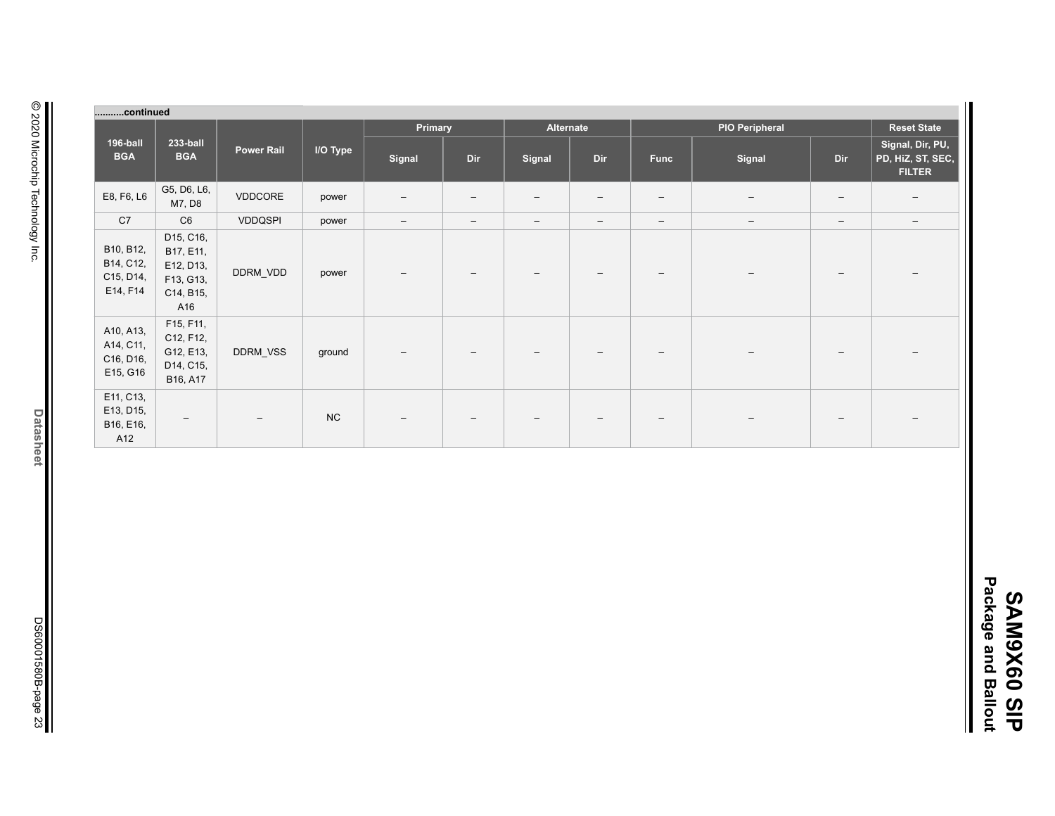|                                                 | continued                                                            |                   |           |                                 |                          |                          |                          |                          |                       |                          |                                                        |
|-------------------------------------------------|----------------------------------------------------------------------|-------------------|-----------|---------------------------------|--------------------------|--------------------------|--------------------------|--------------------------|-----------------------|--------------------------|--------------------------------------------------------|
|                                                 |                                                                      |                   |           | Primary                         |                          | Alternate                |                          |                          | <b>PIO Peripheral</b> |                          | <b>Reset State</b>                                     |
| 196-ball<br><b>BGA</b>                          | 233-ball<br><b>BGA</b>                                               | <b>Power Rail</b> | I/O Type  | Signal                          | Dir                      | Signal                   | Dir                      | <b>Func</b>              | Signal                | Dir                      | Signal, Dir, PU,<br>PD, HiZ, ST, SEC,<br><b>FILTER</b> |
| E8, F6, L6                                      | G5, D6, L6,<br>M7, D8                                                | VDDCORE           | power     | $\qquad \qquad -$               | $\overline{\phantom{m}}$ | $\overline{\phantom{m}}$ | $\qquad \qquad -$        | $\overline{\phantom{m}}$ | $\qquad \qquad -$     | $\overline{\phantom{m}}$ | $\overline{\phantom{m}}$                               |
| C7                                              | C6                                                                   | <b>VDDQSPI</b>    | power     | $\hspace{0.1mm}-\hspace{0.1mm}$ | $\overline{\phantom{a}}$ | $\qquad \qquad -$        | $\qquad \qquad -$        | $\overline{\phantom{a}}$ | $\qquad \qquad -$     | $\qquad \qquad -$        | $\qquad \qquad -$                                      |
| B10, B12,<br>B14, C12,<br>C15, D14,<br>E14, F14 | D15, C16,<br>B17, E11,<br>E12, D13,<br>F13, G13,<br>C14, B15,<br>A16 | DDRM_VDD          | power     | $\overline{\phantom{a}}$        | $\overline{\phantom{0}}$ |                          | $\overline{\phantom{m}}$ | $\overline{\phantom{a}}$ | $\qquad \qquad$       |                          |                                                        |
| A10, A13,<br>A14, C11,<br>C16, D16,<br>E15, G16 | F15, F11,<br>C12, F12,<br>G12, E13,<br>D14, C15,<br>B16, A17         | <b>DDRM VSS</b>   | ground    | $\overline{\phantom{a}}$        | $\overline{\phantom{a}}$ | $\overline{\phantom{0}}$ | $\overline{\phantom{a}}$ | $\overline{\phantom{m}}$ | $\qquad \qquad -$     |                          | $\qquad \qquad -$                                      |
| E11, C13,<br>E13, D15,<br>B16, E16,<br>A12      | $\qquad \qquad -$                                                    | $\qquad \qquad -$ | <b>NC</b> | $\qquad \qquad -$               | $\overline{\phantom{m}}$ | $\overline{\phantom{0}}$ | $\qquad \qquad -$        | $\overline{\phantom{a}}$ |                       | $\overline{\phantom{0}}$ | $\overline{\phantom{0}}$                               |

2020 Microchip Technology Inc. © 2020 Microchip Technology Inc.

> **Datasheet Datasheet**

 $\parallel$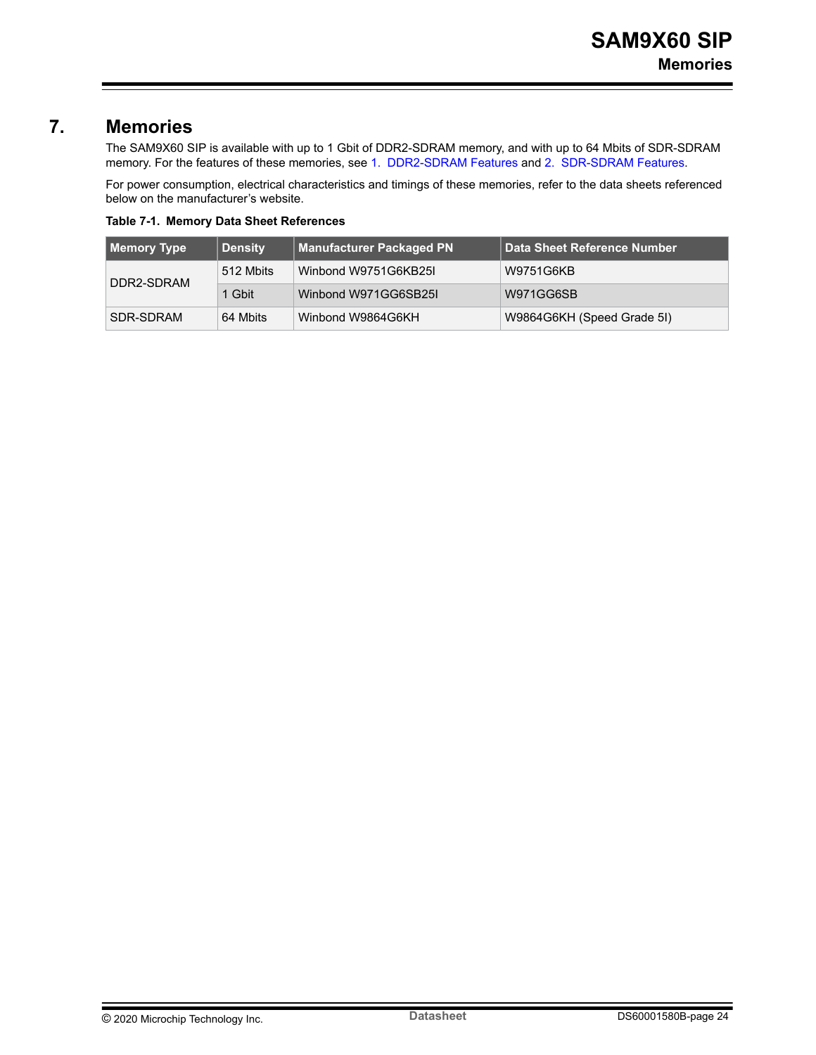### <span id="page-23-0"></span>**7. Memories**

The SAM9X60 SIP is available with up to 1 Gbit of DDR2-SDRAM memory, and with up to 64 Mbits of SDR-SDRAM memory. For the features of these memories, see [1. DDR2-SDRAM Features](#page-5-0) and [2. SDR-SDRAM Features.](#page-6-0)

For power consumption, electrical characteristics and timings of these memories, refer to the data sheets referenced below on the manufacturer's website.

**Table 7-1. Memory Data Sheet References**

| Memory Type | <b>Density</b> | <b>Manufacturer Packaged PN</b> | Data Sheet Reference Number |
|-------------|----------------|---------------------------------|-----------------------------|
| DDR2-SDRAM  | 512 Mbits      | Winbond W9751G6KB25I            | W9751G6KB                   |
|             | 1 Gbit         | Winbond W971GG6SB25I            | W971GG6SB                   |
| SDR-SDRAM   | 64 Mbits       | Winbond W9864G6KH               | W9864G6KH (Speed Grade 5I)  |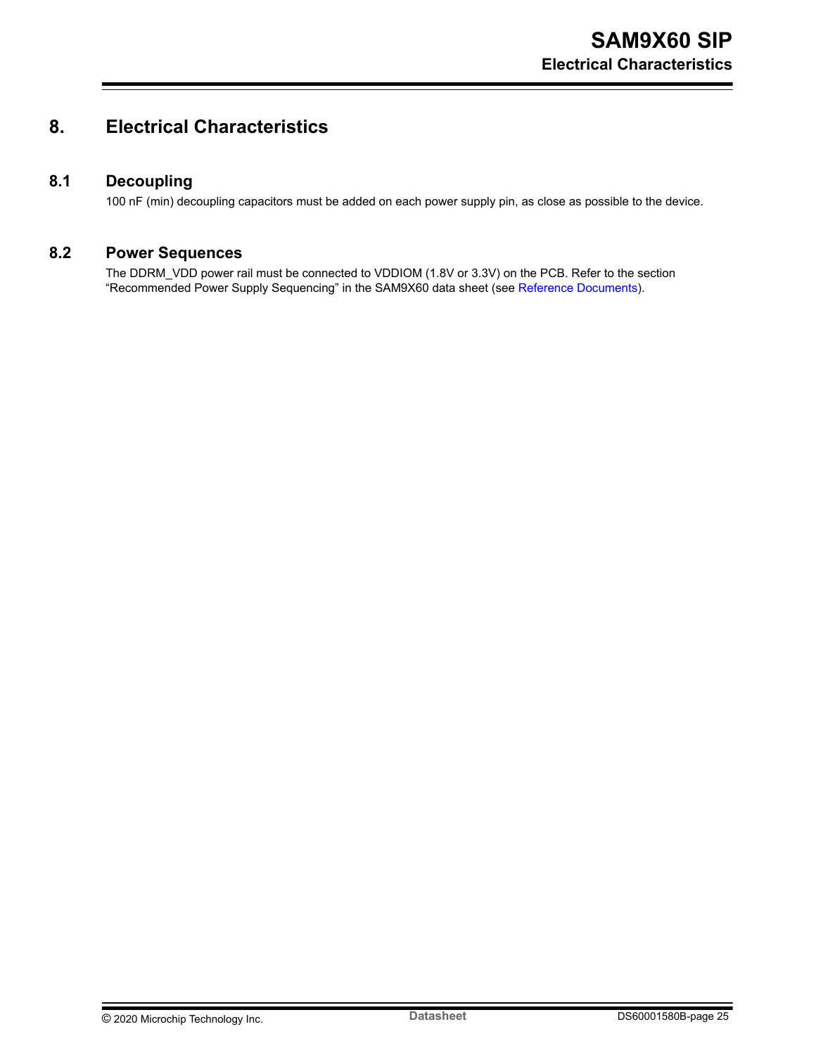## <span id="page-24-0"></span>**8. Electrical Characteristics**

#### **8.1 Decoupling**

100 nF (min) decoupling capacitors must be added on each power supply pin, as close as possible to the device.

## **8.2 Power Sequences**

The DDRM\_VDD power rail must be connected to VDDIOM (1.8V or 3.3V) on the PCB. Refer to the section "Recommended Power Supply Sequencing" in the SAM9X60 data sheet (see [Reference Documents\)](#page-0-0).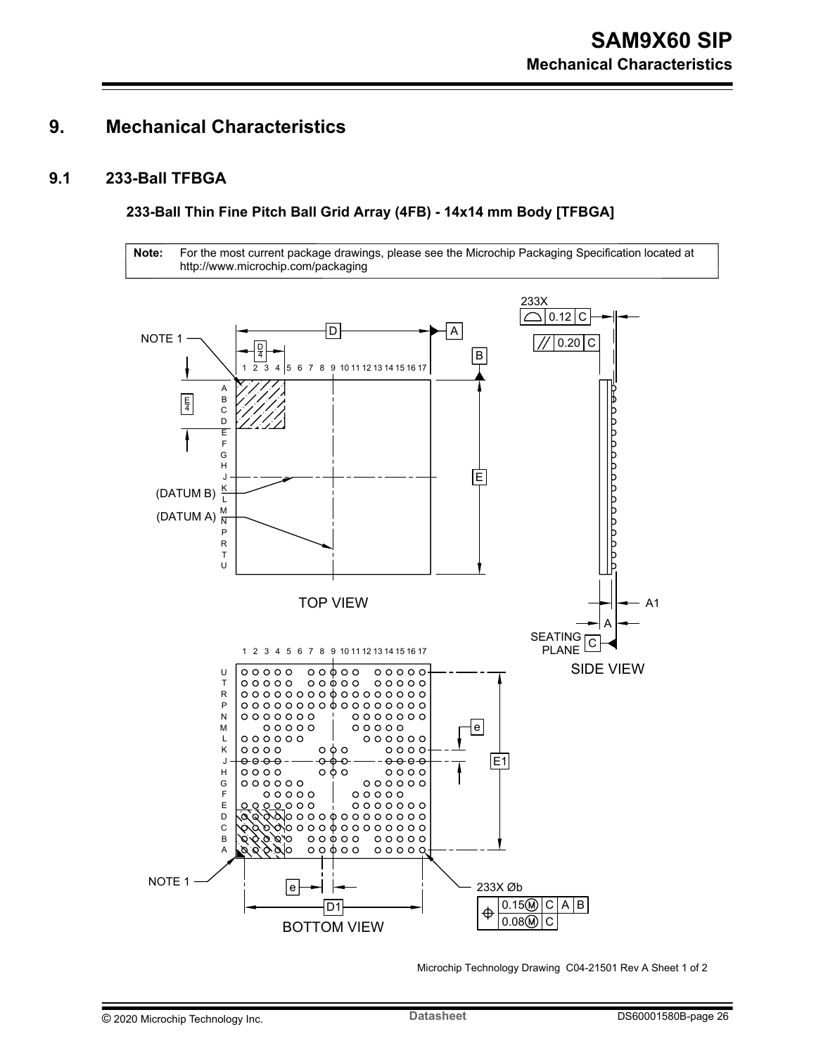## <span id="page-25-0"></span>**9. Mechanical Characteristics**

### **9.1 233-Ball TFBGA**

**233-Ball Thin Fine Pitch Ball Grid Array (4FB) - 14x14 mm Body [TFBGA]**

**Note:** For the most current package drawings, please see the Microchip Packaging Specification located at http://www.microchip.com/packaging



Microchip Technology Drawing C04-21501 Rev A Sheet 1 of 2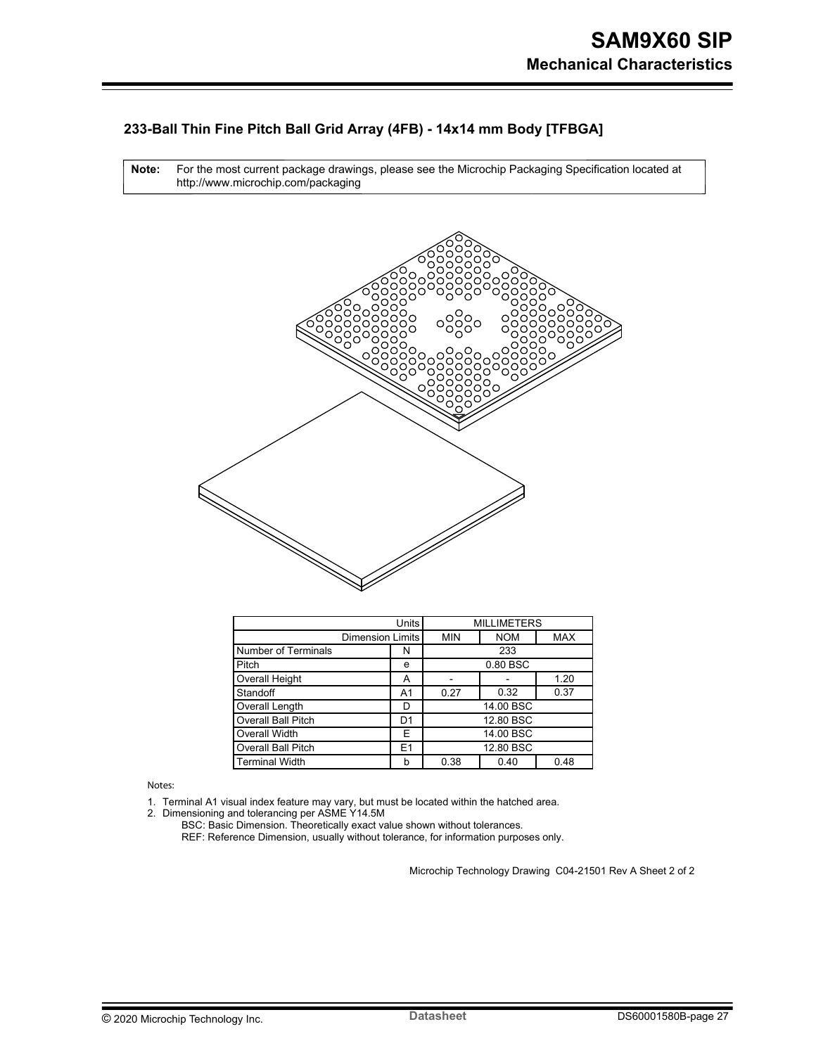#### **233-Ball Thin Fine Pitch Ball Grid Array (4FB) - 14x14 mm Body [TFBGA]**

For the most current package drawings, please see the Microchip Packaging Specification located at http://www.microchip.com/packaging **Note:**



|                           | <b>Units</b>   |            | <b>MILLIMETERS</b> |            |
|---------------------------|----------------|------------|--------------------|------------|
| <b>Dimension Limits</b>   |                | <b>MIN</b> | <b>NOM</b>         | <b>MAX</b> |
| Number of Terminals       | N              |            | 233                |            |
| Pitch                     | е              |            | 0.80 BSC           |            |
| Overall Height            | A              |            |                    | 1.20       |
| Standoff                  | A1             | 0.27       | 0.32               | 0.37       |
| Overall Length            | D              |            | 14.00 BSC          |            |
| Overall Ball Pitch        | D <sub>1</sub> |            | 12.80 BSC          |            |
| Overall Width             | E              |            | 14.00 BSC          |            |
| <b>Overall Ball Pitch</b> | E <sub>1</sub> |            | 12.80 BSC          |            |
| Terminal Width            | b              | 0.38       | 0.40               | 0.48       |

Notes:

1. Terminal A1 visual index feature may vary, but must be located within the hatched area.

2. Dimensioning and tolerancing per ASME Y14.5M

BSC: Basic Dimension. Theoretically exact value shown without tolerances.

REF: Reference Dimension, usually without tolerance, for information purposes only.

Microchip Technology Drawing C04-21501 Rev A Sheet 2 of 2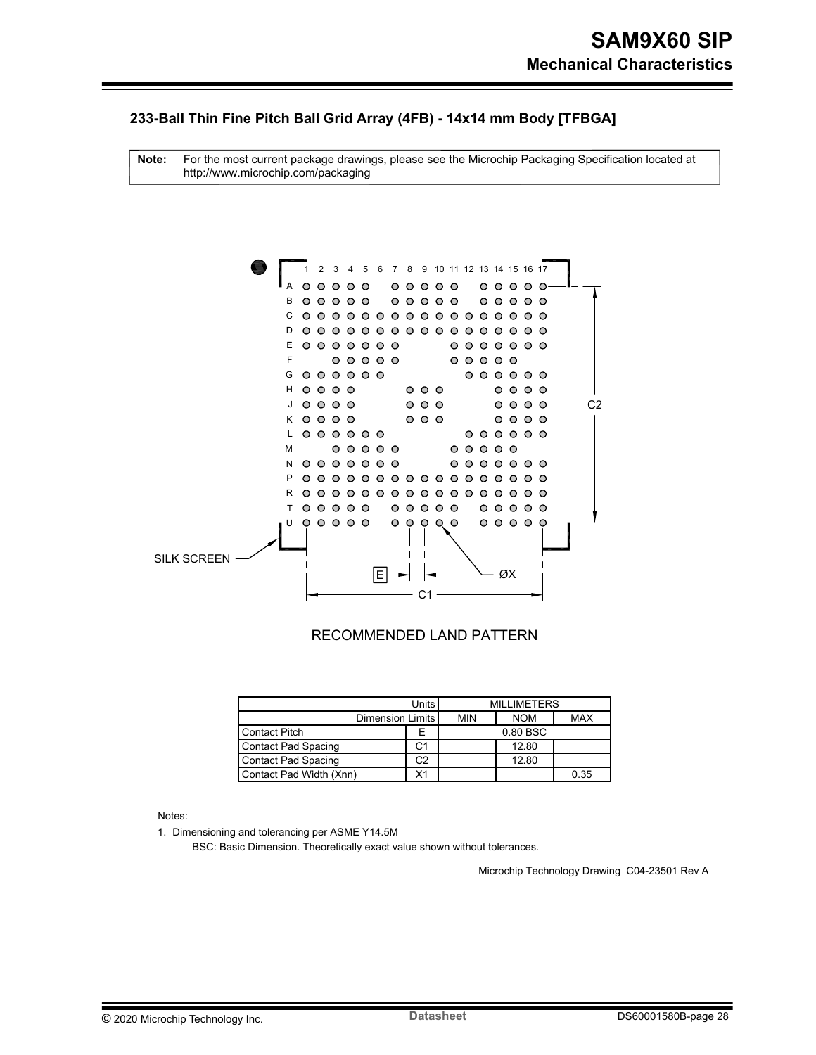#### **233-Ball Thin Fine Pitch Ball Grid Array (4FB) - 14x14 mm Body [TFBGA]**

For the most current package drawings, please see the Microchip Packaging Specification located at http://www.microchip.com/packaging **Note:**



#### RECOMMENDED LAND PATTERN

|                            | Units l |            |            |            |  |
|----------------------------|---------|------------|------------|------------|--|
| Dimension Limits           |         | <b>MIN</b> | <b>NOM</b> | <b>MAX</b> |  |
| <b>Contact Pitch</b>       | E       |            | 0.80 BSC   |            |  |
| <b>Contact Pad Spacing</b> | C1      |            | 12.80      |            |  |
| <b>Contact Pad Spacing</b> | C2      |            | 12.80      |            |  |
| Contact Pad Width (Xnn)    | Х1      |            |            | 0.35       |  |

Notes:

1. Dimensioning and tolerancing per ASME Y14.5M

BSC: Basic Dimension. Theoretically exact value shown without tolerances.

Microchip Technology Drawing C04-23501 Rev A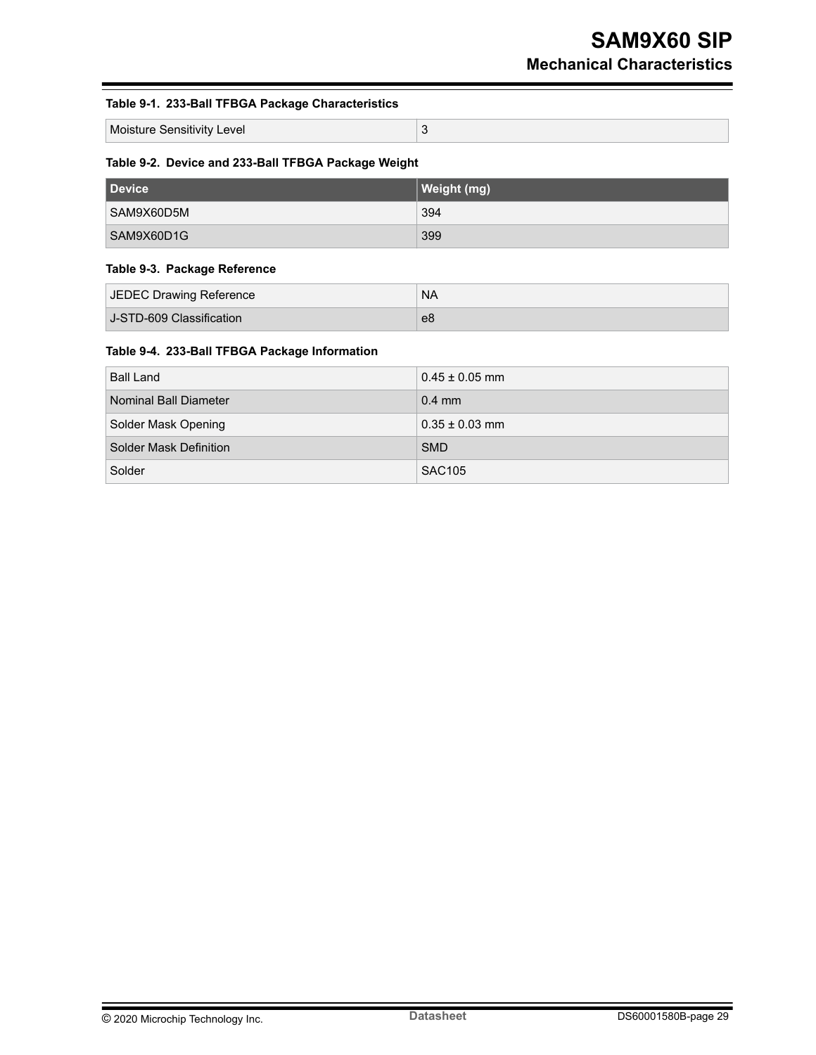#### **Table 9-1. 233-Ball TFBGA Package Characteristics**

Moisture Sensitivity Level 3

#### **Table 9-2. Device and 233-Ball TFBGA Package Weight**

| Device     | Weight (mg) |
|------------|-------------|
| SAM9X60D5M | 394         |
| SAM9X60D1G | 399         |

#### **Table 9-3. Package Reference**

| JEDEC Drawing Reference  | <b>NA</b> |
|--------------------------|-----------|
| J-STD-609 Classification | e8        |

#### **Table 9-4. 233-Ball TFBGA Package Information**

| <b>Ball Land</b>       | $0.45 \pm 0.05$ mm |
|------------------------|--------------------|
| Nominal Ball Diameter  | $0.4$ mm           |
| Solder Mask Opening    | $0.35 \pm 0.03$ mm |
| Solder Mask Definition | <b>SMD</b>         |
| Solder                 | <b>SAC105</b>      |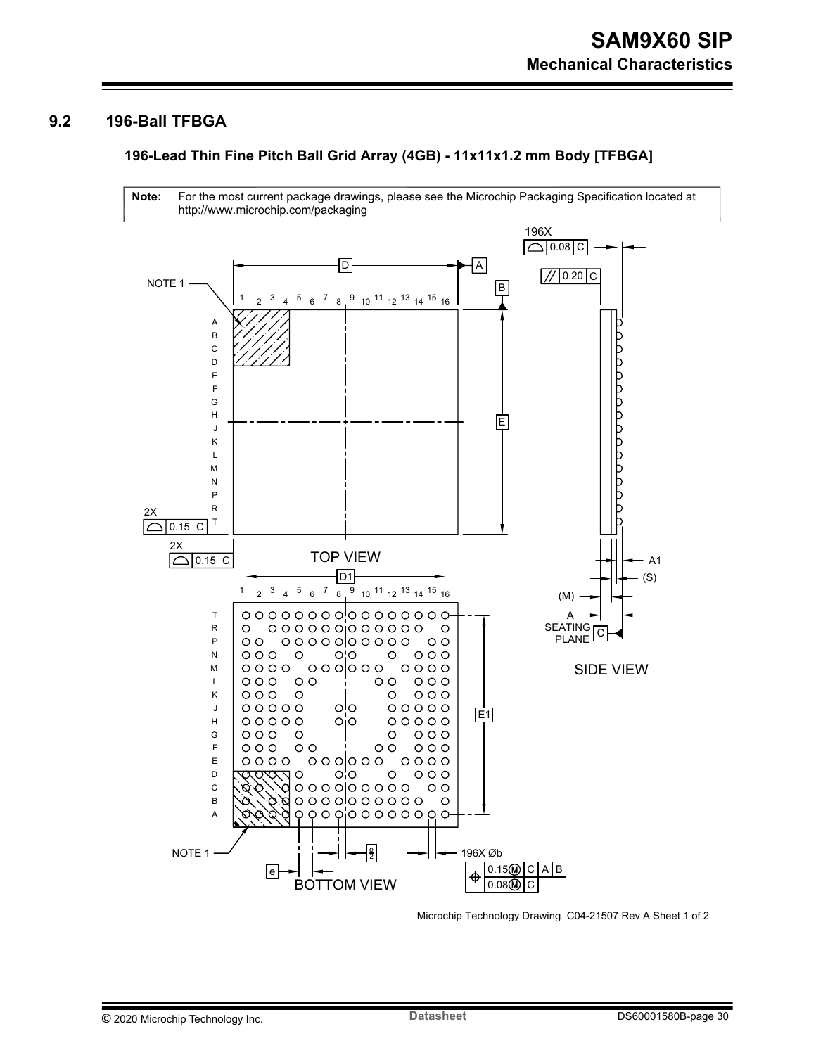#### <span id="page-29-0"></span>**9.2 196-Ball TFBGA**

#### **196-Lead Thin Fine Pitch Ball Grid Array (4GB) - 11x11x1.2 mm Body [TFBGA]**



Microchip Technology Drawing C04-21507 Rev A Sheet 1 of 2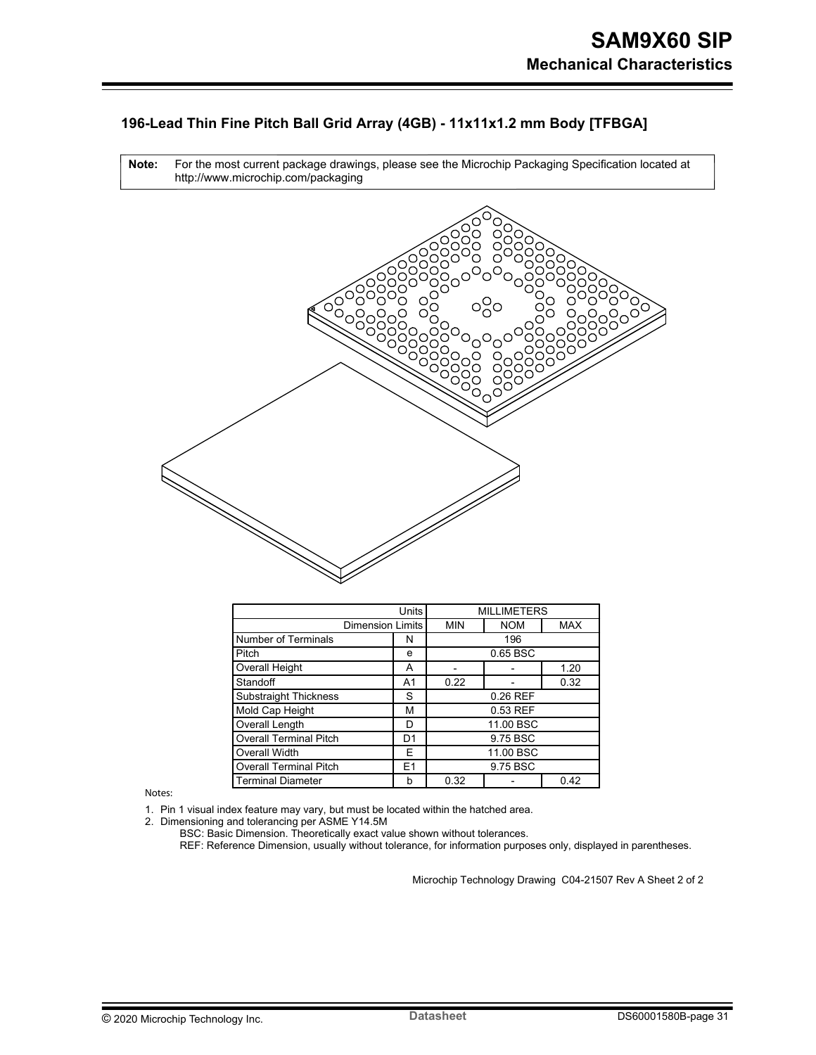#### **196-Lead Thin Fine Pitch Ball Grid Array (4GB) - 11x11x1.2 mm Body [TFBGA]**



| Units                         |                | <b>MILLIMETERS</b> |            |            |
|-------------------------------|----------------|--------------------|------------|------------|
| <b>Dimension Limits</b>       |                | <b>MIN</b>         | <b>NOM</b> | <b>MAX</b> |
| Number of Terminals           | N              | 196                |            |            |
| Pitch                         | e              | 0.65 BSC           |            |            |
| Overall Height                | A              |                    |            | 1.20       |
| Standoff                      | A1             | 0.22               |            | 0.32       |
| <b>Substraight Thickness</b>  | S              | 0.26 REF           |            |            |
| Mold Cap Height               | М              | 0.53 REF           |            |            |
| Overall Length                | D              | 11.00 BSC          |            |            |
| <b>Overall Terminal Pitch</b> | D1             | 9.75 BSC           |            |            |
| Overall Width                 | E              | 11.00 BSC          |            |            |
| <b>Overall Terminal Pitch</b> | E <sub>1</sub> | 9.75 BSC           |            |            |
| Terminal Diameter             | b              | 0.32               |            | 0.42       |

Notes:

2.

1. Pin 1 visual index feature may vary, but must be located within the hatched area.

Dimensioning and tolerancing per ASME Y14.5M

BSC: Basic Dimension. Theoretically exact value shown without tolerances.

REF: Reference Dimension, usually without tolerance, for information purposes only, displayed in parentheses.

Microchip Technology Drawing C04-21507 Rev A Sheet 2 of 2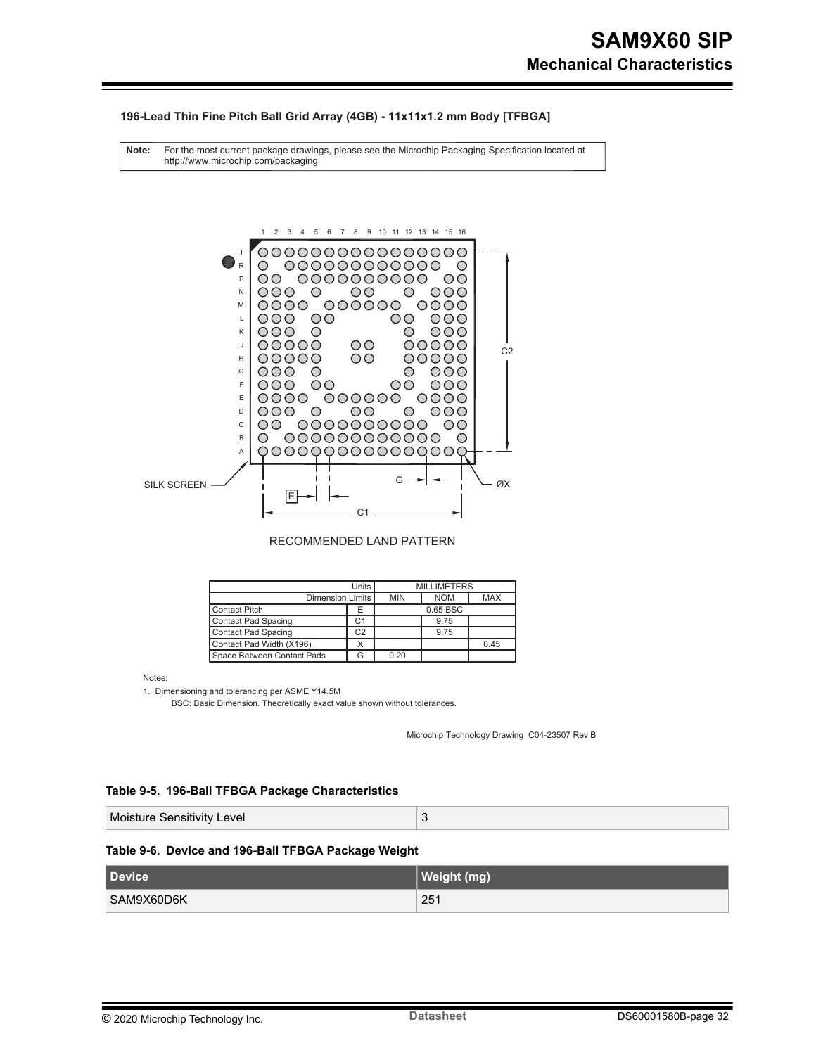#### **196-Lead Thin Fine Pitch Ball Grid Array (4GB) - 11x11x1.2 mm Body [TFBGA]**

For the most current package drawings, please see the Microchip Packaging Specification located at http://www.microchip.com/packaging **Note:**



RECOMMENDED LAND PATTERN

| Units <sup>I</sup>         |                | <b>MILLIMETERS</b> |            |            |
|----------------------------|----------------|--------------------|------------|------------|
| Dimension Limits           |                | <b>MIN</b>         | <b>NOM</b> | <b>MAX</b> |
| <b>Contact Pitch</b>       | Е              |                    | 0.65 BSC   |            |
| Contact Pad Spacing        | C1             |                    | 9.75       |            |
| Contact Pad Spacing        | C <sub>2</sub> | 9.75               |            |            |
| Contact Pad Width (X196)   |                | 0.45               |            |            |
| Space Between Contact Pads |                | 0.20               |            |            |

Notes:

1. Dimensioning and tolerancing per ASME Y14.5M

BSC: Basic Dimension. Theoretically exact value shown without tolerances.

Microchip Technology Drawing C04-23507 Rev B

#### **Table 9-5. 196-Ball TFBGA Package Characteristics**

| Moisture Sensitivity Level |  |
|----------------------------|--|
|----------------------------|--|

#### **Table 9-6. Device and 196-Ball TFBGA Package Weight**

| <b>Device</b> | Weight (mg) |
|---------------|-------------|
| SAM9X60D6K    | 251         |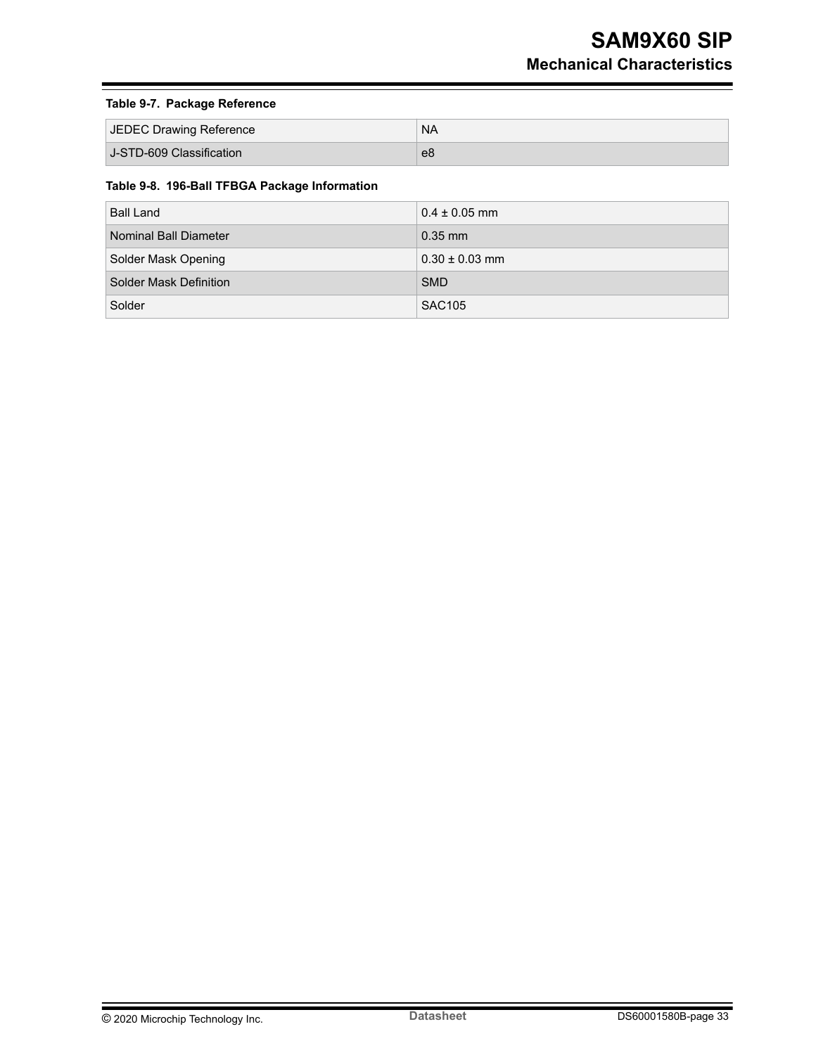#### **Table 9-7. Package Reference**

| JEDEC Drawing Reference  | <b>NA</b> |
|--------------------------|-----------|
| J-STD-609 Classification | e8        |

#### **Table 9-8. 196-Ball TFBGA Package Information**

| <b>Ball Land</b>       | $0.4 \pm 0.05$ mm  |
|------------------------|--------------------|
| Nominal Ball Diameter  | $0.35$ mm          |
| Solder Mask Opening    | $0.30 \pm 0.03$ mm |
| Solder Mask Definition | <b>SMD</b>         |
| Solder                 | <b>SAC105</b>      |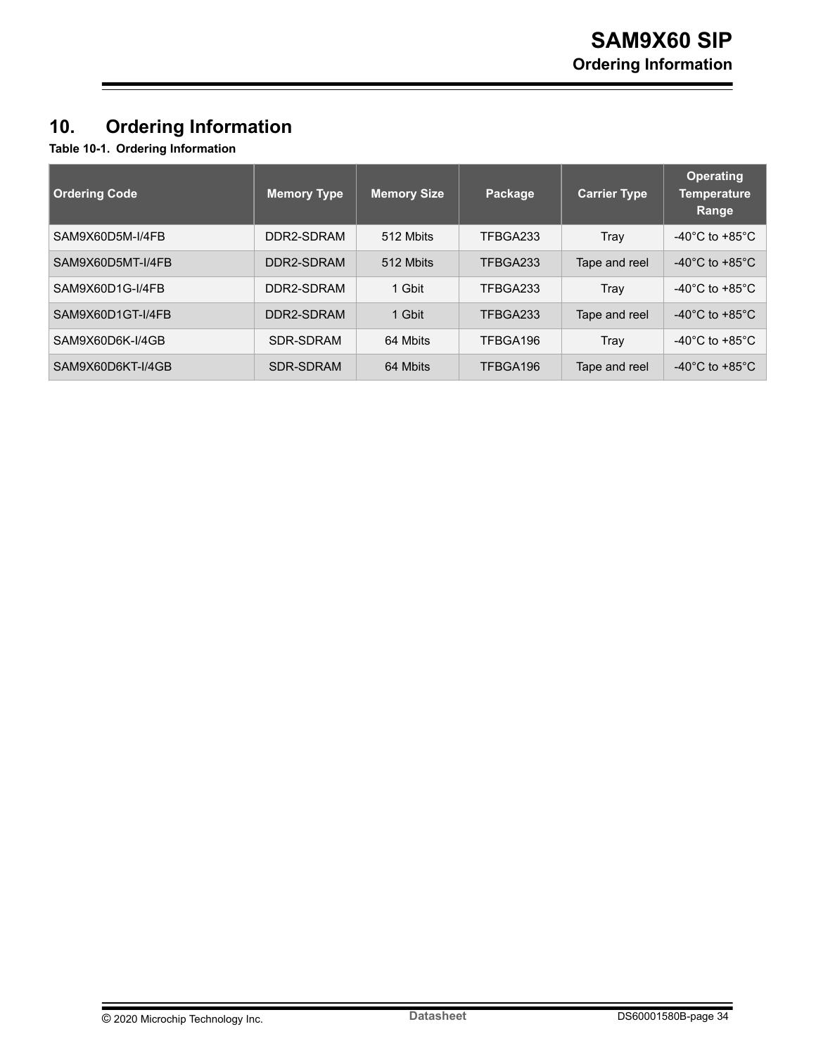## <span id="page-33-0"></span>**10. Ordering Information**

**Table 10-1. Ordering Information**

| <b>Ordering Code</b> | <b>Memory Type</b> | Memory Size | Package  | <b>Carrier Type</b> | <b>Operating</b><br><b>Temperature</b><br>Range |
|----------------------|--------------------|-------------|----------|---------------------|-------------------------------------------------|
| SAM9X60D5M-I/4FB     | DDR2-SDRAM         | 512 Mbits   | TFBGA233 | Trav                | $-40^{\circ}$ C to $+85^{\circ}$ C              |
| SAM9X60D5MT-I/4FB    | DDR2-SDRAM         | 512 Mbits   | TFBGA233 | Tape and reel       | $-40^{\circ}$ C to $+85^{\circ}$ C              |
| SAM9X60D1G-I/4FB     | DDR2-SDRAM         | 1 Gbit      | TFBGA233 | Tray                | $-40^{\circ}$ C to $+85^{\circ}$ C              |
| SAM9X60D1GT-I/4FB    | DDR2-SDRAM         | 1 Gbit      | TFBGA233 | Tape and reel       | $-40^{\circ}$ C to $+85^{\circ}$ C              |
| SAM9X60D6K-I/4GB     | SDR-SDRAM          | 64 Mbits    | TFBGA196 | Tray                | $-40^{\circ}$ C to $+85^{\circ}$ C              |
| SAM9X60D6KT-I/4GB    | SDR-SDRAM          | 64 Mbits    | TFBGA196 | Tape and reel       | $-40^{\circ}$ C to $+85^{\circ}$ C              |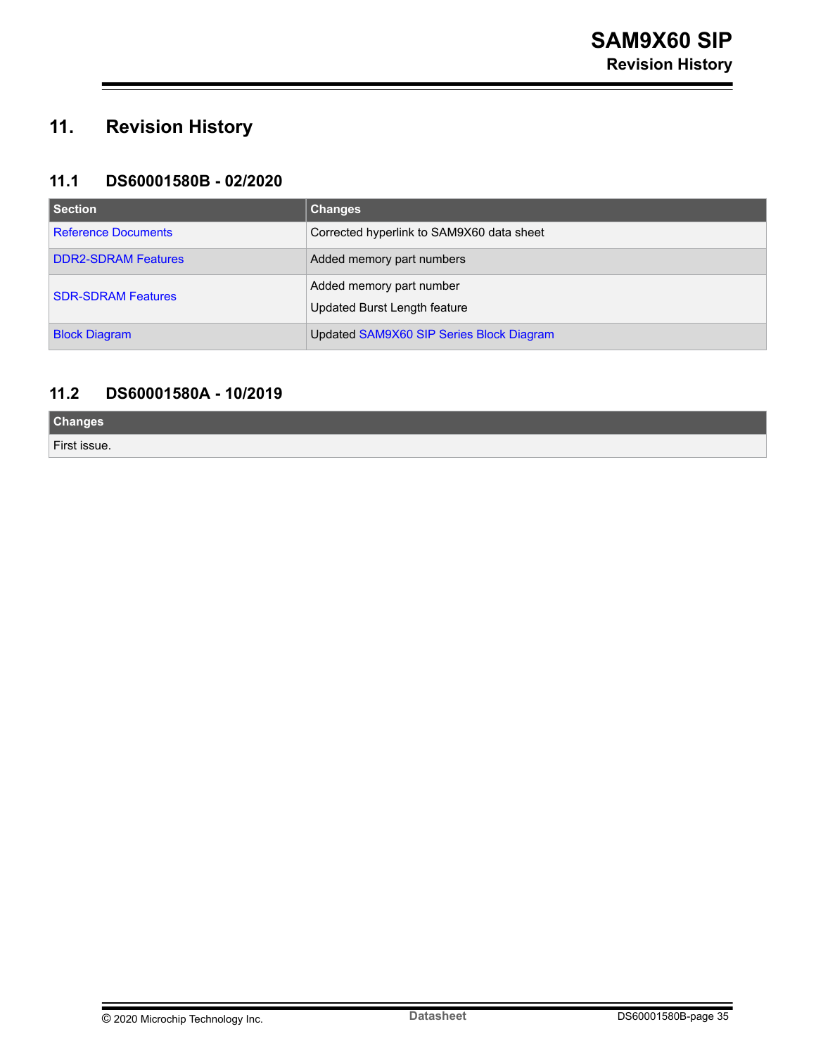## <span id="page-34-0"></span>**11. Revision History**

### **11.1 DS60001580B - 02/2020**

| Section                    | <b>Changes</b>                                           |
|----------------------------|----------------------------------------------------------|
| <b>Reference Documents</b> | Corrected hyperlink to SAM9X60 data sheet                |
| <b>DDR2-SDRAM Features</b> | Added memory part numbers                                |
| <b>SDR-SDRAM Features</b>  | Added memory part number<br>Updated Burst Length feature |
| <b>Block Diagram</b>       | Updated SAM9X60 SIP Series Block Diagram                 |

### **11.2 DS60001580A - 10/2019**

**Changes** First issue.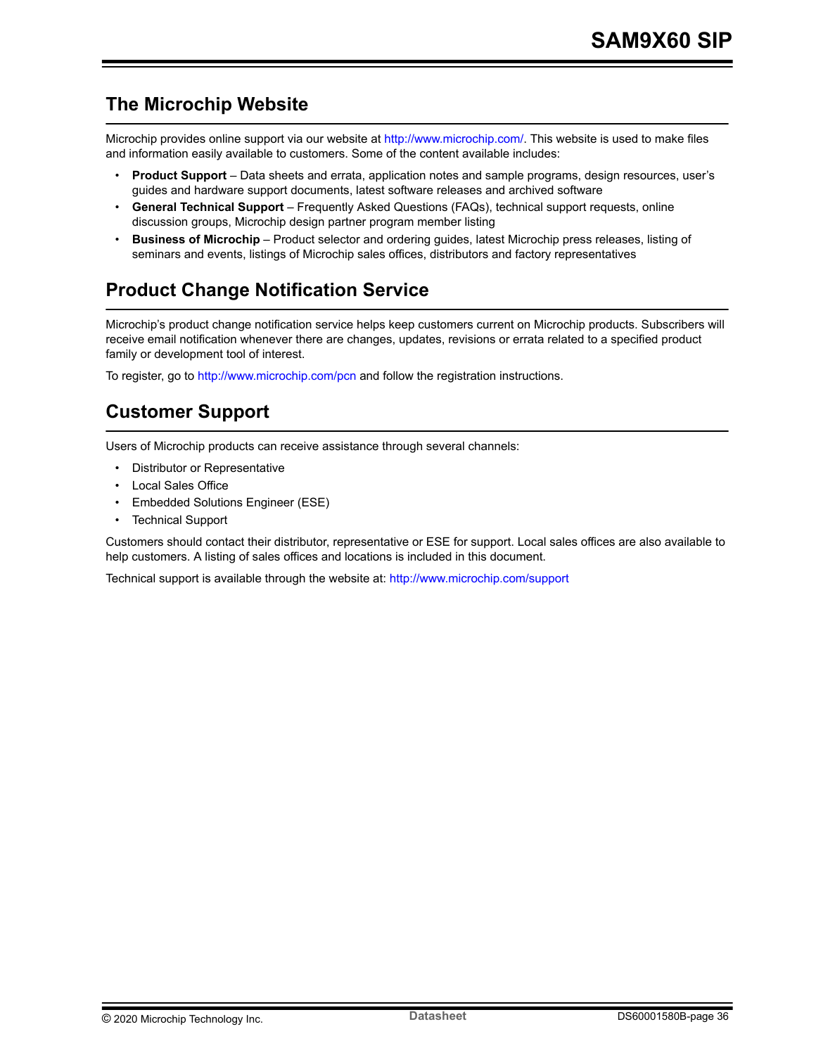## <span id="page-35-0"></span>**The Microchip Website**

Microchip provides online support via our website at<http://www.microchip.com/>. This website is used to make files and information easily available to customers. Some of the content available includes:

- **Product Support** Data sheets and errata, application notes and sample programs, design resources, user's guides and hardware support documents, latest software releases and archived software
- **General Technical Support** Frequently Asked Questions (FAQs), technical support requests, online discussion groups, Microchip design partner program member listing
- **Business of Microchip** Product selector and ordering guides, latest Microchip press releases, listing of seminars and events, listings of Microchip sales offices, distributors and factory representatives

## **Product Change Notification Service**

Microchip's product change notification service helps keep customers current on Microchip products. Subscribers will receive email notification whenever there are changes, updates, revisions or errata related to a specified product family or development tool of interest.

To register, go to<http://www.microchip.com/pcn> and follow the registration instructions.

## **Customer Support**

Users of Microchip products can receive assistance through several channels:

- Distributor or Representative
- Local Sales Office
- Embedded Solutions Engineer (ESE)
- **Technical Support**

Customers should contact their distributor, representative or ESE for support. Local sales offices are also available to help customers. A listing of sales offices and locations is included in this document.

Technical support is available through the website at:<http://www.microchip.com/support>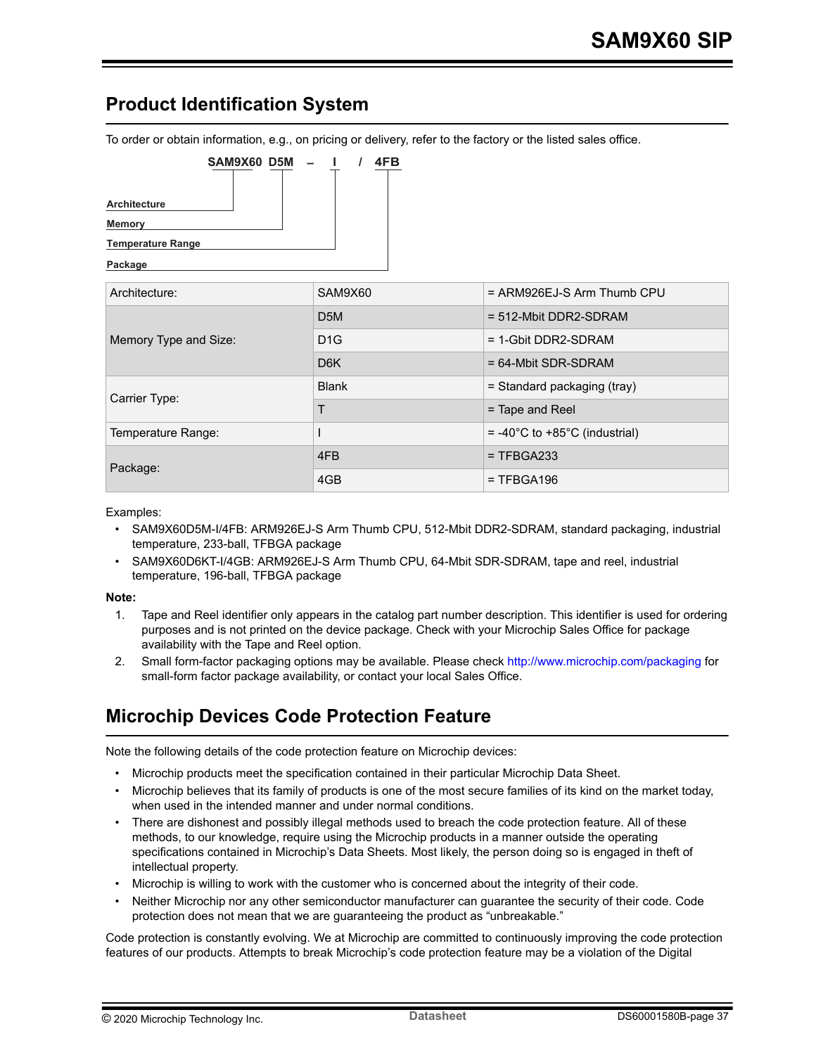## <span id="page-36-0"></span>**Product Identification System**

To order or obtain information, e.g., on pricing or delivery, refer to the factory or the listed sales office.



#### **Package**

| Architecture:         | SAM9X60          | $=$ ARM926EJ-S Arm Thumb CPU                      |  |
|-----------------------|------------------|---------------------------------------------------|--|
|                       | D <sub>5</sub> M | $= 512$ -Mbit DDR2-SDRAM                          |  |
| Memory Type and Size: | D1G              | $= 1$ -Gbit DDR2-SDRAM                            |  |
|                       | D <sub>6</sub> K | $= 64$ -Mbit SDR-SDRAM                            |  |
| Carrier Type:         | <b>Blank</b>     | = Standard packaging (tray)                       |  |
|                       | Τ                | $=$ Tape and Reel                                 |  |
| Temperature Range:    |                  | $= -40^{\circ}$ C to $+85^{\circ}$ C (industrial) |  |
| Package:              | 4FB              | $=$ TFBGA233                                      |  |
|                       | 4GB              | $= TFBGA196$                                      |  |

#### Examples:

- SAM9X60D5M-I/4FB: ARM926EJ-S Arm Thumb CPU, 512-Mbit DDR2-SDRAM, standard packaging, industrial temperature, 233-ball, TFBGA package
- SAM9X60D6KT-I/4GB: ARM926EJ-S Arm Thumb CPU, 64-Mbit SDR-SDRAM, tape and reel, industrial temperature, 196-ball, TFBGA package

#### **Note:**

- 1. Tape and Reel identifier only appears in the catalog part number description. This identifier is used for ordering purposes and is not printed on the device package. Check with your Microchip Sales Office for package availability with the Tape and Reel option.
- 2. Small form-factor packaging options may be available. Please check <http://www.microchip.com/packaging> for small-form factor package availability, or contact your local Sales Office.

## **Microchip Devices Code Protection Feature**

Note the following details of the code protection feature on Microchip devices:

- Microchip products meet the specification contained in their particular Microchip Data Sheet.
- Microchip believes that its family of products is one of the most secure families of its kind on the market today, when used in the intended manner and under normal conditions.
- There are dishonest and possibly illegal methods used to breach the code protection feature. All of these methods, to our knowledge, require using the Microchip products in a manner outside the operating specifications contained in Microchip's Data Sheets. Most likely, the person doing so is engaged in theft of intellectual property.
- Microchip is willing to work with the customer who is concerned about the integrity of their code.
- Neither Microchip nor any other semiconductor manufacturer can guarantee the security of their code. Code protection does not mean that we are guaranteeing the product as "unbreakable."

Code protection is constantly evolving. We at Microchip are committed to continuously improving the code protection features of our products. Attempts to break Microchip's code protection feature may be a violation of the Digital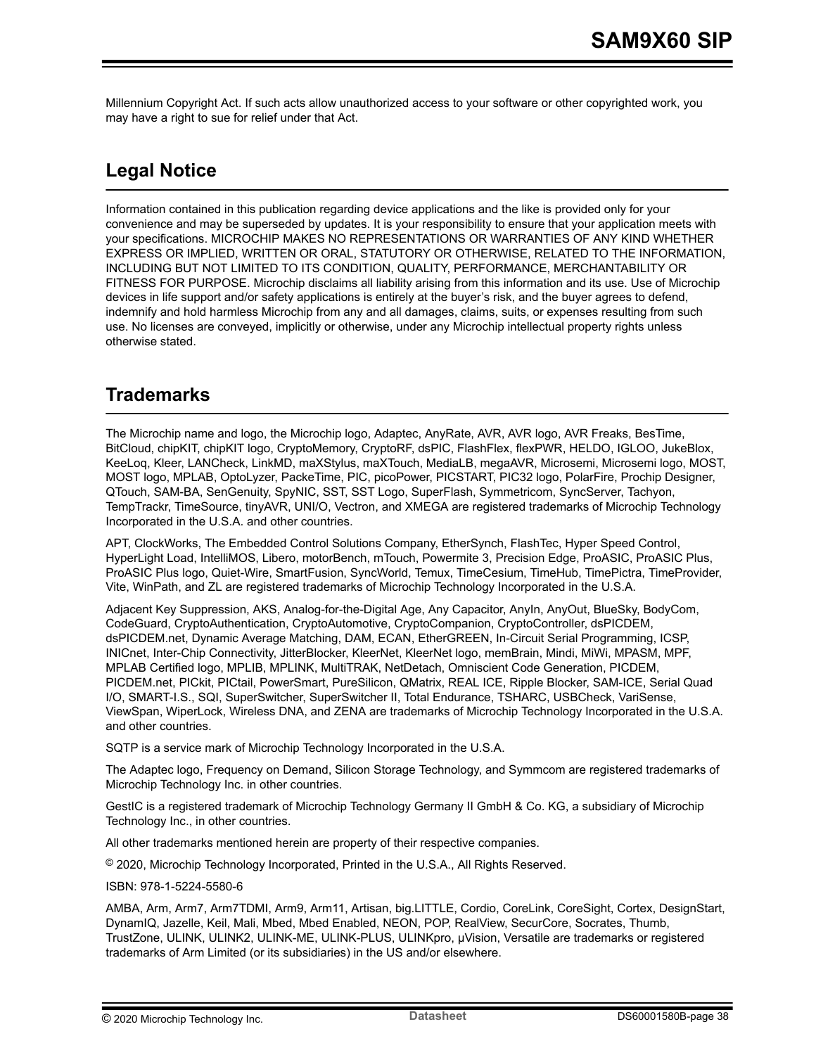<span id="page-37-0"></span>Millennium Copyright Act. If such acts allow unauthorized access to your software or other copyrighted work, you may have a right to sue for relief under that Act.

## **Legal Notice**

Information contained in this publication regarding device applications and the like is provided only for your convenience and may be superseded by updates. It is your responsibility to ensure that your application meets with your specifications. MICROCHIP MAKES NO REPRESENTATIONS OR WARRANTIES OF ANY KIND WHETHER EXPRESS OR IMPLIED, WRITTEN OR ORAL, STATUTORY OR OTHERWISE, RELATED TO THE INFORMATION, INCLUDING BUT NOT LIMITED TO ITS CONDITION, QUALITY, PERFORMANCE, MERCHANTABILITY OR FITNESS FOR PURPOSE. Microchip disclaims all liability arising from this information and its use. Use of Microchip devices in life support and/or safety applications is entirely at the buyer's risk, and the buyer agrees to defend, indemnify and hold harmless Microchip from any and all damages, claims, suits, or expenses resulting from such use. No licenses are conveyed, implicitly or otherwise, under any Microchip intellectual property rights unless otherwise stated.

## **Trademarks**

The Microchip name and logo, the Microchip logo, Adaptec, AnyRate, AVR, AVR logo, AVR Freaks, BesTime, BitCloud, chipKIT, chipKIT logo, CryptoMemory, CryptoRF, dsPIC, FlashFlex, flexPWR, HELDO, IGLOO, JukeBlox, KeeLoq, Kleer, LANCheck, LinkMD, maXStylus, maXTouch, MediaLB, megaAVR, Microsemi, Microsemi logo, MOST, MOST logo, MPLAB, OptoLyzer, PackeTime, PIC, picoPower, PICSTART, PIC32 logo, PolarFire, Prochip Designer, QTouch, SAM-BA, SenGenuity, SpyNIC, SST, SST Logo, SuperFlash, Symmetricom, SyncServer, Tachyon, TempTrackr, TimeSource, tinyAVR, UNI/O, Vectron, and XMEGA are registered trademarks of Microchip Technology Incorporated in the U.S.A. and other countries.

APT, ClockWorks, The Embedded Control Solutions Company, EtherSynch, FlashTec, Hyper Speed Control, HyperLight Load, IntelliMOS, Libero, motorBench, mTouch, Powermite 3, Precision Edge, ProASIC, ProASIC Plus, ProASIC Plus logo, Quiet-Wire, SmartFusion, SyncWorld, Temux, TimeCesium, TimeHub, TimePictra, TimeProvider, Vite, WinPath, and ZL are registered trademarks of Microchip Technology Incorporated in the U.S.A.

Adjacent Key Suppression, AKS, Analog-for-the-Digital Age, Any Capacitor, AnyIn, AnyOut, BlueSky, BodyCom, CodeGuard, CryptoAuthentication, CryptoAutomotive, CryptoCompanion, CryptoController, dsPICDEM, dsPICDEM.net, Dynamic Average Matching, DAM, ECAN, EtherGREEN, In-Circuit Serial Programming, ICSP, INICnet, Inter-Chip Connectivity, JitterBlocker, KleerNet, KleerNet logo, memBrain, Mindi, MiWi, MPASM, MPF, MPLAB Certified logo, MPLIB, MPLINK, MultiTRAK, NetDetach, Omniscient Code Generation, PICDEM, PICDEM.net, PICkit, PICtail, PowerSmart, PureSilicon, QMatrix, REAL ICE, Ripple Blocker, SAM-ICE, Serial Quad I/O, SMART-I.S., SQI, SuperSwitcher, SuperSwitcher II, Total Endurance, TSHARC, USBCheck, VariSense, ViewSpan, WiperLock, Wireless DNA, and ZENA are trademarks of Microchip Technology Incorporated in the U.S.A. and other countries.

SQTP is a service mark of Microchip Technology Incorporated in the U.S.A.

The Adaptec logo, Frequency on Demand, Silicon Storage Technology, and Symmcom are registered trademarks of Microchip Technology Inc. in other countries.

GestIC is a registered trademark of Microchip Technology Germany II GmbH & Co. KG, a subsidiary of Microchip Technology Inc., in other countries.

All other trademarks mentioned herein are property of their respective companies.

© 2020, Microchip Technology Incorporated, Printed in the U.S.A., All Rights Reserved.

ISBN: 978-1-5224-5580-6

AMBA, Arm, Arm7, Arm7TDMI, Arm9, Arm11, Artisan, big.LITTLE, Cordio, CoreLink, CoreSight, Cortex, DesignStart, DynamIQ, Jazelle, Keil, Mali, Mbed, Mbed Enabled, NEON, POP, RealView, SecurCore, Socrates, Thumb, TrustZone, ULINK, ULINK2, ULINK-ME, ULINK-PLUS, ULINKpro, µVision, Versatile are trademarks or registered trademarks of Arm Limited (or its subsidiaries) in the US and/or elsewhere.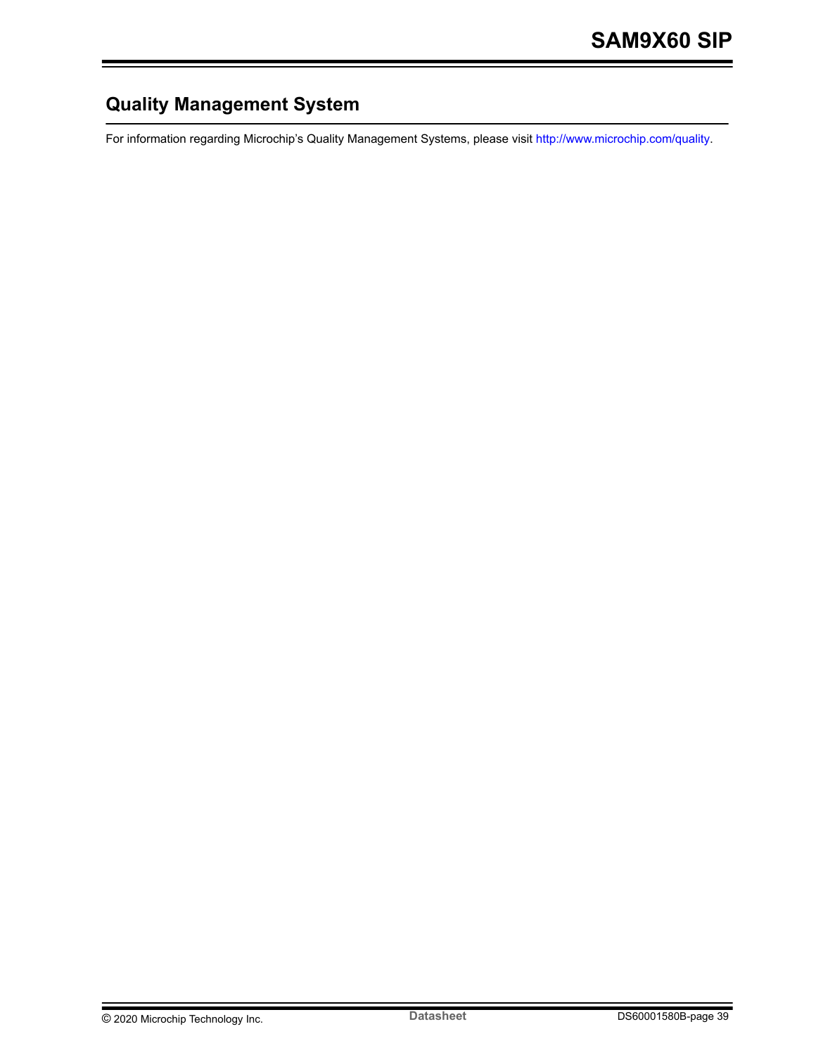## <span id="page-38-0"></span>**Quality Management System**

For information regarding Microchip's Quality Management Systems, please visit [http://www.microchip.com/quality.](http://www.microchip.com/quality)